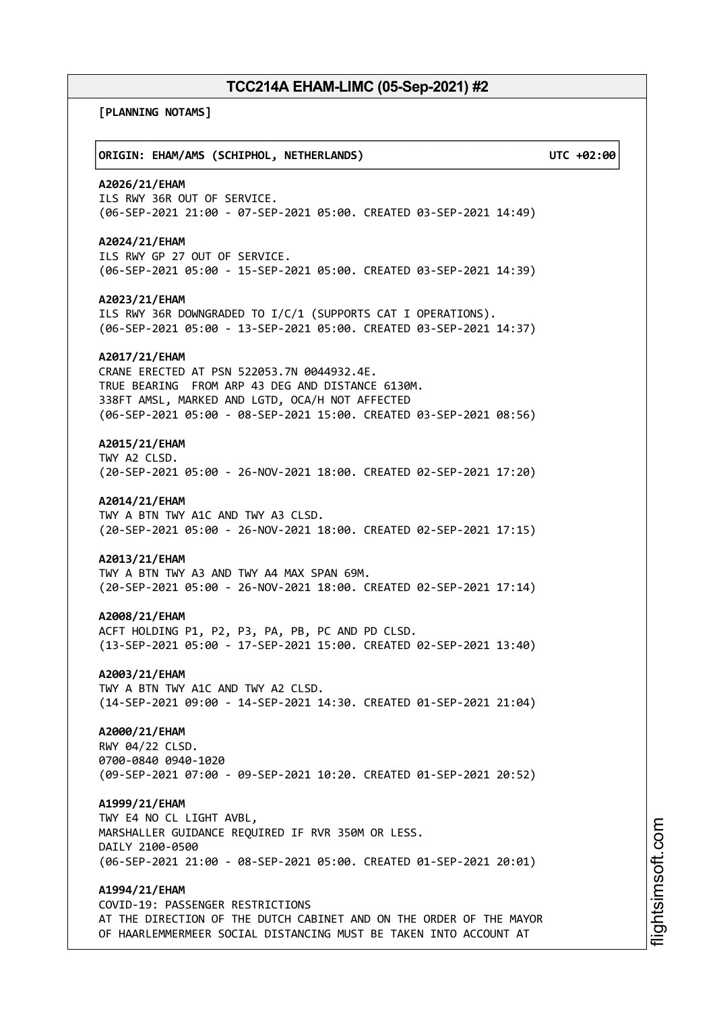**[PLANNING NOTAMS]**

┌──────────────────────────────────────────────────────────────────────────────┐ │**ORIGIN: EHAM/AMS (SCHIPHOL, NETHERLANDS) UTC +02:00**│ └──────────────────────────────────────────────────────────────────────────────┘ **A2026/21/EHAM** ILS RWY 36R OUT OF SERVICE. (06-SEP-2021 21:00 - 07-SEP-2021 05:00. CREATED 03-SEP-2021 14:49) **A2024/21/EHAM** ILS RWY GP 27 OUT OF SERVICE. (06-SEP-2021 05:00 - 15-SEP-2021 05:00. CREATED 03-SEP-2021 14:39) **A2023/21/EHAM** ILS RWY 36R DOWNGRADED TO I/C/1 (SUPPORTS CAT I OPERATIONS). (06-SEP-2021 05:00 - 13-SEP-2021 05:00. CREATED 03-SEP-2021 14:37) **A2017/21/EHAM** CRANE ERECTED AT PSN 522053.7N 0044932.4E. TRUE BEARING FROM ARP 43 DEG AND DISTANCE 6130M. 338FT AMSL, MARKED AND LGTD, OCA/H NOT AFFECTED (06-SEP-2021 05:00 - 08-SEP-2021 15:00. CREATED 03-SEP-2021 08:56) **A2015/21/EHAM** TWY A2 CLSD. (20-SEP-2021 05:00 - 26-NOV-2021 18:00. CREATED 02-SEP-2021 17:20) **A2014/21/EHAM** TWY A BTN TWY A1C AND TWY A3 CLSD. (20-SEP-2021 05:00 - 26-NOV-2021 18:00. CREATED 02-SEP-2021 17:15) **A2013/21/EHAM** TWY A BTN TWY A3 AND TWY A4 MAX SPAN 69M. (20-SEP-2021 05:00 - 26-NOV-2021 18:00. CREATED 02-SEP-2021 17:14) **A2008/21/EHAM** ACFT HOLDING P1, P2, P3, PA, PB, PC AND PD CLSD. (13-SEP-2021 05:00 - 17-SEP-2021 15:00. CREATED 02-SEP-2021 13:40) **A2003/21/EHAM** TWY A BTN TWY A1C AND TWY A2 CLSD. (14-SEP-2021 09:00 - 14-SEP-2021 14:30. CREATED 01-SEP-2021 21:04) **A2000/21/EHAM** RWY 04/22 CLSD. 0700-0840 0940-1020 (09-SEP-2021 07:00 - 09-SEP-2021 10:20. CREATED 01-SEP-2021 20:52) **A1999/21/EHAM** TWY E4 NO CL LIGHT AVBL, MARSHALLER GUIDANCE REQUIRED IF RVR 350M OR LESS. DAILY 2100-0500 (06-SEP-2021 21:00 - 08-SEP-2021 05:00. CREATED 01-SEP-2021 20:01) **A1994/21/EHAM** COVID-19: PASSENGER RESTRICTIONS AT THE DIRECTION OF THE DUTCH CABINET AND ON THE ORDER OF THE MAYOR OF HAARLEMMERMEER SOCIAL DISTANCING MUST BE TAKEN INTO ACCOUNT AT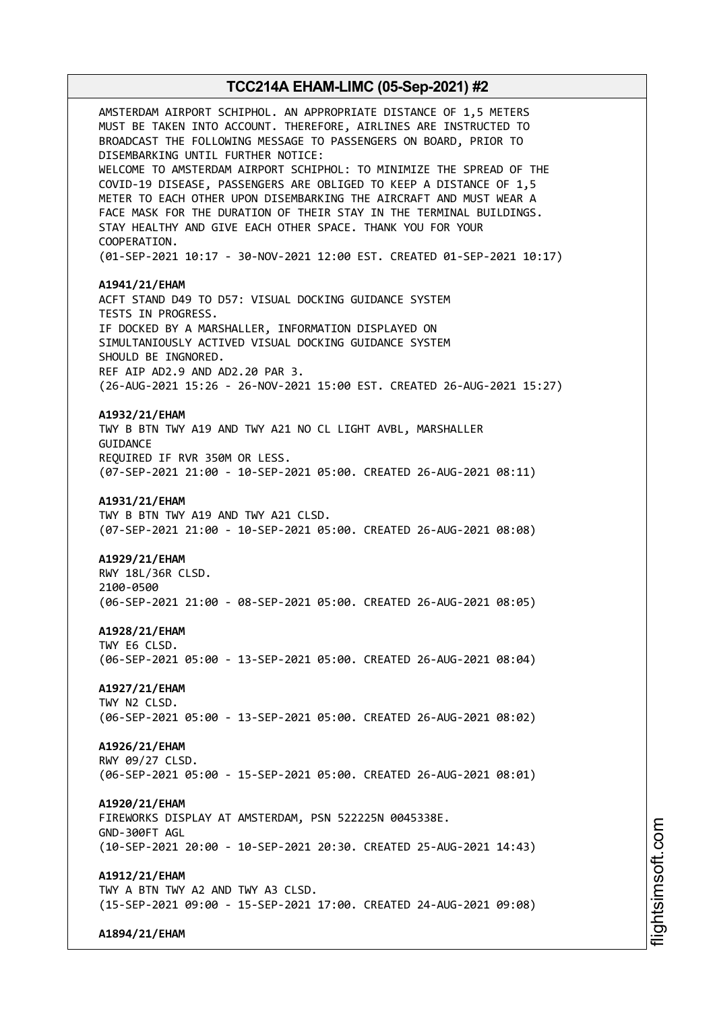AMSTERDAM AIRPORT SCHIPHOL. AN APPROPRIATE DISTANCE OF 1,5 METERS MUST BE TAKEN INTO ACCOUNT. THEREFORE, AIRLINES ARE INSTRUCTED TO BROADCAST THE FOLLOWING MESSAGE TO PASSENGERS ON BOARD, PRIOR TO DISEMBARKING UNTIL FURTHER NOTICE: WELCOME TO AMSTERDAM AIRPORT SCHIPHOL: TO MINIMIZE THE SPREAD OF THE COVID-19 DISEASE, PASSENGERS ARE OBLIGED TO KEEP A DISTANCE OF 1,5 METER TO EACH OTHER UPON DISEMBARKING THE AIRCRAFT AND MUST WEAR A FACE MASK FOR THE DURATION OF THEIR STAY IN THE TERMINAL BUILDINGS. STAY HEALTHY AND GIVE EACH OTHER SPACE. THANK YOU FOR YOUR COOPERATION. (01-SEP-2021 10:17 - 30-NOV-2021 12:00 EST. CREATED 01-SEP-2021 10:17) **A1941/21/EHAM** ACFT STAND D49 TO D57: VISUAL DOCKING GUIDANCE SYSTEM TESTS IN PROGRESS. IF DOCKED BY A MARSHALLER, INFORMATION DISPLAYED ON SIMULTANIOUSLY ACTIVED VISUAL DOCKING GUIDANCE SYSTEM SHOULD BE INGNORED. REF AIP AD2.9 AND AD2.20 PAR 3. (26-AUG-2021 15:26 - 26-NOV-2021 15:00 EST. CREATED 26-AUG-2021 15:27) **A1932/21/EHAM** TWY B BTN TWY A19 AND TWY A21 NO CL LIGHT AVBL, MARSHALLER **GUITDANCE** REQUIRED IF RVR 350M OR LESS. (07-SEP-2021 21:00 - 10-SEP-2021 05:00. CREATED 26-AUG-2021 08:11) **A1931/21/EHAM** TWY B BTN TWY A19 AND TWY A21 CLSD. (07-SEP-2021 21:00 - 10-SEP-2021 05:00. CREATED 26-AUG-2021 08:08) **A1929/21/EHAM** RWY 18L/36R CLSD. 2100-0500 (06-SEP-2021 21:00 - 08-SEP-2021 05:00. CREATED 26-AUG-2021 08:05) **A1928/21/EHAM** TWY E6 CLSD. (06-SEP-2021 05:00 - 13-SEP-2021 05:00. CREATED 26-AUG-2021 08:04) **A1927/21/EHAM** TWY N2 CLSD. (06-SEP-2021 05:00 - 13-SEP-2021 05:00. CREATED 26-AUG-2021 08:02) **A1926/21/EHAM** RWY 09/27 CLSD. (06-SEP-2021 05:00 - 15-SEP-2021 05:00. CREATED 26-AUG-2021 08:01) **A1920/21/EHAM** FIREWORKS DISPLAY AT AMSTERDAM, PSN 522225N 0045338E. GND-300FT AGL (10-SEP-2021 20:00 - 10-SEP-2021 20:30. CREATED 25-AUG-2021 14:43) **A1912/21/EHAM** TWY A BTN TWY A2 AND TWY A3 CLSD. (15-SEP-2021 09:00 - 15-SEP-2021 17:00. CREATED 24-AUG-2021 09:08)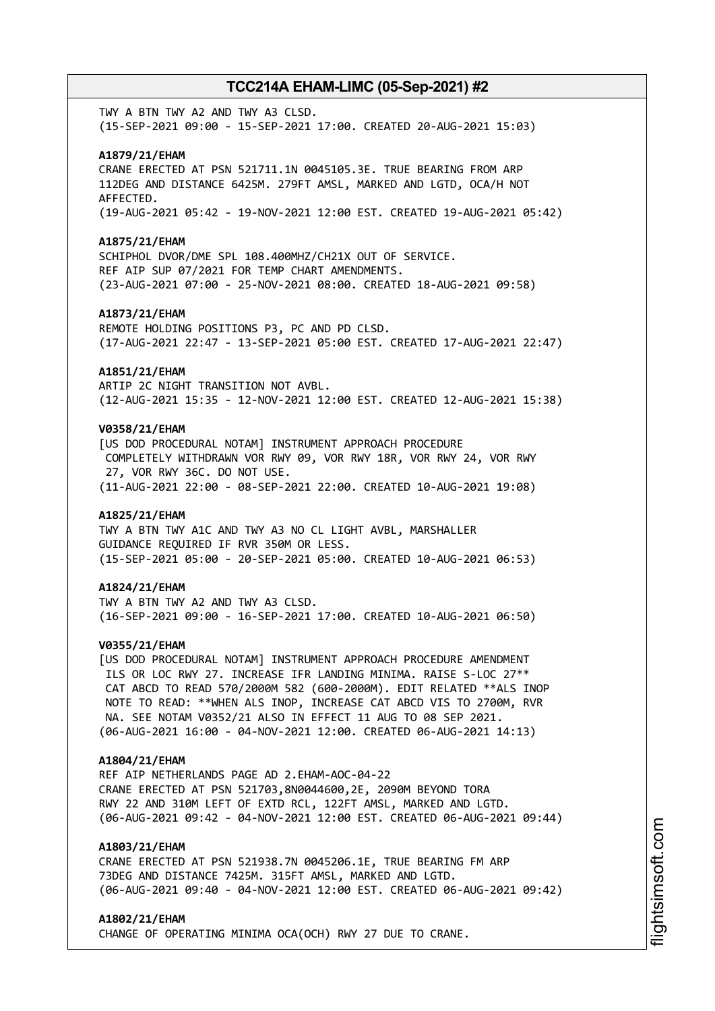TWY A BTN TWY A2 AND TWY A3 CLSD. (15-SEP-2021 09:00 - 15-SEP-2021 17:00. CREATED 20-AUG-2021 15:03)

### **A1879/21/EHAM**

CRANE ERECTED AT PSN 521711.1N 0045105.3E. TRUE BEARING FROM ARP 112DEG AND DISTANCE 6425M. 279FT AMSL, MARKED AND LGTD, OCA/H NOT AFFECTED. (19-AUG-2021 05:42 - 19-NOV-2021 12:00 EST. CREATED 19-AUG-2021 05:42)

#### **A1875/21/EHAM**

SCHIPHOL DVOR/DME SPL 108.400MHZ/CH21X OUT OF SERVICE. REF AIP SUP 07/2021 FOR TEMP CHART AMENDMENTS. (23-AUG-2021 07:00 - 25-NOV-2021 08:00. CREATED 18-AUG-2021 09:58)

#### **A1873/21/EHAM**

REMOTE HOLDING POSITIONS P3, PC AND PD CLSD. (17-AUG-2021 22:47 - 13-SEP-2021 05:00 EST. CREATED 17-AUG-2021 22:47)

#### **A1851/21/EHAM**

ARTIP 2C NIGHT TRANSITION NOT AVBL. (12-AUG-2021 15:35 - 12-NOV-2021 12:00 EST. CREATED 12-AUG-2021 15:38)

### **V0358/21/EHAM**

[US DOD PROCEDURAL NOTAM] INSTRUMENT APPROACH PROCEDURE COMPLETELY WITHDRAWN VOR RWY 09, VOR RWY 18R, VOR RWY 24, VOR RWY 27, VOR RWY 36C. DO NOT USE. (11-AUG-2021 22:00 - 08-SEP-2021 22:00. CREATED 10-AUG-2021 19:08)

### **A1825/21/EHAM**

TWY A BTN TWY A1C AND TWY A3 NO CL LIGHT AVBL, MARSHALLER GUIDANCE REQUIRED IF RVR 350M OR LESS. (15-SEP-2021 05:00 - 20-SEP-2021 05:00. CREATED 10-AUG-2021 06:53)

### **A1824/21/EHAM**

TWY A BTN TWY A2 AND TWY A3 CLSD. (16-SEP-2021 09:00 - 16-SEP-2021 17:00. CREATED 10-AUG-2021 06:50)

### **V0355/21/EHAM**

[US DOD PROCEDURAL NOTAM] INSTRUMENT APPROACH PROCEDURE AMENDMENT ILS OR LOC RWY 27. INCREASE IFR LANDING MINIMA. RAISE S-LOC 27\*\* CAT ABCD TO READ 570/2000M 582 (600-2000M). EDIT RELATED \*\*ALS INOP NOTE TO READ: \*\*WHEN ALS INOP, INCREASE CAT ABCD VIS TO 2700M, RVR NA. SEE NOTAM V0352/21 ALSO IN EFFECT 11 AUG TO 08 SEP 2021. (06-AUG-2021 16:00 - 04-NOV-2021 12:00. CREATED 06-AUG-2021 14:13)

### **A1804/21/EHAM**

REF AIP NETHERLANDS PAGE AD 2.EHAM-AOC-04-22 CRANE ERECTED AT PSN 521703,8N0044600,2E, 2090M BEYOND TORA RWY 22 AND 310M LEFT OF EXTD RCL, 122FT AMSL, MARKED AND LGTD. (06-AUG-2021 09:42 - 04-NOV-2021 12:00 EST. CREATED 06-AUG-2021 09:44)

### **A1803/21/EHAM**

CRANE ERECTED AT PSN 521938.7N 0045206.1E, TRUE BEARING FM ARP 73DEG AND DISTANCE 7425M. 315FT AMSL, MARKED AND LGTD. (06-AUG-2021 09:40 - 04-NOV-2021 12:00 EST. CREATED 06-AUG-2021 09:42)

#### **A1802/21/EHAM**

CHANGE OF OPERATING MINIMA OCA(OCH) RWY 27 DUE TO CRANE.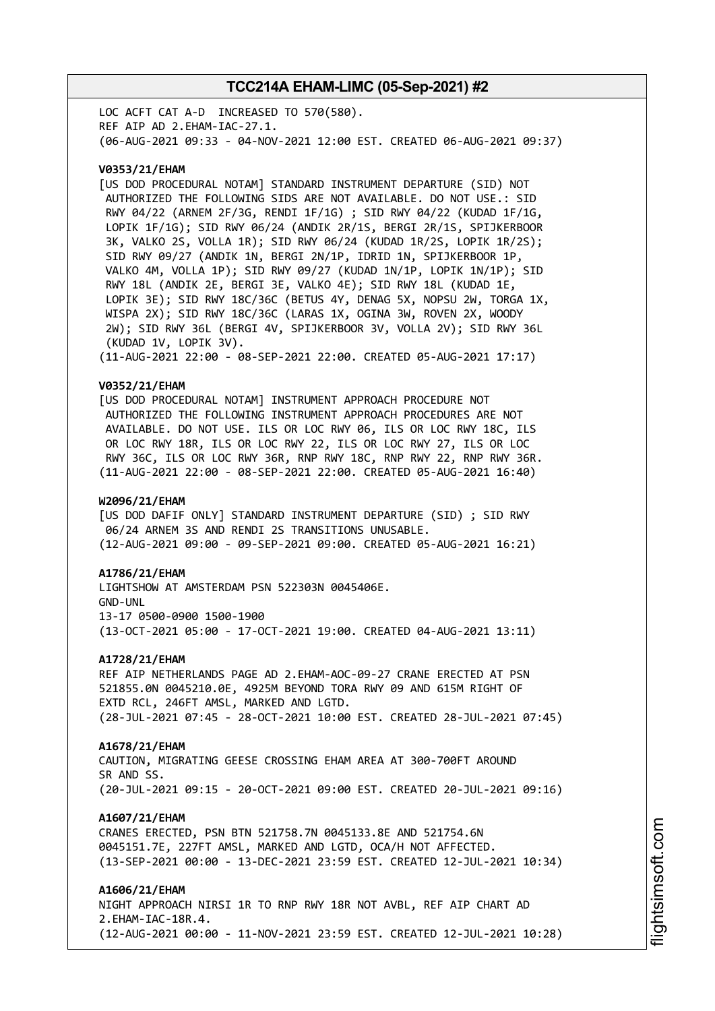LOC ACFT CAT A-D INCREASED TO 570(580). REF AIP AD 2.EHAM-IAC-27.1. (06-AUG-2021 09:33 - 04-NOV-2021 12:00 EST. CREATED 06-AUG-2021 09:37)

### **V0353/21/EHAM**

[US DOD PROCEDURAL NOTAM] STANDARD INSTRUMENT DEPARTURE (SID) NOT AUTHORIZED THE FOLLOWING SIDS ARE NOT AVAILABLE. DO NOT USE.: SID RWY 04/22 (ARNEM 2F/3G, RENDI 1F/1G) ; SID RWY 04/22 (KUDAD 1F/1G, LOPIK 1F/1G); SID RWY 06/24 (ANDIK 2R/1S, BERGI 2R/1S, SPIJKERBOOR 3K, VALKO 2S, VOLLA 1R); SID RWY 06/24 (KUDAD 1R/2S, LOPIK 1R/2S); SID RWY 09/27 (ANDIK 1N, BERGI 2N/1P, IDRID 1N, SPIJKERBOOR 1P, VALKO 4M, VOLLA 1P); SID RWY 09/27 (KUDAD 1N/1P, LOPIK 1N/1P); SID RWY 18L (ANDIK 2E, BERGI 3E, VALKO 4E); SID RWY 18L (KUDAD 1E, LOPIK 3E); SID RWY 18C/36C (BETUS 4Y, DENAG 5X, NOPSU 2W, TORGA 1X, WISPA 2X); SID RWY 18C/36C (LARAS 1X, OGINA 3W, ROVEN 2X, WOODY 2W); SID RWY 36L (BERGI 4V, SPIJKERBOOR 3V, VOLLA 2V); SID RWY 36L (KUDAD 1V, LOPIK 3V). (11-AUG-2021 22:00 - 08-SEP-2021 22:00. CREATED 05-AUG-2021 17:17)

#### **V0352/21/EHAM**

[US DOD PROCEDURAL NOTAM] INSTRUMENT APPROACH PROCEDURE NOT AUTHORIZED THE FOLLOWING INSTRUMENT APPROACH PROCEDURES ARE NOT AVAILABLE. DO NOT USE. ILS OR LOC RWY 06, ILS OR LOC RWY 18C, ILS OR LOC RWY 18R, ILS OR LOC RWY 22, ILS OR LOC RWY 27, ILS OR LOC RWY 36C, ILS OR LOC RWY 36R, RNP RWY 18C, RNP RWY 22, RNP RWY 36R. (11-AUG-2021 22:00 - 08-SEP-2021 22:00. CREATED 05-AUG-2021 16:40)

#### **W2096/21/EHAM**

[US DOD DAFIF ONLY] STANDARD INSTRUMENT DEPARTURE (SID) ; SID RWY 06/24 ARNEM 3S AND RENDI 2S TRANSITIONS UNUSABLE. (12-AUG-2021 09:00 - 09-SEP-2021 09:00. CREATED 05-AUG-2021 16:21)

#### **A1786/21/EHAM**

LIGHTSHOW AT AMSTERDAM PSN 522303N 0045406E. GND-UNL 13-17 0500-0900 1500-1900 (13-OCT-2021 05:00 - 17-OCT-2021 19:00. CREATED 04-AUG-2021 13:11)

#### **A1728/21/EHAM**

REF AIP NETHERLANDS PAGE AD 2.EHAM-AOC-09-27 CRANE ERECTED AT PSN 521855.0N 0045210.0E, 4925M BEYOND TORA RWY 09 AND 615M RIGHT OF EXTD RCL, 246FT AMSL, MARKED AND LGTD. (28-JUL-2021 07:45 - 28-OCT-2021 10:00 EST. CREATED 28-JUL-2021 07:45)

#### **A1678/21/EHAM**

CAUTION, MIGRATING GEESE CROSSING EHAM AREA AT 300-700FT AROUND SR AND SS. (20-JUL-2021 09:15 - 20-OCT-2021 09:00 EST. CREATED 20-JUL-2021 09:16)

#### **A1607/21/EHAM**

CRANES ERECTED, PSN BTN 521758.7N 0045133.8E AND 521754.6N 0045151.7E, 227FT AMSL, MARKED AND LGTD, OCA/H NOT AFFECTED. (13-SEP-2021 00:00 - 13-DEC-2021 23:59 EST. CREATED 12-JUL-2021 10:34)

### **A1606/21/EHAM**

NIGHT APPROACH NIRSI 1R TO RNP RWY 18R NOT AVBL, REF AIP CHART AD 2.EHAM-IAC-18R.4. (12-AUG-2021 00:00 - 11-NOV-2021 23:59 EST. CREATED 12-JUL-2021 10:28)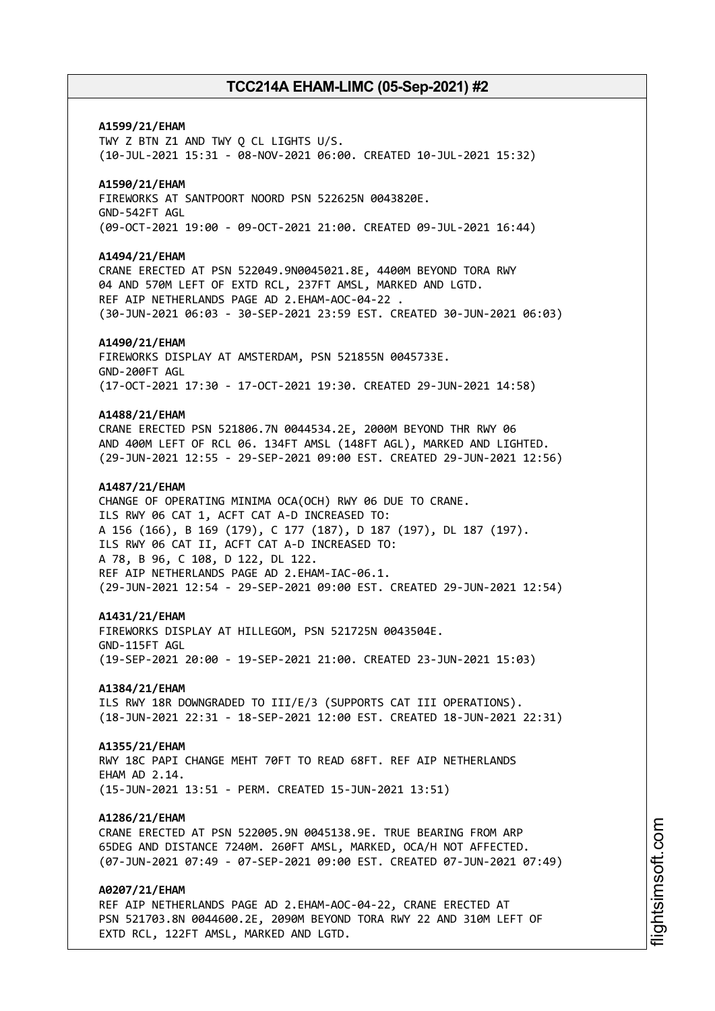# **A1599/21/EHAM** TWY Z BTN Z1 AND TWY Q CL LIGHTS U/S. (10-JUL-2021 15:31 - 08-NOV-2021 06:00. CREATED 10-JUL-2021 15:32) **A1590/21/EHAM** FIREWORKS AT SANTPOORT NOORD PSN 522625N 0043820E. GND-542FT AGL (09-OCT-2021 19:00 - 09-OCT-2021 21:00. CREATED 09-JUL-2021 16:44) **A1494/21/EHAM** CRANE ERECTED AT PSN 522049.9N0045021.8E, 4400M BEYOND TORA RWY 04 AND 570M LEFT OF EXTD RCL, 237FT AMSL, MARKED AND LGTD. REF AIP NETHERLANDS PAGE AD 2.EHAM-AOC-04-22 . (30-JUN-2021 06:03 - 30-SEP-2021 23:59 EST. CREATED 30-JUN-2021 06:03) **A1490/21/EHAM** FIREWORKS DISPLAY AT AMSTERDAM, PSN 521855N 0045733E. GND-200FT AGL (17-OCT-2021 17:30 - 17-OCT-2021 19:30. CREATED 29-JUN-2021 14:58) **A1488/21/EHAM** CRANE ERECTED PSN 521806.7N 0044534.2E, 2000M BEYOND THR RWY 06 AND 400M LEFT OF RCL 06. 134FT AMSL (148FT AGL), MARKED AND LIGHTED. (29-JUN-2021 12:55 - 29-SEP-2021 09:00 EST. CREATED 29-JUN-2021 12:56) **A1487/21/EHAM** CHANGE OF OPERATING MINIMA OCA(OCH) RWY 06 DUE TO CRANE. ILS RWY 06 CAT 1, ACFT CAT A-D INCREASED TO: A 156 (166), B 169 (179), C 177 (187), D 187 (197), DL 187 (197). ILS RWY 06 CAT II, ACFT CAT A-D INCREASED TO: A 78, B 96, C 108, D 122, DL 122. REF AIP NETHERLANDS PAGE AD 2.EHAM-IAC-06.1. (29-JUN-2021 12:54 - 29-SEP-2021 09:00 EST. CREATED 29-JUN-2021 12:54) **A1431/21/EHAM** FIREWORKS DISPLAY AT HILLEGOM, PSN 521725N 0043504E. GND-115FT AGL (19-SEP-2021 20:00 - 19-SEP-2021 21:00. CREATED 23-JUN-2021 15:03) **A1384/21/EHAM** ILS RWY 18R DOWNGRADED TO III/E/3 (SUPPORTS CAT III OPERATIONS). (18-JUN-2021 22:31 - 18-SEP-2021 12:00 EST. CREATED 18-JUN-2021 22:31) **A1355/21/EHAM** RWY 18C PAPI CHANGE MEHT 70FT TO READ 68FT. REF AIP NETHERLANDS FHAM AD 2 14 (15-JUN-2021 13:51 - PERM. CREATED 15-JUN-2021 13:51) **A1286/21/EHAM** CRANE ERECTED AT PSN 522005.9N 0045138.9E. TRUE BEARING FROM ARP 65DEG AND DISTANCE 7240M. 260FT AMSL, MARKED, OCA/H NOT AFFECTED. (07-JUN-2021 07:49 - 07-SEP-2021 09:00 EST. CREATED 07-JUN-2021 07:49) **A0207/21/EHAM** REF AIP NETHERLANDS PAGE AD 2.EHAM-AOC-04-22, CRANE ERECTED AT PSN 521703.8N 0044600.2E, 2090M BEYOND TORA RWY 22 AND 310M LEFT OF

EXTD RCL, 122FT AMSL, MARKED AND LGTD.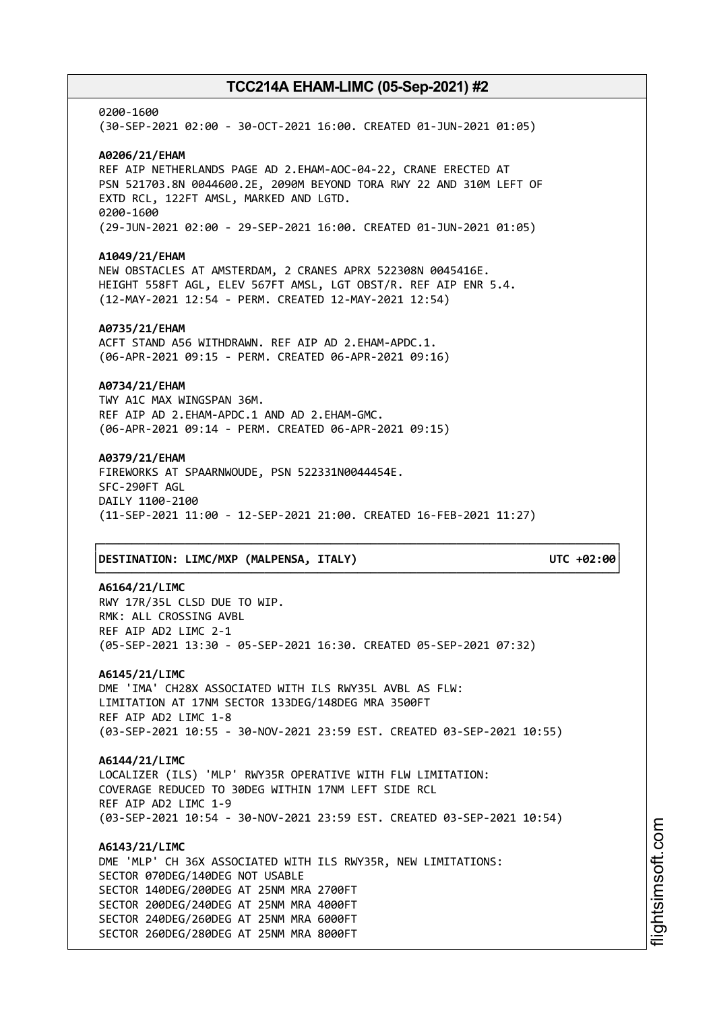0200-1600 (30-SEP-2021 02:00 - 30-OCT-2021 16:00. CREATED 01-JUN-2021 01:05) **A0206/21/EHAM** REF AIP NETHERLANDS PAGE AD 2.EHAM-AOC-04-22, CRANE ERECTED AT PSN 521703.8N 0044600.2E, 2090M BEYOND TORA RWY 22 AND 310M LEFT OF EXTD RCL, 122FT AMSL, MARKED AND LGTD. 0200-1600 (29-JUN-2021 02:00 - 29-SEP-2021 16:00. CREATED 01-JUN-2021 01:05) **A1049/21/EHAM** NEW OBSTACLES AT AMSTERDAM, 2 CRANES APRX 522308N 0045416E. HEIGHT 558FT AGL, ELEV 567FT AMSL, LGT OBST/R. REF AIP ENR 5.4. (12-MAY-2021 12:54 - PERM. CREATED 12-MAY-2021 12:54) **A0735/21/EHAM** ACFT STAND A56 WITHDRAWN. REF AIP AD 2.EHAM-APDC.1. (06-APR-2021 09:15 - PERM. CREATED 06-APR-2021 09:16) **A0734/21/EHAM** TWY A1C MAX WINGSPAN 36M. REF AIP AD 2.EHAM-APDC.1 AND AD 2.EHAM-GMC. (06-APR-2021 09:14 - PERM. CREATED 06-APR-2021 09:15) **A0379/21/EHAM** FIREWORKS AT SPAARNWOUDE, PSN 522331N0044454E. SFC-290FT AGL DAILY 1100-2100 (11-SEP-2021 11:00 - 12-SEP-2021 21:00. CREATED 16-FEB-2021 11:27) ┌──────────────────────────────────────────────────────────────────────────────┐

### │**DESTINATION: LIMC/MXP (MALPENSA, ITALY) UTC +02:00**│

# **A6164/21/LIMC** RWY 17R/35L CLSD DUE TO WIP. RMK: ALL CROSSING AVBL REF AIP AD2 LIMC 2-1 (05-SEP-2021 13:30 - 05-SEP-2021 16:30. CREATED 05-SEP-2021 07:32) **A6145/21/LIMC** DME 'IMA' CH28X ASSOCIATED WITH ILS RWY35L AVBL AS FLW: LIMITATION AT 17NM SECTOR 133DEG/148DEG MRA 3500FT REF AIP AD2 LIMC 1-8 (03-SEP-2021 10:55 - 30-NOV-2021 23:59 EST. CREATED 03-SEP-2021 10:55) **A6144/21/LIMC** LOCALIZER (ILS) 'MLP' RWY35R OPERATIVE WITH FLW LIMITATION: COVERAGE REDUCED TO 30DEG WITHIN 17NM LEFT SIDE RCL REF AIP AD2 LIMC 1-9 (03-SEP-2021 10:54 - 30-NOV-2021 23:59 EST. CREATED 03-SEP-2021 10:54) **A6143/21/LIMC** DME 'MLP' CH 36X ASSOCIATED WITH ILS RWY35R, NEW LIMITATIONS: SECTOR 070DEG/140DEG NOT USABLE

└──────────────────────────────────────────────────────────────────────────────┘

SECTOR 140DEG/200DEG AT 25NM MRA 2700FT SECTOR 200DEG/240DEG AT 25NM MRA 4000FT SECTOR 240DEG/260DEG AT 25NM MRA 6000FT SECTOR 260DEG/280DEG AT 25NM MRA 8000FT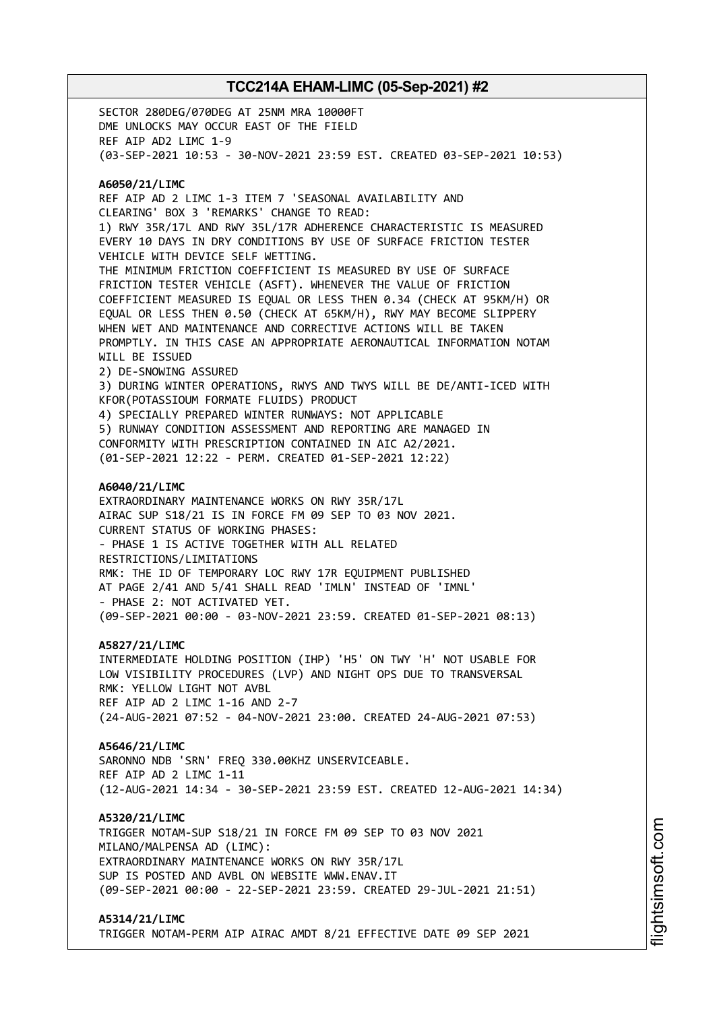SECTOR 280DEG/070DEG AT 25NM MRA 10000FT DME UNLOCKS MAY OCCUR EAST OF THE FIELD REF AIP AD2 LIMC 1-9 (03-SEP-2021 10:53 - 30-NOV-2021 23:59 EST. CREATED 03-SEP-2021 10:53) **A6050/21/LIMC** REF AIP AD 2 LIMC 1-3 ITEM 7 'SEASONAL AVAILABILITY AND CLEARING' BOX 3 'REMARKS' CHANGE TO READ: 1) RWY 35R/17L AND RWY 35L/17R ADHERENCE CHARACTERISTIC IS MEASURED EVERY 10 DAYS IN DRY CONDITIONS BY USE OF SURFACE FRICTION TESTER VEHICLE WITH DEVICE SELF WETTING. THE MINIMUM FRICTION COEFFICIENT IS MEASURED BY USE OF SURFACE FRICTION TESTER VEHICLE (ASFT). WHENEVER THE VALUE OF FRICTION COEFFICIENT MEASURED IS EQUAL OR LESS THEN 0.34 (CHECK AT 95KM/H) OR EQUAL OR LESS THEN 0.50 (CHECK AT 65KM/H), RWY MAY BECOME SLIPPERY WHEN WET AND MAINTENANCE AND CORRECTIVE ACTIONS WILL BE TAKEN PROMPTLY. IN THIS CASE AN APPROPRIATE AERONAUTICAL INFORMATION NOTAM WILL BE ISSUED 2) DE-SNOWING ASSURED 3) DURING WINTER OPERATIONS, RWYS AND TWYS WILL BE DE/ANTI-ICED WITH KFOR(POTASSIOUM FORMATE FLUIDS) PRODUCT 4) SPECIALLY PREPARED WINTER RUNWAYS: NOT APPLICABLE 5) RUNWAY CONDITION ASSESSMENT AND REPORTING ARE MANAGED IN CONFORMITY WITH PRESCRIPTION CONTAINED IN AIC A2/2021. (01-SEP-2021 12:22 - PERM. CREATED 01-SEP-2021 12:22) **A6040/21/LIMC** EXTRAORDINARY MAINTENANCE WORKS ON RWY 35R/17L AIRAC SUP S18/21 IS IN FORCE FM 09 SEP TO 03 NOV 2021. CURRENT STATUS OF WORKING PHASES: - PHASE 1 IS ACTIVE TOGETHER WITH ALL RELATED RESTRICTIONS/LIMITATIONS RMK: THE ID OF TEMPORARY LOC RWY 17R EQUIPMENT PUBLISHED AT PAGE 2/41 AND 5/41 SHALL READ 'IMLN' INSTEAD OF 'IMNL' - PHASE 2: NOT ACTIVATED YET. (09-SEP-2021 00:00 - 03-NOV-2021 23:59. CREATED 01-SEP-2021 08:13) **A5827/21/LIMC** INTERMEDIATE HOLDING POSITION (IHP) 'H5' ON TWY 'H' NOT USABLE FOR LOW VISIBILITY PROCEDURES (LVP) AND NIGHT OPS DUE TO TRANSVERSAL RMK: YELLOW LIGHT NOT AVBL REF AIP AD 2 LIMC 1-16 AND 2-7 (24-AUG-2021 07:52 - 04-NOV-2021 23:00. CREATED 24-AUG-2021 07:53) **A5646/21/LIMC** SARONNO NDB 'SRN' FREQ 330.00KHZ UNSERVICEABLE. REF AIP AD 2 LIMC 1-11 (12-AUG-2021 14:34 - 30-SEP-2021 23:59 EST. CREATED 12-AUG-2021 14:34) **A5320/21/LIMC** TRIGGER NOTAM-SUP S18/21 IN FORCE FM 09 SEP TO 03 NOV 2021 MILANO/MALPENSA AD (LIMC): EXTRAORDINARY MAINTENANCE WORKS ON RWY 35R/17L SUP IS POSTED AND AVBL ON WEBSITE WWW.ENAV.IT (09-SEP-2021 00:00 - 22-SEP-2021 23:59. CREATED 29-JUL-2021 21:51) **A5314/21/LIMC**

TRIGGER NOTAM-PERM AIP AIRAC AMDT 8/21 EFFECTIVE DATE 09 SEP 2021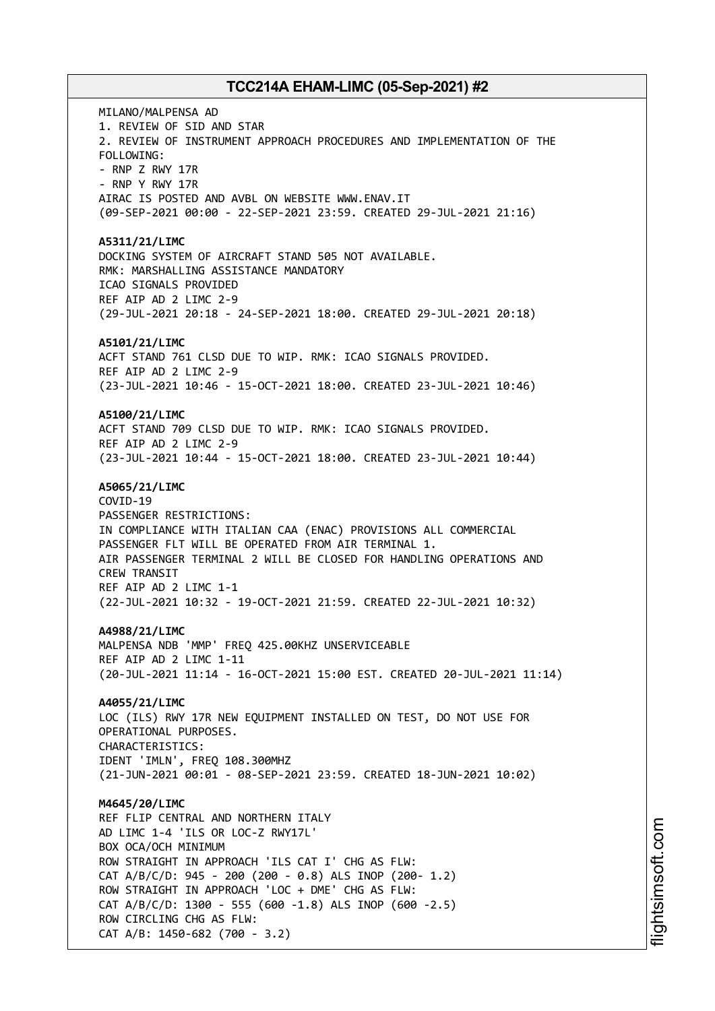MILANO/MALPENSA AD 1. REVIEW OF SID AND STAR 2. REVIEW OF INSTRUMENT APPROACH PROCEDURES AND IMPLEMENTATION OF THE FOLLOWING: - RNP Z RWY 17R - RNP Y RWY 17R AIRAC IS POSTED AND AVBL ON WEBSITE WWW.ENAV.IT (09-SEP-2021 00:00 - 22-SEP-2021 23:59. CREATED 29-JUL-2021 21:16) **A5311/21/LIMC** DOCKING SYSTEM OF AIRCRAFT STAND 505 NOT AVAILABLE. RMK: MARSHALLING ASSISTANCE MANDATORY ICAO SIGNALS PROVIDED REF AIP AD 2 LIMC 2-9 (29-JUL-2021 20:18 - 24-SEP-2021 18:00. CREATED 29-JUL-2021 20:18) **A5101/21/LIMC** ACFT STAND 761 CLSD DUE TO WIP. RMK: ICAO SIGNALS PROVIDED. REF AIP AD 2 LIMC 2-9 (23-JUL-2021 10:46 - 15-OCT-2021 18:00. CREATED 23-JUL-2021 10:46) **A5100/21/LIMC** ACFT STAND 709 CLSD DUE TO WIP. RMK: ICAO SIGNALS PROVIDED. REF AIP AD 2 LIMC 2-9 (23-JUL-2021 10:44 - 15-OCT-2021 18:00. CREATED 23-JUL-2021 10:44) **A5065/21/LIMC** COVID-19 PASSENGER RESTRICTIONS: IN COMPLIANCE WITH ITALIAN CAA (ENAC) PROVISIONS ALL COMMERCIAL PASSENGER FLT WILL BE OPERATED FROM AIR TERMINAL 1. AIR PASSENGER TERMINAL 2 WILL BE CLOSED FOR HANDLING OPERATIONS AND CREW TRANSIT REF AIP AD 2 LIMC 1-1 (22-JUL-2021 10:32 - 19-OCT-2021 21:59. CREATED 22-JUL-2021 10:32) **A4988/21/LIMC** MALPENSA NDB 'MMP' FREQ 425.00KHZ UNSERVICEABLE REF AIP AD 2 LIMC 1-11 (20-JUL-2021 11:14 - 16-OCT-2021 15:00 EST. CREATED 20-JUL-2021 11:14) **A4055/21/LIMC** LOC (ILS) RWY 17R NEW EQUIPMENT INSTALLED ON TEST, DO NOT USE FOR OPERATIONAL PURPOSES. CHARACTERISTICS: IDENT 'IMLN', FREQ 108.300MHZ (21-JUN-2021 00:01 - 08-SEP-2021 23:59. CREATED 18-JUN-2021 10:02) **M4645/20/LIMC** REF FLIP CENTRAL AND NORTHERN ITALY AD LIMC 1-4 'ILS OR LOC-Z RWY17L' BOX OCA/OCH MINIMUM ROW STRAIGHT IN APPROACH 'ILS CAT I' CHG AS FLW: CAT A/B/C/D: 945 - 200 (200 - 0.8) ALS INOP (200- 1.2) ROW STRAIGHT IN APPROACH 'LOC + DME' CHG AS FLW: CAT A/B/C/D: 1300 - 555 (600 -1.8) ALS INOP (600 -2.5) ROW CIRCLING CHG AS FLW: CAT A/B: 1450-682 (700 - 3.2)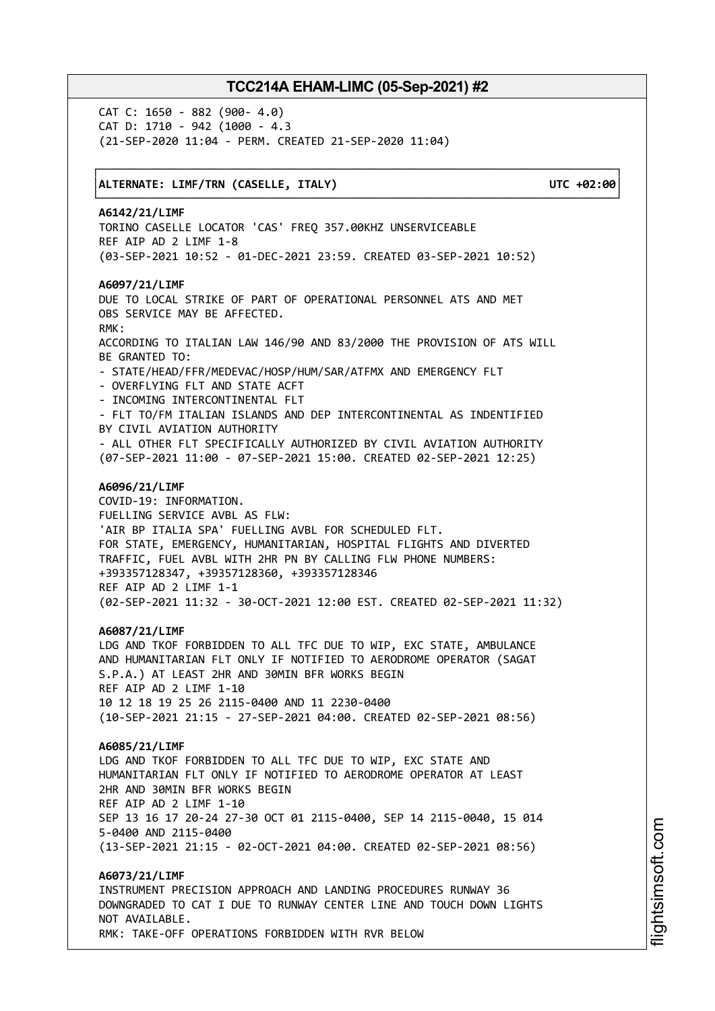└──────────────────────────────────────────────────────────────────────────────┘

CAT C: 1650 - 882 (900- 4.0) CAT D: 1710 - 942 (1000 - 4.3 (21-SEP-2020 11:04 - PERM. CREATED 21-SEP-2020 11:04)

### │**ALTERNATE: LIMF/TRN (CASELLE, ITALY) UTC +02:00**│

┌──────────────────────────────────────────────────────────────────────────────┐

### **A6142/21/LIMF**

TORINO CASELLE LOCATOR 'CAS' FREQ 357.00KHZ UNSERVICEABLE REF AIP AD 2 LIMF 1-8 (03-SEP-2021 10:52 - 01-DEC-2021 23:59. CREATED 03-SEP-2021 10:52)

### **A6097/21/LIMF**

DUE TO LOCAL STRIKE OF PART OF OPERATIONAL PERSONNEL ATS AND MET OBS SERVICE MAY BE AFFECTED. RMK: ACCORDING TO ITALIAN LAW 146/90 AND 83/2000 THE PROVISION OF ATS WILL BE GRANTED TO: - STATE/HEAD/FFR/MEDEVAC/HOSP/HUM/SAR/ATFMX AND EMERGENCY FLT - OVERFLYING FLT AND STATE ACFT - INCOMING INTERCONTINENTAL FLT - FLT TO/FM ITALIAN ISLANDS AND DEP INTERCONTINENTAL AS INDENTIFIED BY CIVIL AVIATION AUTHORITY - ALL OTHER FLT SPECIFICALLY AUTHORIZED BY CIVIL AVIATION AUTHORITY (07-SEP-2021 11:00 - 07-SEP-2021 15:00. CREATED 02-SEP-2021 12:25) **A6096/21/LIMF** COVID-19: INFORMATION. FUELLING SERVICE AVBL AS FLW: 'AIR BP ITALIA SPA' FUELLING AVBL FOR SCHEDULED FLT. FOR STATE, EMERGENCY, HUMANITARIAN, HOSPITAL FLIGHTS AND DIVERTED TRAFFIC, FUEL AVBL WITH 2HR PN BY CALLING FLW PHONE NUMBERS: +393357128347, +39357128360, +393357128346 REF AIP AD 2 LIMF 1-1

(02-SEP-2021 11:32 - 30-OCT-2021 12:00 EST. CREATED 02-SEP-2021 11:32)

### **A6087/21/LIMF**

LDG AND TKOF FORBIDDEN TO ALL TFC DUE TO WIP, EXC STATE, AMBULANCE AND HUMANITARIAN FLT ONLY IF NOTIFIED TO AERODROME OPERATOR (SAGAT S.P.A.) AT LEAST 2HR AND 30MIN BFR WORKS BEGIN REF AIP AD 2 LIMF 1-10 10 12 18 19 25 26 2115-0400 AND 11 2230-0400 (10-SEP-2021 21:15 - 27-SEP-2021 04:00. CREATED 02-SEP-2021 08:56)

#### **A6085/21/LIMF**

LDG AND TKOF FORBIDDEN TO ALL TFC DUE TO WIP, EXC STATE AND HUMANITARIAN FLT ONLY IF NOTIFIED TO AERODROME OPERATOR AT LEAST 2HR AND 30MIN BFR WORKS BEGIN REF AIP AD 2 LIMF 1-10 SEP 13 16 17 20-24 27-30 OCT 01 2115-0400, SEP 14 2115-0040, 15 014 5-0400 AND 2115-0400 (13-SEP-2021 21:15 - 02-OCT-2021 04:00. CREATED 02-SEP-2021 08:56)

**A6073/21/LIMF** INSTRUMENT PRECISION APPROACH AND LANDING PROCEDURES RUNWAY 36 DOWNGRADED TO CAT I DUE TO RUNWAY CENTER LINE AND TOUCH DOWN LIGHTS NOT AVAILABLE. RMK: TAKE-OFF OPERATIONS FORBIDDEN WITH RVR BELOW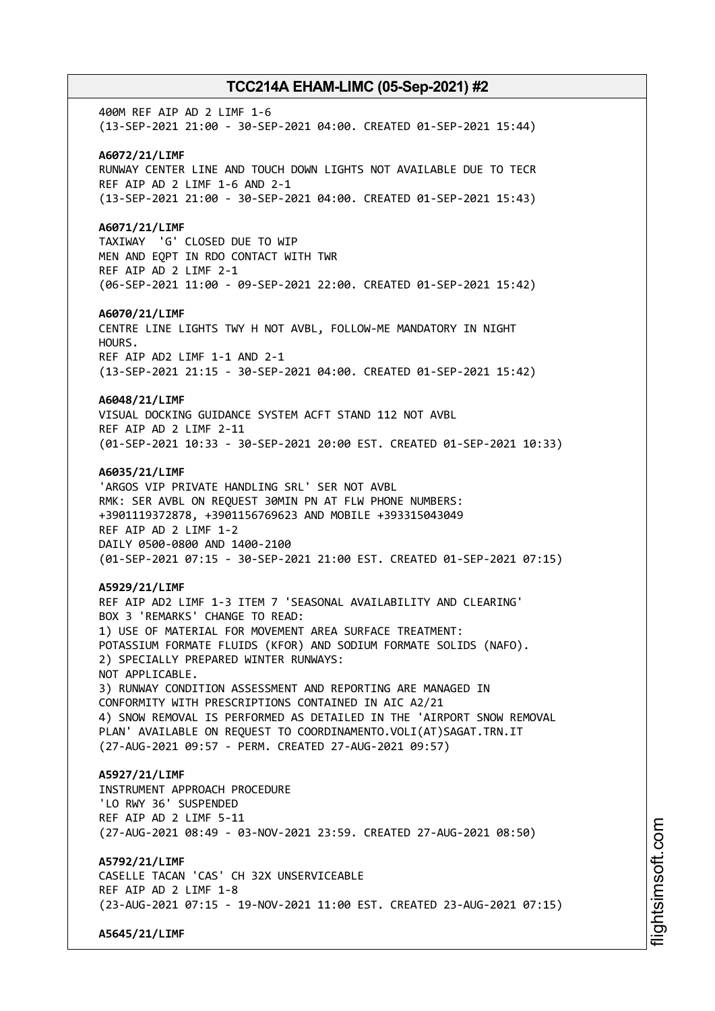400M REF AIP AD 2 LIMF 1-6 (13-SEP-2021 21:00 - 30-SEP-2021 04:00. CREATED 01-SEP-2021 15:44) **A6072/21/LIMF** RUNWAY CENTER LINE AND TOUCH DOWN LIGHTS NOT AVAILABLE DUE TO TECR REF AIP AD 2 LIMF 1-6 AND 2-1 (13-SEP-2021 21:00 - 30-SEP-2021 04:00. CREATED 01-SEP-2021 15:43) **A6071/21/LIMF** TAXIWAY 'G' CLOSED DUE TO WIP MEN AND EQPT IN RDO CONTACT WITH TWR REF AIP AD 2 LIMF 2-1 (06-SEP-2021 11:00 - 09-SEP-2021 22:00. CREATED 01-SEP-2021 15:42) **A6070/21/LIMF** CENTRE LINE LIGHTS TWY H NOT AVBL, FOLLOW-ME MANDATORY IN NIGHT HOURS. REF AIP AD2 LIMF 1-1 AND 2-1 (13-SEP-2021 21:15 - 30-SEP-2021 04:00. CREATED 01-SEP-2021 15:42) **A6048/21/LIMF** VISUAL DOCKING GUIDANCE SYSTEM ACFT STAND 112 NOT AVBL REF AIP AD 2 LIMF 2-11 (01-SEP-2021 10:33 - 30-SEP-2021 20:00 EST. CREATED 01-SEP-2021 10:33) **A6035/21/LIMF** 'ARGOS VIP PRIVATE HANDLING SRL' SER NOT AVBL RMK: SER AVBL ON REQUEST 30MIN PN AT FLW PHONE NUMBERS: +3901119372878, +3901156769623 AND MOBILE +393315043049 REF AIP AD 2 LIMF 1-2 DAILY 0500-0800 AND 1400-2100 (01-SEP-2021 07:15 - 30-SEP-2021 21:00 EST. CREATED 01-SEP-2021 07:15) **A5929/21/LIMF** REF AIP AD2 LIMF 1-3 ITEM 7 'SEASONAL AVAILABILITY AND CLEARING' BOX 3 'REMARKS' CHANGE TO READ: 1) USE OF MATERIAL FOR MOVEMENT AREA SURFACE TREATMENT: POTASSIUM FORMATE FLUIDS (KFOR) AND SODIUM FORMATE SOLIDS (NAFO). 2) SPECIALLY PREPARED WINTER RUNWAYS: NOT APPLICABLE. 3) RUNWAY CONDITION ASSESSMENT AND REPORTING ARE MANAGED IN CONFORMITY WITH PRESCRIPTIONS CONTAINED IN AIC A2/21 4) SNOW REMOVAL IS PERFORMED AS DETAILED IN THE 'AIRPORT SNOW REMOVAL PLAN' AVAILABLE ON REQUEST TO COORDINAMENTO.VOLI(AT)SAGAT.TRN.IT (27-AUG-2021 09:57 - PERM. CREATED 27-AUG-2021 09:57) **A5927/21/LIMF** INSTRUMENT APPROACH PROCEDURE 'LO RWY 36' SUSPENDED REF AIP AD 2 LIMF 5-11 (27-AUG-2021 08:49 - 03-NOV-2021 23:59. CREATED 27-AUG-2021 08:50) **A5792/21/LIMF** CASELLE TACAN 'CAS' CH 32X UNSERVICEABLE REF AIP AD 2 LIMF 1-8 (23-AUG-2021 07:15 - 19-NOV-2021 11:00 EST. CREATED 23-AUG-2021 07:15) **A5645/21/LIMF**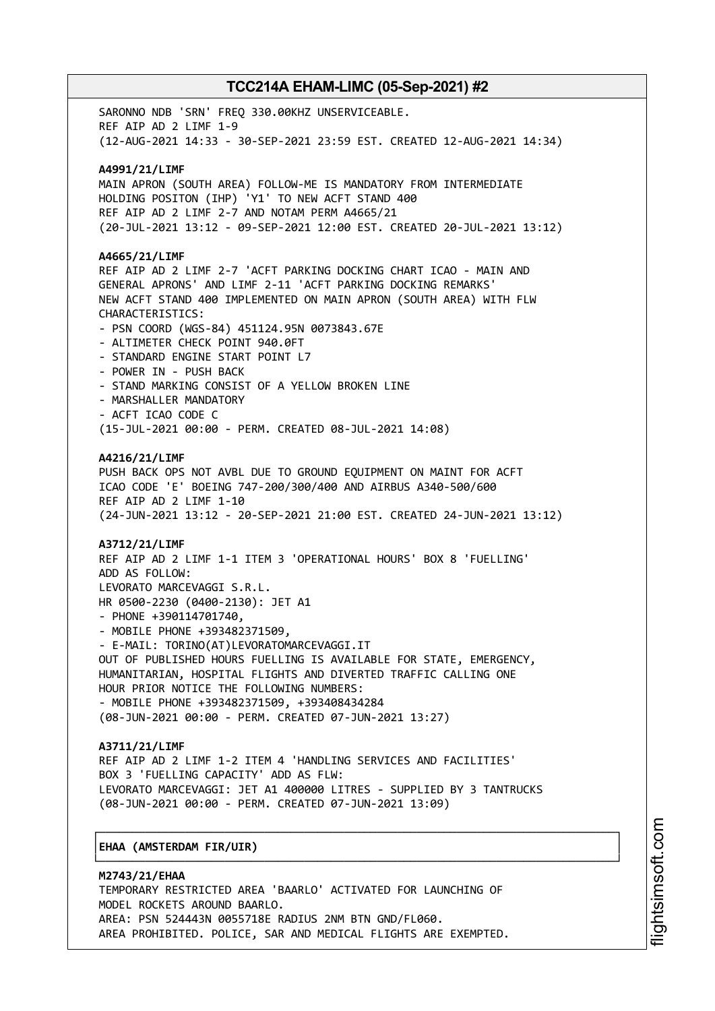SARONNO NDB 'SRN' FREQ 330.00KHZ UNSERVICEABLE. REF AIP AD 2 LIMF 1-9 (12-AUG-2021 14:33 - 30-SEP-2021 23:59 EST. CREATED 12-AUG-2021 14:34) **A4991/21/LIMF** MAIN APRON (SOUTH AREA) FOLLOW-ME IS MANDATORY FROM INTERMEDIATE HOLDING POSITON (IHP) 'Y1' TO NEW ACFT STAND 400 REF AIP AD 2 LIMF 2-7 AND NOTAM PERM A4665/21 (20-JUL-2021 13:12 - 09-SEP-2021 12:00 EST. CREATED 20-JUL-2021 13:12) **A4665/21/LIMF** REF AIP AD 2 LIMF 2-7 'ACFT PARKING DOCKING CHART ICAO - MAIN AND GENERAL APRONS' AND LIMF 2-11 'ACFT PARKING DOCKING REMARKS' NEW ACFT STAND 400 IMPLEMENTED ON MAIN APRON (SOUTH AREA) WITH FLW CHARACTERISTICS: - PSN COORD (WGS-84) 451124.95N 0073843.67E - ALTIMETER CHECK POINT 940.0FT - STANDARD ENGINE START POINT L7 - POWER IN - PUSH BACK - STAND MARKING CONSIST OF A YELLOW BROKEN LINE - MARSHALLER MANDATORY - ACFT ICAO CODE C (15-JUL-2021 00:00 - PERM. CREATED 08-JUL-2021 14:08) **A4216/21/LIMF** PUSH BACK OPS NOT AVBL DUE TO GROUND EQUIPMENT ON MAINT FOR ACFT ICAO CODE 'E' BOEING 747-200/300/400 AND AIRBUS A340-500/600 REF AIP AD 2 LIMF 1-10 (24-JUN-2021 13:12 - 20-SEP-2021 21:00 EST. CREATED 24-JUN-2021 13:12) **A3712/21/LIMF** REF AIP AD 2 LIMF 1-1 ITEM 3 'OPERATIONAL HOURS' BOX 8 'FUELLING' ADD AS FOLLOW: LEVORATO MARCEVAGGI S.R.L. HR 0500-2230 (0400-2130): JET A1 - PHONE +390114701740, - MOBILE PHONE +393482371509, - E-MAIL: TORINO(AT)LEVORATOMARCEVAGGI.IT OUT OF PUBLISHED HOURS FUELLING IS AVAILABLE FOR STATE, EMERGENCY, HUMANITARIAN, HOSPITAL FLIGHTS AND DIVERTED TRAFFIC CALLING ONE HOUR PRIOR NOTICE THE FOLLOWING NUMBERS: - MOBILE PHONE +393482371509, +393408434284 (08-JUN-2021 00:00 - PERM. CREATED 07-JUN-2021 13:27) **A3711/21/LIMF** REF AIP AD 2 LIMF 1-2 ITEM 4 'HANDLING SERVICES AND FACILITIES' BOX 3 'FUELLING CAPACITY' ADD AS FLW: LEVORATO MARCEVAGGI: JET A1 400000 LITRES - SUPPLIED BY 3 TANTRUCKS (08-JUN-2021 00:00 - PERM. CREATED 07-JUN-2021 13:09)

## │**EHAA (AMSTERDAM FIR/UIR)** │

**M2743/21/EHAA** TEMPORARY RESTRICTED AREA 'BAARLO' ACTIVATED FOR LAUNCHING OF MODEL ROCKETS AROUND BAARLO. AREA: PSN 524443N 0055718E RADIUS 2NM BTN GND/FL060. AREA PROHIBITED. POLICE, SAR AND MEDICAL FLIGHTS ARE EXEMPTED.

┌──────────────────────────────────────────────────────────────────────────────┐

└──────────────────────────────────────────────────────────────────────────────┘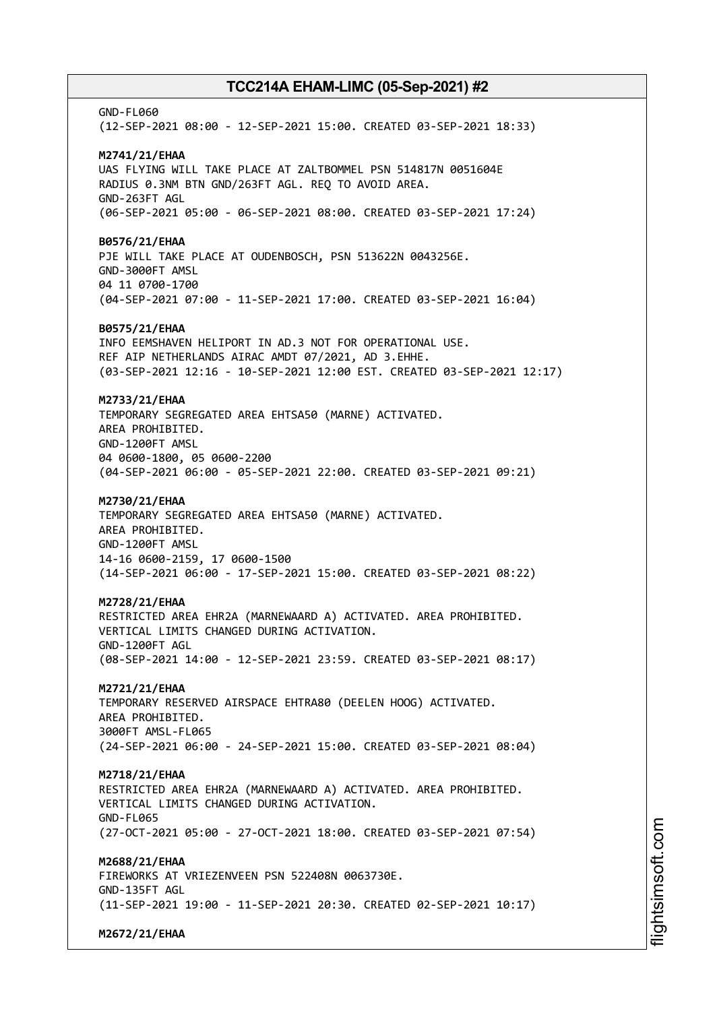GND-FL060 (12-SEP-2021 08:00 - 12-SEP-2021 15:00. CREATED 03-SEP-2021 18:33) **M2741/21/EHAA** UAS FLYING WILL TAKE PLACE AT ZALTBOMMEL PSN 514817N 0051604E RADIUS 0.3NM BTN GND/263FT AGL. REQ TO AVOID AREA. GND-263FT AGL (06-SEP-2021 05:00 - 06-SEP-2021 08:00. CREATED 03-SEP-2021 17:24) **B0576/21/EHAA** PJE WILL TAKE PLACE AT OUDENBOSCH, PSN 513622N 0043256E. GND-3000FT AMSL 04 11 0700-1700 (04-SEP-2021 07:00 - 11-SEP-2021 17:00. CREATED 03-SEP-2021 16:04) **B0575/21/EHAA** INFO EEMSHAVEN HELIPORT IN AD.3 NOT FOR OPERATIONAL USE. REF AIP NETHERLANDS AIRAC AMDT 07/2021, AD 3.EHHE. (03-SEP-2021 12:16 - 10-SEP-2021 12:00 EST. CREATED 03-SEP-2021 12:17) **M2733/21/EHAA** TEMPORARY SEGREGATED AREA EHTSA50 (MARNE) ACTIVATED. AREA PROHIBITED. GND-1200FT AMSL 04 0600-1800, 05 0600-2200 (04-SEP-2021 06:00 - 05-SEP-2021 22:00. CREATED 03-SEP-2021 09:21) **M2730/21/EHAA** TEMPORARY SEGREGATED AREA EHTSA50 (MARNE) ACTIVATED. AREA PROHIBITED. GND-1200FT AMSL 14-16 0600-2159, 17 0600-1500 (14-SEP-2021 06:00 - 17-SEP-2021 15:00. CREATED 03-SEP-2021 08:22) **M2728/21/EHAA** RESTRICTED AREA EHR2A (MARNEWAARD A) ACTIVATED. AREA PROHIBITED. VERTICAL LIMITS CHANGED DURING ACTIVATION. GND-1200FT AGL (08-SEP-2021 14:00 - 12-SEP-2021 23:59. CREATED 03-SEP-2021 08:17) **M2721/21/EHAA** TEMPORARY RESERVED AIRSPACE EHTRA80 (DEELEN HOOG) ACTIVATED. AREA PROHIBITED. 3000FT AMSL-FL065 (24-SEP-2021 06:00 - 24-SEP-2021 15:00. CREATED 03-SEP-2021 08:04) **M2718/21/EHAA** RESTRICTED AREA EHR2A (MARNEWAARD A) ACTIVATED. AREA PROHIBITED. VERTICAL LIMITS CHANGED DURING ACTIVATION. GND-FL065 (27-OCT-2021 05:00 - 27-OCT-2021 18:00. CREATED 03-SEP-2021 07:54) **M2688/21/EHAA** FIREWORKS AT VRIEZENVEEN PSN 522408N 0063730E. GND-135FT AGL (11-SEP-2021 19:00 - 11-SEP-2021 20:30. CREATED 02-SEP-2021 10:17) **M2672/21/EHAA**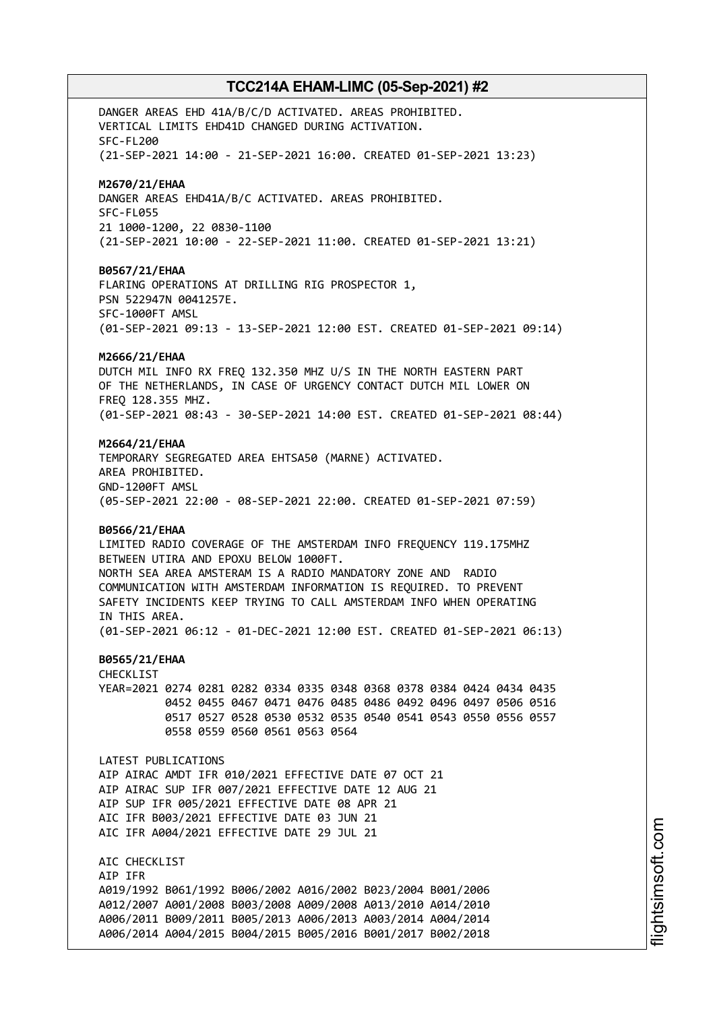DANGER AREAS EHD 41A/B/C/D ACTIVATED. AREAS PROHIBITED. VERTICAL LIMITS EHD41D CHANGED DURING ACTIVATION. SFC-FL200 (21-SEP-2021 14:00 - 21-SEP-2021 16:00. CREATED 01-SEP-2021 13:23) **M2670/21/EHAA** DANGER AREAS EHD41A/B/C ACTIVATED. AREAS PROHIBITED. SFC-FL055 21 1000-1200, 22 0830-1100 (21-SEP-2021 10:00 - 22-SEP-2021 11:00. CREATED 01-SEP-2021 13:21) **B0567/21/EHAA** FLARING OPERATIONS AT DRILLING RIG PROSPECTOR 1, PSN 522947N 0041257E. SFC-1000FT AMSL (01-SEP-2021 09:13 - 13-SEP-2021 12:00 EST. CREATED 01-SEP-2021 09:14) **M2666/21/EHAA** DUTCH MIL INFO RX FREQ 132.350 MHZ U/S IN THE NORTH EASTERN PART OF THE NETHERLANDS, IN CASE OF URGENCY CONTACT DUTCH MIL LOWER ON FREQ 128.355 MHZ. (01-SEP-2021 08:43 - 30-SEP-2021 14:00 EST. CREATED 01-SEP-2021 08:44) **M2664/21/EHAA** TEMPORARY SEGREGATED AREA EHTSA50 (MARNE) ACTIVATED. AREA PROHIBITED. GND-1200FT AMSL (05-SEP-2021 22:00 - 08-SEP-2021 22:00. CREATED 01-SEP-2021 07:59) **B0566/21/EHAA** LIMITED RADIO COVERAGE OF THE AMSTERDAM INFO FREQUENCY 119.175MHZ BETWEEN UTIRA AND EPOXU BELOW 1000FT. NORTH SEA AREA AMSTERAM IS A RADIO MANDATORY ZONE AND RADIO COMMUNICATION WITH AMSTERDAM INFORMATION IS REQUIRED. TO PREVENT SAFETY INCIDENTS KEEP TRYING TO CALL AMSTERDAM INFO WHEN OPERATING IN THIS AREA. (01-SEP-2021 06:12 - 01-DEC-2021 12:00 EST. CREATED 01-SEP-2021 06:13) **B0565/21/EHAA** CHECKLIST YEAR=2021 0274 0281 0282 0334 0335 0348 0368 0378 0384 0424 0434 0435 0452 0455 0467 0471 0476 0485 0486 0492 0496 0497 0506 0516 0517 0527 0528 0530 0532 0535 0540 0541 0543 0550 0556 0557 0558 0559 0560 0561 0563 0564 LATEST PUBLICATIONS AIP AIRAC AMDT IFR 010/2021 EFFECTIVE DATE 07 OCT 21 AIP AIRAC SUP IFR 007/2021 EFFECTIVE DATE 12 AUG 21 AIP SUP IFR 005/2021 EFFECTIVE DATE 08 APR 21 AIC IFR B003/2021 EFFECTIVE DATE 03 JUN 21 AIC IFR A004/2021 EFFECTIVE DATE 29 JUL 21 AIC CHECKLIST AIP IFR A019/1992 B061/1992 B006/2002 A016/2002 B023/2004 B001/2006 A012/2007 A001/2008 B003/2008 A009/2008 A013/2010 A014/2010 A006/2011 B009/2011 B005/2013 A006/2013 A003/2014 A004/2014 A006/2014 A004/2015 B004/2015 B005/2016 B001/2017 B002/2018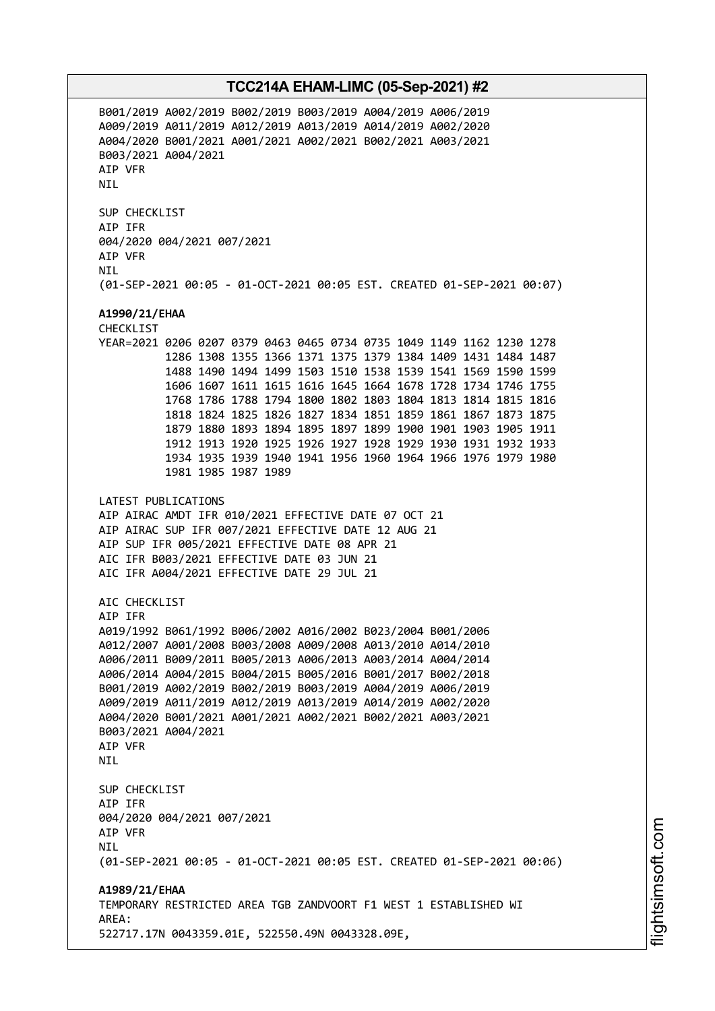B001/2019 A002/2019 B002/2019 B003/2019 A004/2019 A006/2019 A009/2019 A011/2019 A012/2019 A013/2019 A014/2019 A002/2020 A004/2020 B001/2021 A001/2021 A002/2021 B002/2021 A003/2021 B003/2021 A004/2021 AIP VFR NIL SUP CHECKLIST AIP IFR 004/2020 004/2021 007/2021 AIP VFR **NTI** (01-SEP-2021 00:05 - 01-OCT-2021 00:05 EST. CREATED 01-SEP-2021 00:07) **A1990/21/EHAA** CHECKLIST YEAR=2021 0206 0207 0379 0463 0465 0734 0735 1049 1149 1162 1230 1278 1286 1308 1355 1366 1371 1375 1379 1384 1409 1431 1484 1487 1488 1490 1494 1499 1503 1510 1538 1539 1541 1569 1590 1599 1606 1607 1611 1615 1616 1645 1664 1678 1728 1734 1746 1755 1768 1786 1788 1794 1800 1802 1803 1804 1813 1814 1815 1816 1818 1824 1825 1826 1827 1834 1851 1859 1861 1867 1873 1875 1879 1880 1893 1894 1895 1897 1899 1900 1901 1903 1905 1911 1912 1913 1920 1925 1926 1927 1928 1929 1930 1931 1932 1933 1934 1935 1939 1940 1941 1956 1960 1964 1966 1976 1979 1980 1981 1985 1987 1989 LATEST PUBLICATIONS AIP AIRAC AMDT IFR 010/2021 EFFECTIVE DATE 07 OCT 21 AIP AIRAC SUP IFR 007/2021 EFFECTIVE DATE 12 AUG 21 AIP SUP IFR 005/2021 EFFECTIVE DATE 08 APR 21 AIC IFR B003/2021 EFFECTIVE DATE 03 JUN 21 AIC IFR A004/2021 EFFECTIVE DATE 29 JUL 21 AIC CHECKLIST AIP IFR A019/1992 B061/1992 B006/2002 A016/2002 B023/2004 B001/2006 A012/2007 A001/2008 B003/2008 A009/2008 A013/2010 A014/2010 A006/2011 B009/2011 B005/2013 A006/2013 A003/2014 A004/2014 A006/2014 A004/2015 B004/2015 B005/2016 B001/2017 B002/2018 B001/2019 A002/2019 B002/2019 B003/2019 A004/2019 A006/2019 A009/2019 A011/2019 A012/2019 A013/2019 A014/2019 A002/2020 A004/2020 B001/2021 A001/2021 A002/2021 B002/2021 A003/2021 B003/2021 A004/2021 AIP VFR **NTL** SUP CHECKLIST AIP IFR 004/2020 004/2021 007/2021 AIP VFR **NTL** (01-SEP-2021 00:05 - 01-OCT-2021 00:05 EST. CREATED 01-SEP-2021 00:06) **A1989/21/EHAA** TEMPORARY RESTRICTED AREA TGB ZANDVOORT F1 WEST 1 ESTABLISHED WI AREA: 522717.17N 0043359.01E, 522550.49N 0043328.09E,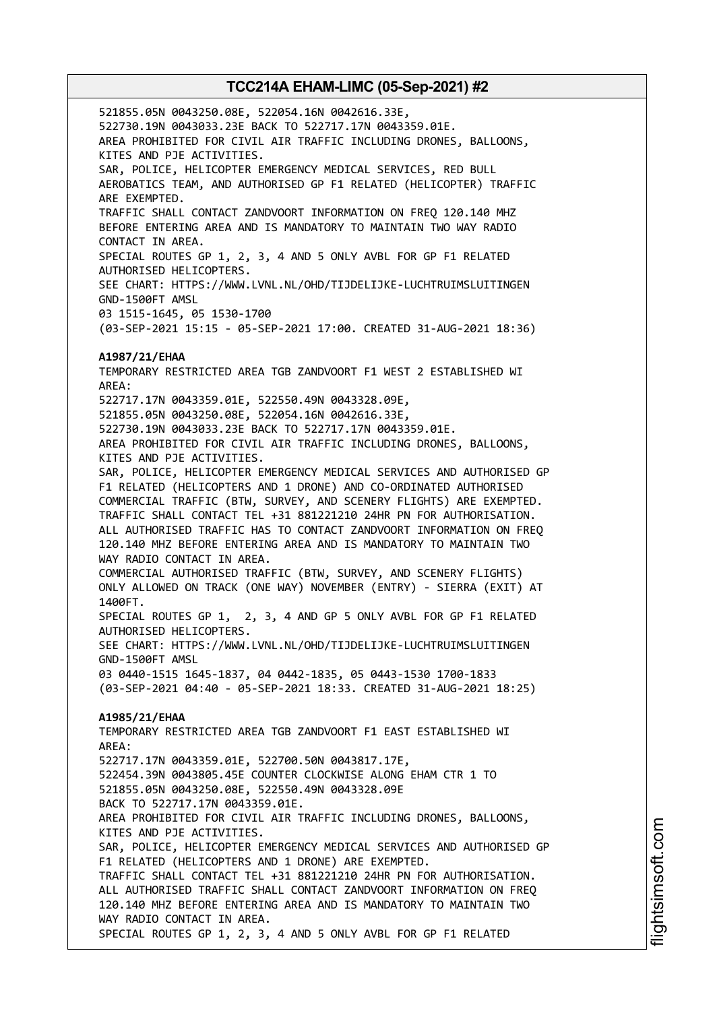521855.05N 0043250.08E, 522054.16N 0042616.33E, 522730.19N 0043033.23E BACK TO 522717.17N 0043359.01E. AREA PROHIBITED FOR CIVIL AIR TRAFFIC INCLUDING DRONES, BALLOONS, KITES AND PJE ACTIVITIES. SAR, POLICE, HELICOPTER EMERGENCY MEDICAL SERVICES, RED BULL AEROBATICS TEAM, AND AUTHORISED GP F1 RELATED (HELICOPTER) TRAFFIC ARE EXEMPTED. TRAFFIC SHALL CONTACT ZANDVOORT INFORMATION ON FREQ 120.140 MHZ BEFORE ENTERING AREA AND IS MANDATORY TO MAINTAIN TWO WAY RADIO CONTACT IN AREA. SPECIAL ROUTES GP 1, 2, 3, 4 AND 5 ONLY AVBL FOR GP F1 RELATED AUTHORISED HELICOPTERS. SEE CHART: HTTPS://WWW.LVNL.NL/OHD/TIJDELIJKE-LUCHTRUIMSLUITINGEN GND-1500FT AMSL 03 1515-1645, 05 1530-1700 (03-SEP-2021 15:15 - 05-SEP-2021 17:00. CREATED 31-AUG-2021 18:36) **A1987/21/EHAA** TEMPORARY RESTRICTED AREA TGB ZANDVOORT F1 WEST 2 ESTABLISHED WI AREA: 522717.17N 0043359.01E, 522550.49N 0043328.09E, 521855.05N 0043250.08E, 522054.16N 0042616.33E, 522730.19N 0043033.23E BACK TO 522717.17N 0043359.01E. AREA PROHIBITED FOR CIVIL AIR TRAFFIC INCLUDING DRONES, BALLOONS, KITES AND PJE ACTIVITIES. SAR, POLICE, HELICOPTER EMERGENCY MEDICAL SERVICES AND AUTHORISED GP F1 RELATED (HELICOPTERS AND 1 DRONE) AND CO-ORDINATED AUTHORISED COMMERCIAL TRAFFIC (BTW, SURVEY, AND SCENERY FLIGHTS) ARE EXEMPTED. TRAFFIC SHALL CONTACT TEL +31 881221210 24HR PN FOR AUTHORISATION. ALL AUTHORISED TRAFFIC HAS TO CONTACT ZANDVOORT INFORMATION ON FREQ 120.140 MHZ BEFORE ENTERING AREA AND IS MANDATORY TO MAINTAIN TWO WAY RADIO CONTACT IN AREA. COMMERCIAL AUTHORISED TRAFFIC (BTW, SURVEY, AND SCENERY FLIGHTS) ONLY ALLOWED ON TRACK (ONE WAY) NOVEMBER (ENTRY) - SIERRA (EXIT) AT 1400FT. SPECIAL ROUTES GP 1, 2, 3, 4 AND GP 5 ONLY AVBL FOR GP F1 RELATED AUTHORISED HELICOPTERS. SEE CHART: HTTPS://WWW.LVNL.NL/OHD/TIJDELIJKE-LUCHTRUIMSLUITINGEN GND-1500FT AMSL 03 0440-1515 1645-1837, 04 0442-1835, 05 0443-1530 1700-1833 (03-SEP-2021 04:40 - 05-SEP-2021 18:33. CREATED 31-AUG-2021 18:25) **A1985/21/EHAA** TEMPORARY RESTRICTED AREA TGB ZANDVOORT F1 EAST ESTABLISHED WI AREA: 522717.17N 0043359.01E, 522700.50N 0043817.17E, 522454.39N 0043805.45E COUNTER CLOCKWISE ALONG EHAM CTR 1 TO 521855.05N 0043250.08E, 522550.49N 0043328.09E BACK TO 522717.17N 0043359.01E. AREA PROHIBITED FOR CIVIL AIR TRAFFIC INCLUDING DRONES, BALLOONS, KITES AND PJE ACTIVITIES. SAR, POLICE, HELICOPTER EMERGENCY MEDICAL SERVICES AND AUTHORISED GP F1 RELATED (HELICOPTERS AND 1 DRONE) ARE EXEMPTED. TRAFFIC SHALL CONTACT TEL +31 881221210 24HR PN FOR AUTHORISATION. ALL AUTHORISED TRAFFIC SHALL CONTACT ZANDVOORT INFORMATION ON FREQ 120.140 MHZ BEFORE ENTERING AREA AND IS MANDATORY TO MAINTAIN TWO WAY RADIO CONTACT IN AREA. SPECIAL ROUTES GP 1, 2, 3, 4 AND 5 ONLY AVBL FOR GP F1 RELATED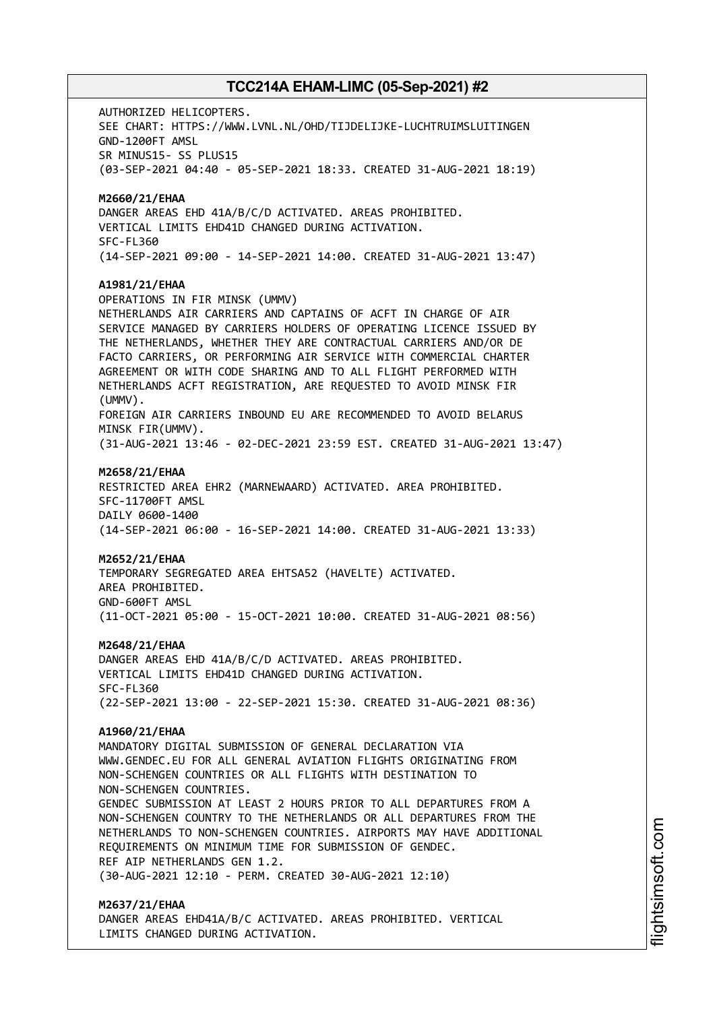AUTHORIZED HELICOPTERS. SEE CHART: HTTPS://WWW.LVNL.NL/OHD/TIJDELIJKE-LUCHTRUIMSLUITINGEN GND-1200FT AMSL SR MINUS15- SS PLUS15 (03-SEP-2021 04:40 - 05-SEP-2021 18:33. CREATED 31-AUG-2021 18:19) **M2660/21/EHAA** DANGER AREAS EHD 41A/B/C/D ACTIVATED. AREAS PROHIBITED. VERTICAL LIMITS EHD41D CHANGED DURING ACTIVATION. SFC-FL360 (14-SEP-2021 09:00 - 14-SEP-2021 14:00. CREATED 31-AUG-2021 13:47) **A1981/21/EHAA** OPERATIONS IN FIR MINSK (UMMV) NETHERLANDS AIR CARRIERS AND CAPTAINS OF ACFT IN CHARGE OF AIR SERVICE MANAGED BY CARRIERS HOLDERS OF OPERATING LICENCE ISSUED BY THE NETHERLANDS, WHETHER THEY ARE CONTRACTUAL CARRIERS AND/OR DE FACTO CARRIERS, OR PERFORMING AIR SERVICE WITH COMMERCIAL CHARTER AGREEMENT OR WITH CODE SHARING AND TO ALL FLIGHT PERFORMED WITH NETHERLANDS ACFT REGISTRATION, ARE REQUESTED TO AVOID MINSK FIR (UMMV). FOREIGN AIR CARRIERS INBOUND EU ARE RECOMMENDED TO AVOID BELARUS MINSK FIR(UMMV). (31-AUG-2021 13:46 - 02-DEC-2021 23:59 EST. CREATED 31-AUG-2021 13:47) **M2658/21/EHAA** RESTRICTED AREA EHR2 (MARNEWAARD) ACTIVATED. AREA PROHIBITED. SFC-11700FT AMSL DAILY 0600-1400 (14-SEP-2021 06:00 - 16-SEP-2021 14:00. CREATED 31-AUG-2021 13:33) **M2652/21/EHAA** TEMPORARY SEGREGATED AREA EHTSA52 (HAVELTE) ACTIVATED. AREA PROHIBITED. GND-600FT AMSL (11-OCT-2021 05:00 - 15-OCT-2021 10:00. CREATED 31-AUG-2021 08:56) **M2648/21/EHAA** DANGER AREAS EHD 41A/B/C/D ACTIVATED. AREAS PROHIBITED. VERTICAL LIMITS EHD41D CHANGED DURING ACTIVATION. SFC-FL360 (22-SEP-2021 13:00 - 22-SEP-2021 15:30. CREATED 31-AUG-2021 08:36) **A1960/21/EHAA** MANDATORY DIGITAL SUBMISSION OF GENERAL DECLARATION VIA WWW.GENDEC.EU FOR ALL GENERAL AVIATION FLIGHTS ORIGINATING FROM NON-SCHENGEN COUNTRIES OR ALL FLIGHTS WITH DESTINATION TO NON-SCHENGEN COUNTRIES. GENDEC SUBMISSION AT LEAST 2 HOURS PRIOR TO ALL DEPARTURES FROM A NON-SCHENGEN COUNTRY TO THE NETHERLANDS OR ALL DEPARTURES FROM THE NETHERLANDS TO NON-SCHENGEN COUNTRIES. AIRPORTS MAY HAVE ADDITIONAL REQUIREMENTS ON MINIMUM TIME FOR SUBMISSION OF GENDEC. REF AIP NETHERLANDS GEN 1.2. (30-AUG-2021 12:10 - PERM. CREATED 30-AUG-2021 12:10) **M2637/21/EHAA**

DANGER AREAS EHD41A/B/C ACTIVATED. AREAS PROHIBITED. VERTICAL LIMITS CHANGED DURING ACTIVATION.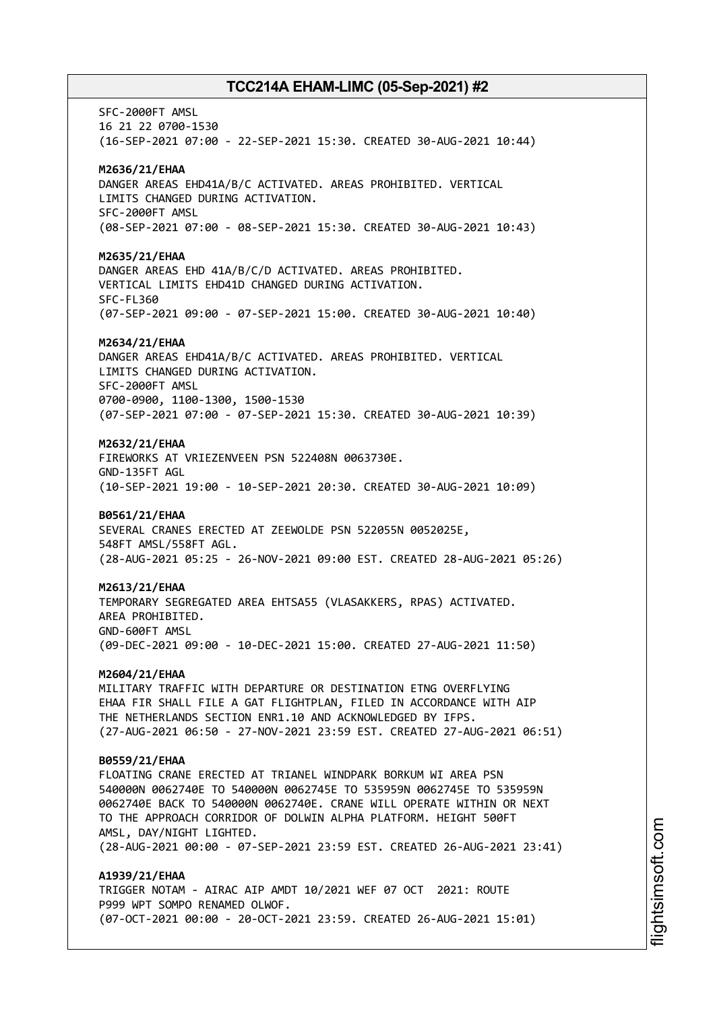SFC-2000FT AMSL 16 21 22 0700-1530 (16-SEP-2021 07:00 - 22-SEP-2021 15:30. CREATED 30-AUG-2021 10:44) **M2636/21/EHAA** DANGER AREAS EHD41A/B/C ACTIVATED. AREAS PROHIBITED. VERTICAL LIMITS CHANGED DURING ACTIVATION. SFC-2000FT AMSL (08-SEP-2021 07:00 - 08-SEP-2021 15:30. CREATED 30-AUG-2021 10:43) **M2635/21/EHAA** DANGER AREAS EHD 41A/B/C/D ACTIVATED. AREAS PROHIBITED. VERTICAL LIMITS EHD41D CHANGED DURING ACTIVATION. SFC-FL360 (07-SEP-2021 09:00 - 07-SEP-2021 15:00. CREATED 30-AUG-2021 10:40) **M2634/21/EHAA** DANGER AREAS EHD41A/B/C ACTIVATED. AREAS PROHIBITED. VERTICAL LIMITS CHANGED DURING ACTIVATION. SFC-2000FT AMSL 0700-0900, 1100-1300, 1500-1530 (07-SEP-2021 07:00 - 07-SEP-2021 15:30. CREATED 30-AUG-2021 10:39) **M2632/21/EHAA** FIREWORKS AT VRIEZENVEEN PSN 522408N 0063730E. GND-135FT AGL (10-SEP-2021 19:00 - 10-SEP-2021 20:30. CREATED 30-AUG-2021 10:09) **B0561/21/EHAA** SEVERAL CRANES ERECTED AT ZEEWOLDE PSN 522055N 0052025E, 548FT AMSL/558FT AGL. (28-AUG-2021 05:25 - 26-NOV-2021 09:00 EST. CREATED 28-AUG-2021 05:26) **M2613/21/EHAA** TEMPORARY SEGREGATED AREA EHTSA55 (VLASAKKERS, RPAS) ACTIVATED. AREA PROHIBITED. GND-600FT AMSL (09-DEC-2021 09:00 - 10-DEC-2021 15:00. CREATED 27-AUG-2021 11:50) **M2604/21/EHAA** MILITARY TRAFFIC WITH DEPARTURE OR DESTINATION ETNG OVERFLYING EHAA FIR SHALL FILE A GAT FLIGHTPLAN, FILED IN ACCORDANCE WITH AIP THE NETHERLANDS SECTION ENR1.10 AND ACKNOWLEDGED BY IFPS. (27-AUG-2021 06:50 - 27-NOV-2021 23:59 EST. CREATED 27-AUG-2021 06:51) **B0559/21/EHAA** FLOATING CRANE ERECTED AT TRIANEL WINDPARK BORKUM WI AREA PSN 540000N 0062740E TO 540000N 0062745E TO 535959N 0062745E TO 535959N 0062740E BACK TO 540000N 0062740E. CRANE WILL OPERATE WITHIN OR NEXT TO THE APPROACH CORRIDOR OF DOLWIN ALPHA PLATFORM. HEIGHT 500FT AMSL, DAY/NIGHT LIGHTED. (28-AUG-2021 00:00 - 07-SEP-2021 23:59 EST. CREATED 26-AUG-2021 23:41) **A1939/21/EHAA** TRIGGER NOTAM - AIRAC AIP AMDT 10/2021 WEF 07 OCT 2021: ROUTE

P999 WPT SOMPO RENAMED OLWOF. (07-OCT-2021 00:00 - 20-OCT-2021 23:59. CREATED 26-AUG-2021 15:01)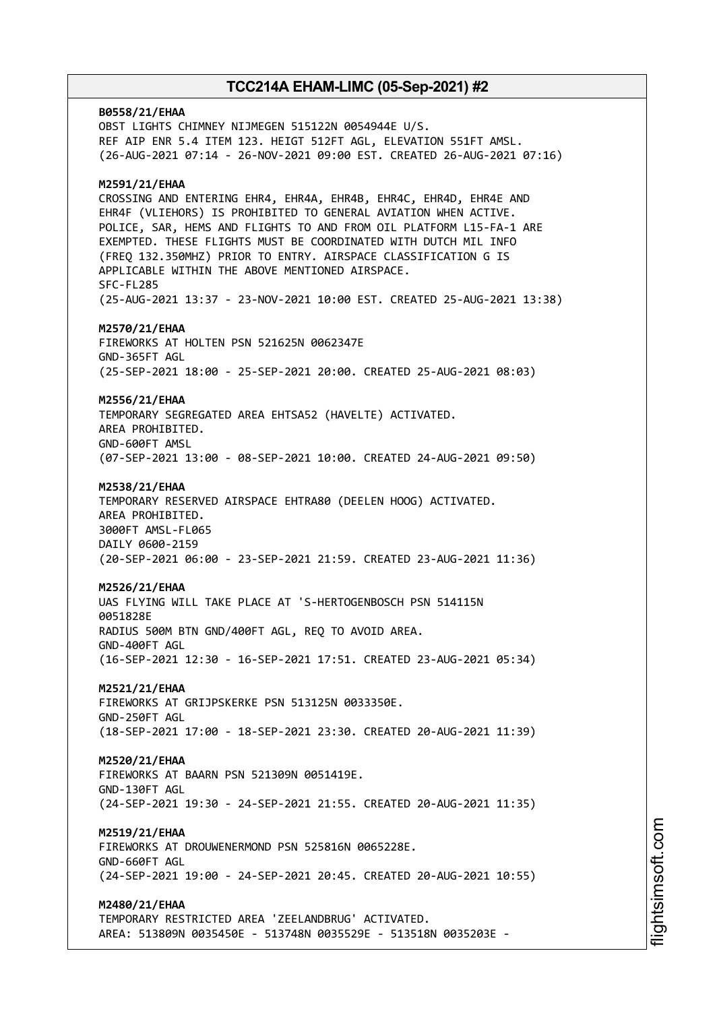**B0558/21/EHAA** OBST LIGHTS CHIMNEY NIJMEGEN 515122N 0054944E U/S. REF AIP ENR 5.4 ITEM 123. HEIGT 512FT AGL, ELEVATION 551FT AMSL. (26-AUG-2021 07:14 - 26-NOV-2021 09:00 EST. CREATED 26-AUG-2021 07:16) **M2591/21/EHAA** CROSSING AND ENTERING EHR4, EHR4A, EHR4B, EHR4C, EHR4D, EHR4E AND EHR4F (VLIEHORS) IS PROHIBITED TO GENERAL AVIATION WHEN ACTIVE. POLICE, SAR, HEMS AND FLIGHTS TO AND FROM OIL PLATFORM L15-FA-1 ARE EXEMPTED. THESE FLIGHTS MUST BE COORDINATED WITH DUTCH MIL INFO (FREQ 132.350MHZ) PRIOR TO ENTRY. AIRSPACE CLASSIFICATION G IS APPLICABLE WITHIN THE ABOVE MENTIONED AIRSPACE. SFC-FL285 (25-AUG-2021 13:37 - 23-NOV-2021 10:00 EST. CREATED 25-AUG-2021 13:38) **M2570/21/EHAA** FIREWORKS AT HOLTEN PSN 521625N 0062347E GND-365FT AGL (25-SEP-2021 18:00 - 25-SEP-2021 20:00. CREATED 25-AUG-2021 08:03) **M2556/21/EHAA** TEMPORARY SEGREGATED AREA EHTSA52 (HAVELTE) ACTIVATED. AREA PROHIBITED. GND-600FT AMSL (07-SEP-2021 13:00 - 08-SEP-2021 10:00. CREATED 24-AUG-2021 09:50) **M2538/21/EHAA** TEMPORARY RESERVED AIRSPACE EHTRA80 (DEELEN HOOG) ACTIVATED. AREA PROHIBITED. 3000FT AMSL-FL065 DAILY 0600-2159 (20-SEP-2021 06:00 - 23-SEP-2021 21:59. CREATED 23-AUG-2021 11:36) **M2526/21/EHAA** UAS FLYING WILL TAKE PLACE AT 'S-HERTOGENBOSCH PSN 514115N 0051828E RADIUS 500M BTN GND/400FT AGL, REQ TO AVOID AREA. GND-400FT AGL (16-SEP-2021 12:30 - 16-SEP-2021 17:51. CREATED 23-AUG-2021 05:34) **M2521/21/EHAA** FIREWORKS AT GRIJPSKERKE PSN 513125N 0033350E. GND-250FT AGL (18-SEP-2021 17:00 - 18-SEP-2021 23:30. CREATED 20-AUG-2021 11:39) **M2520/21/EHAA** FIREWORKS AT BAARN PSN 521309N 0051419E. GND-130FT AGL (24-SEP-2021 19:30 - 24-SEP-2021 21:55. CREATED 20-AUG-2021 11:35) **M2519/21/EHAA** FIREWORKS AT DROUWENERMOND PSN 525816N 0065228E. GND-660FT AGL (24-SEP-2021 19:00 - 24-SEP-2021 20:45. CREATED 20-AUG-2021 10:55) **M2480/21/EHAA** TEMPORARY RESTRICTED AREA 'ZEELANDBRUG' ACTIVATED. AREA: 513809N 0035450E - 513748N 0035529E - 513518N 0035203E -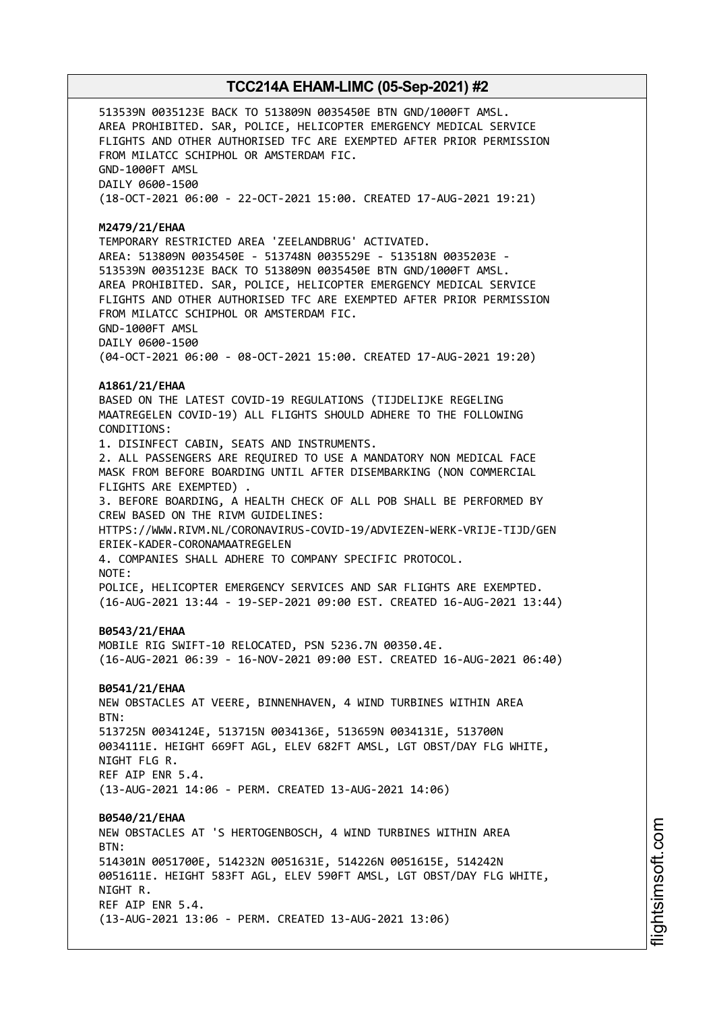513539N 0035123E BACK TO 513809N 0035450E BTN GND/1000FT AMSL. AREA PROHIBITED. SAR, POLICE, HELICOPTER EMERGENCY MEDICAL SERVICE FLIGHTS AND OTHER AUTHORISED TFC ARE EXEMPTED AFTER PRIOR PERMISSION FROM MILATCC SCHIPHOL OR AMSTERDAM FIC. GND-1000FT AMSL DAILY 0600-1500 (18-OCT-2021 06:00 - 22-OCT-2021 15:00. CREATED 17-AUG-2021 19:21) **M2479/21/EHAA** TEMPORARY RESTRICTED AREA 'ZEELANDBRUG' ACTIVATED. AREA: 513809N 0035450E - 513748N 0035529E - 513518N 0035203E - 513539N 0035123E BACK TO 513809N 0035450E BTN GND/1000FT AMSL. AREA PROHIBITED. SAR, POLICE, HELICOPTER EMERGENCY MEDICAL SERVICE FLIGHTS AND OTHER AUTHORISED TFC ARE EXEMPTED AFTER PRIOR PERMISSION FROM MILATCC SCHIPHOL OR AMSTERDAM FIC. GND-1000FT AMSL DAILY 0600-1500 (04-OCT-2021 06:00 - 08-OCT-2021 15:00. CREATED 17-AUG-2021 19:20) **A1861/21/EHAA** BASED ON THE LATEST COVID-19 REGULATIONS (TIJDELIJKE REGELING MAATREGELEN COVID-19) ALL FLIGHTS SHOULD ADHERE TO THE FOLLOWING CONDITIONS: 1. DISINFECT CABIN, SEATS AND INSTRUMENTS. 2. ALL PASSENGERS ARE REQUIRED TO USE A MANDATORY NON MEDICAL FACE MASK FROM BEFORE BOARDING UNTIL AFTER DISEMBARKING (NON COMMERCIAL FLIGHTS ARE EXEMPTED) . 3. BEFORE BOARDING, A HEALTH CHECK OF ALL POB SHALL BE PERFORMED BY CREW BASED ON THE RIVM GUIDELINES: HTTPS://WWW.RIVM.NL/CORONAVIRUS-COVID-19/ADVIEZEN-WERK-VRIJE-TIJD/GEN ERIEK-KADER-CORONAMAATREGELEN 4. COMPANIES SHALL ADHERE TO COMPANY SPECIFIC PROTOCOL. NOTE: POLICE, HELICOPTER EMERGENCY SERVICES AND SAR FLIGHTS ARE EXEMPTED. (16-AUG-2021 13:44 - 19-SEP-2021 09:00 EST. CREATED 16-AUG-2021 13:44) **B0543/21/EHAA** MOBILE RIG SWIFT-10 RELOCATED, PSN 5236.7N 00350.4E. (16-AUG-2021 06:39 - 16-NOV-2021 09:00 EST. CREATED 16-AUG-2021 06:40) **B0541/21/EHAA** NEW OBSTACLES AT VEERE, BINNENHAVEN, 4 WIND TURBINES WITHIN AREA BTN: 513725N 0034124E, 513715N 0034136E, 513659N 0034131E, 513700N 0034111E. HEIGHT 669FT AGL, ELEV 682FT AMSL, LGT OBST/DAY FLG WHITE, NIGHT FLG R. REF AIP ENR 5.4. (13-AUG-2021 14:06 - PERM. CREATED 13-AUG-2021 14:06) **B0540/21/EHAA** NEW OBSTACLES AT 'S HERTOGENBOSCH, 4 WIND TURBINES WITHIN AREA  $RTN$ 514301N 0051700E, 514232N 0051631E, 514226N 0051615E, 514242N 0051611E. HEIGHT 583FT AGL, ELEV 590FT AMSL, LGT OBST/DAY FLG WHITE, NIGHT R. REF AIP ENR 5.4. (13-AUG-2021 13:06 - PERM. CREATED 13-AUG-2021 13:06)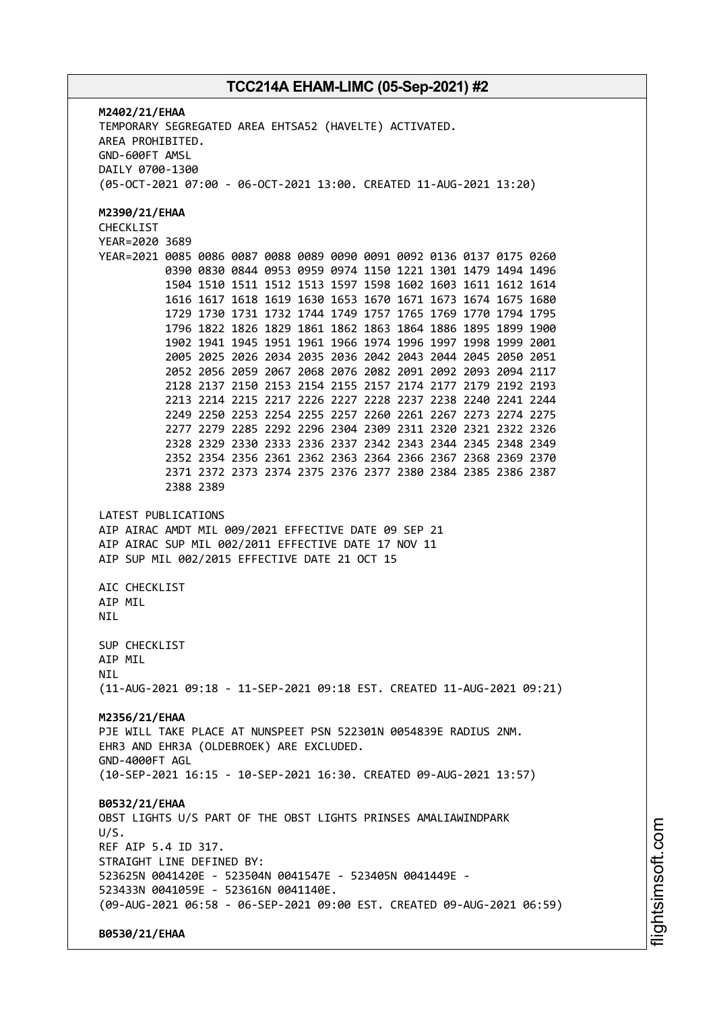**M2402/21/EHAA** TEMPORARY SEGREGATED AREA EHTSA52 (HAVELTE) ACTIVATED. AREA PROHIBITED. GND-600FT AMSL DAILY 0700-1300 (05-OCT-2021 07:00 - 06-OCT-2021 13:00. CREATED 11-AUG-2021 13:20) **M2390/21/EHAA** CHECKLIST YEAR=2020 3689 YEAR=2021 0085 0086 0087 0088 0089 0090 0091 0092 0136 0137 0175 0260 0390 0830 0844 0953 0959 0974 1150 1221 1301 1479 1494 1496 1504 1510 1511 1512 1513 1597 1598 1602 1603 1611 1612 1614 1616 1617 1618 1619 1630 1653 1670 1671 1673 1674 1675 1680 1729 1730 1731 1732 1744 1749 1757 1765 1769 1770 1794 1795 1796 1822 1826 1829 1861 1862 1863 1864 1886 1895 1899 1900 1902 1941 1945 1951 1961 1966 1974 1996 1997 1998 1999 2001 2005 2025 2026 2034 2035 2036 2042 2043 2044 2045 2050 2051 2052 2056 2059 2067 2068 2076 2082 2091 2092 2093 2094 2117 2128 2137 2150 2153 2154 2155 2157 2174 2177 2179 2192 2193 2213 2214 2215 2217 2226 2227 2228 2237 2238 2240 2241 2244 2249 2250 2253 2254 2255 2257 2260 2261 2267 2273 2274 2275 2277 2279 2285 2292 2296 2304 2309 2311 2320 2321 2322 2326 2328 2329 2330 2333 2336 2337 2342 2343 2344 2345 2348 2349 2352 2354 2356 2361 2362 2363 2364 2366 2367 2368 2369 2370 2371 2372 2373 2374 2375 2376 2377 2380 2384 2385 2386 2387 2388 2389 LATEST PUBLICATIONS AIP AIRAC AMDT MIL 009/2021 EFFECTIVE DATE 09 SEP 21 AIP AIRAC SUP MIL 002/2011 EFFECTIVE DATE 17 NOV 11 AIP SUP MIL 002/2015 EFFECTIVE DATE 21 OCT 15 AIC CHECKLIST AIP MIL **NTI** SUP CHECKLIST AIP MIL **NTI** (11-AUG-2021 09:18 - 11-SEP-2021 09:18 EST. CREATED 11-AUG-2021 09:21) **M2356/21/EHAA** PJE WILL TAKE PLACE AT NUNSPEET PSN 522301N 0054839E RADIUS 2NM. EHR3 AND EHR3A (OLDEBROEK) ARE EXCLUDED. GND-4000FT AGL (10-SEP-2021 16:15 - 10-SEP-2021 16:30. CREATED 09-AUG-2021 13:57) **B0532/21/EHAA** OBST LIGHTS U/S PART OF THE OBST LIGHTS PRINSES AMALIAWINDPARK U/S. REF AIP 5.4 ID 317. STRAIGHT LINE DEFINED BY: 523625N 0041420E - 523504N 0041547E - 523405N 0041449E - 523433N 0041059E - 523616N 0041140E. (09-AUG-2021 06:58 - 06-SEP-2021 09:00 EST. CREATED 09-AUG-2021 06:59) **B0530/21/EHAA**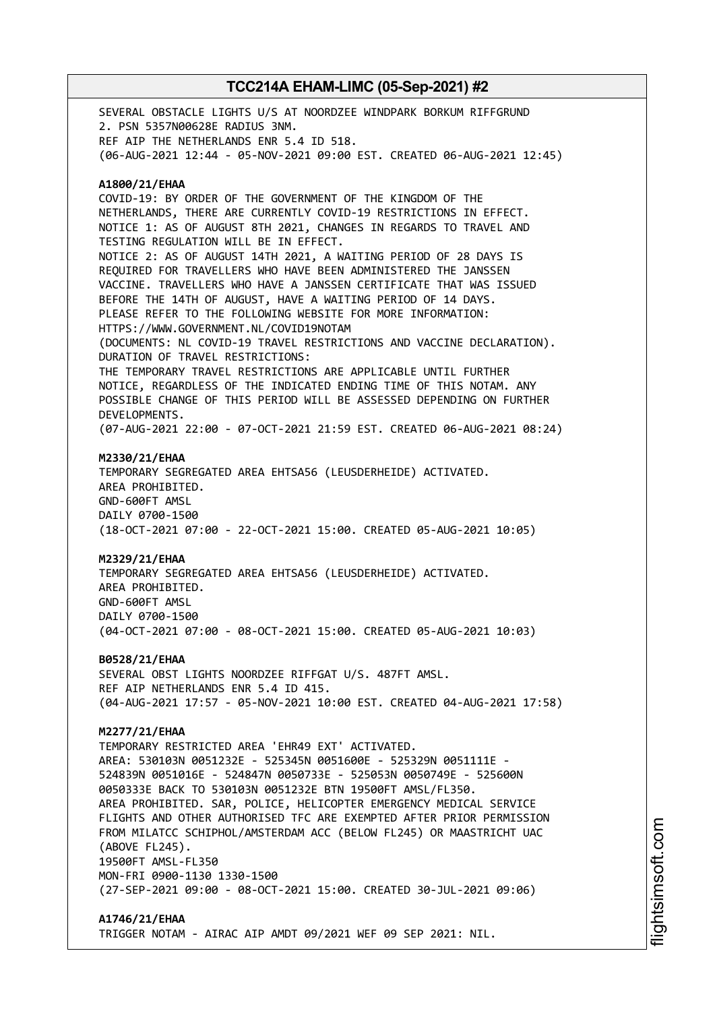SEVERAL OBSTACLE LIGHTS U/S AT NOORDZEE WINDPARK BORKUM RIFFGRUND 2. PSN 5357N00628E RADIUS 3NM. REF AIP THE NETHERLANDS ENR 5.4 ID 518. (06-AUG-2021 12:44 - 05-NOV-2021 09:00 EST. CREATED 06-AUG-2021 12:45) **A1800/21/EHAA** COVID-19: BY ORDER OF THE GOVERNMENT OF THE KINGDOM OF THE NETHERLANDS, THERE ARE CURRENTLY COVID-19 RESTRICTIONS IN EFFECT. NOTICE 1: AS OF AUGUST 8TH 2021, CHANGES IN REGARDS TO TRAVEL AND TESTING REGULATION WILL BE IN EFFECT. NOTICE 2: AS OF AUGUST 14TH 2021, A WAITING PERIOD OF 28 DAYS IS REQUIRED FOR TRAVELLERS WHO HAVE BEEN ADMINISTERED THE JANSSEN VACCINE. TRAVELLERS WHO HAVE A JANSSEN CERTIFICATE THAT WAS ISSUED BEFORE THE 14TH OF AUGUST, HAVE A WAITING PERIOD OF 14 DAYS. PLEASE REFER TO THE FOLLOWING WEBSITE FOR MORE INFORMATION: HTTPS://WWW.GOVERNMENT.NL/COVID19NOTAM (DOCUMENTS: NL COVID-19 TRAVEL RESTRICTIONS AND VACCINE DECLARATION). DURATION OF TRAVEL RESTRICTIONS: THE TEMPORARY TRAVEL RESTRICTIONS ARE APPLICABLE UNTIL FURTHER NOTICE, REGARDLESS OF THE INDICATED ENDING TIME OF THIS NOTAM. ANY POSSIBLE CHANGE OF THIS PERIOD WILL BE ASSESSED DEPENDING ON FURTHER DEVELOPMENTS. (07-AUG-2021 22:00 - 07-OCT-2021 21:59 EST. CREATED 06-AUG-2021 08:24) **M2330/21/EHAA** TEMPORARY SEGREGATED AREA EHTSA56 (LEUSDERHEIDE) ACTIVATED. AREA PROHIBITED. GND-600FT AMSL DAILY 0700-1500 (18-OCT-2021 07:00 - 22-OCT-2021 15:00. CREATED 05-AUG-2021 10:05) **M2329/21/EHAA** TEMPORARY SEGREGATED AREA EHTSA56 (LEUSDERHEIDE) ACTIVATED. AREA PROHIBITED. GND-600FT AMSL DAILY 0700-1500 (04-OCT-2021 07:00 - 08-OCT-2021 15:00. CREATED 05-AUG-2021 10:03) **B0528/21/EHAA** SEVERAL OBST LIGHTS NOORDZEE RIFFGAT U/S. 487FT AMSL. REF AIP NETHERLANDS ENR 5.4 ID 415. (04-AUG-2021 17:57 - 05-NOV-2021 10:00 EST. CREATED 04-AUG-2021 17:58) **M2277/21/EHAA** TEMPORARY RESTRICTED AREA 'EHR49 EXT' ACTIVATED. AREA: 530103N 0051232E - 525345N 0051600E - 525329N 0051111E - 524839N 0051016E - 524847N 0050733E - 525053N 0050749E - 525600N 0050333E BACK TO 530103N 0051232E BTN 19500FT AMSL/FL350. AREA PROHIBITED. SAR, POLICE, HELICOPTER EMERGENCY MEDICAL SERVICE FLIGHTS AND OTHER AUTHORISED TFC ARE EXEMPTED AFTER PRIOR PERMISSION FROM MILATCC SCHIPHOL/AMSTERDAM ACC (BELOW FL245) OR MAASTRICHT UAC (ABOVE FL245). 19500FT AMSL-FL350 MON-FRI 0900-1130 1330-1500 (27-SEP-2021 09:00 - 08-OCT-2021 15:00. CREATED 30-JUL-2021 09:06) **A1746/21/EHAA**

TRIGGER NOTAM - AIRAC AIP AMDT 09/2021 WEF 09 SEP 2021: NIL.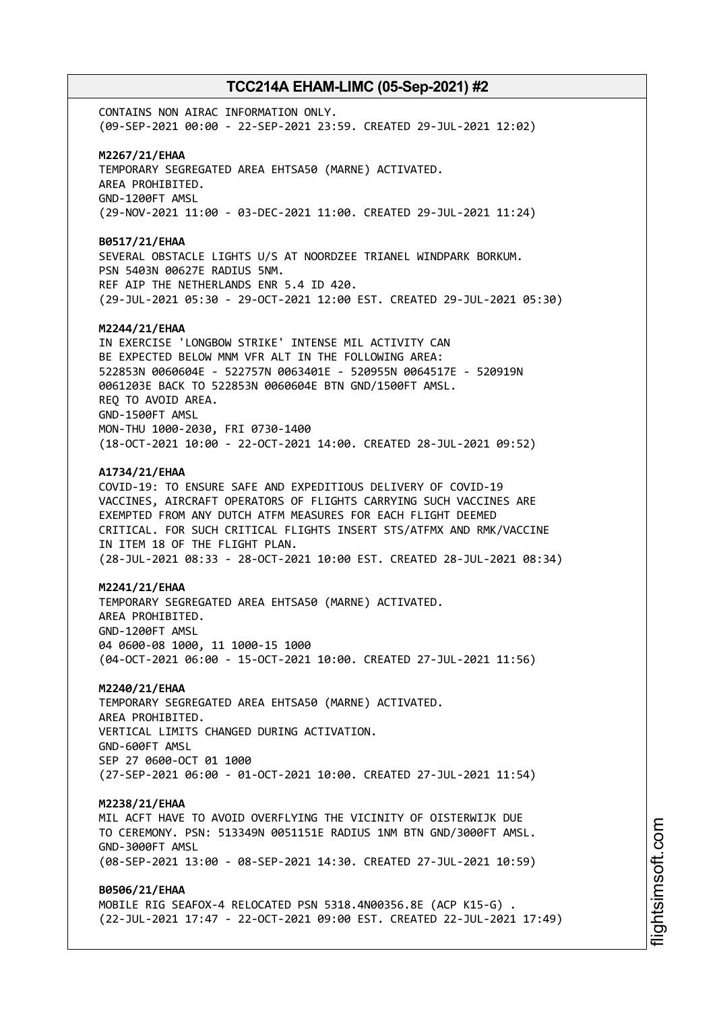CONTAINS NON AIRAC INFORMATION ONLY. (09-SEP-2021 00:00 - 22-SEP-2021 23:59. CREATED 29-JUL-2021 12:02) **M2267/21/EHAA** TEMPORARY SEGREGATED AREA EHTSA50 (MARNE) ACTIVATED. AREA PROHIBITED. GND-1200FT AMSL (29-NOV-2021 11:00 - 03-DEC-2021 11:00. CREATED 29-JUL-2021 11:24) **B0517/21/EHAA** SEVERAL OBSTACLE LIGHTS U/S AT NOORDZEE TRIANEL WINDPARK BORKUM. PSN 5403N 00627E RADIUS 5NM. REF AIP THE NETHERLANDS ENR 5.4 ID 420. (29-JUL-2021 05:30 - 29-OCT-2021 12:00 EST. CREATED 29-JUL-2021 05:30) **M2244/21/EHAA** IN EXERCISE 'LONGBOW STRIKE' INTENSE MIL ACTIVITY CAN BE EXPECTED BELOW MNM VFR ALT IN THE FOLLOWING AREA: 522853N 0060604E - 522757N 0063401E - 520955N 0064517E - 520919N 0061203E BACK TO 522853N 0060604E BTN GND/1500FT AMSL. REQ TO AVOID AREA. GND-1500FT AMSL MON-THU 1000-2030, FRI 0730-1400 (18-OCT-2021 10:00 - 22-OCT-2021 14:00. CREATED 28-JUL-2021 09:52) **A1734/21/EHAA** COVID-19: TO ENSURE SAFE AND EXPEDITIOUS DELIVERY OF COVID-19 VACCINES, AIRCRAFT OPERATORS OF FLIGHTS CARRYING SUCH VACCINES ARE EXEMPTED FROM ANY DUTCH ATFM MEASURES FOR EACH FLIGHT DEEMED CRITICAL. FOR SUCH CRITICAL FLIGHTS INSERT STS/ATFMX AND RMK/VACCINE IN ITEM 18 OF THE FLIGHT PLAN. (28-JUL-2021 08:33 - 28-OCT-2021 10:00 EST. CREATED 28-JUL-2021 08:34) **M2241/21/EHAA** TEMPORARY SEGREGATED AREA EHTSA50 (MARNE) ACTIVATED. AREA PROHIBITED. GND-1200FT AMSL 04 0600-08 1000, 11 1000-15 1000 (04-OCT-2021 06:00 - 15-OCT-2021 10:00. CREATED 27-JUL-2021 11:56) **M2240/21/EHAA** TEMPORARY SEGREGATED AREA EHTSA50 (MARNE) ACTIVATED. AREA PROHIBITED. VERTICAL LIMITS CHANGED DURING ACTIVATION. GND-600FT AMSL SEP 27 0600-OCT 01 1000 (27-SEP-2021 06:00 - 01-OCT-2021 10:00. CREATED 27-JUL-2021 11:54) **M2238/21/EHAA** MIL ACFT HAVE TO AVOID OVERFLYING THE VICINITY OF OISTERWIJK DUE TO CEREMONY. PSN: 513349N 0051151E RADIUS 1NM BTN GND/3000FT AMSL. GND-3000FT AMSL (08-SEP-2021 13:00 - 08-SEP-2021 14:30. CREATED 27-JUL-2021 10:59) **B0506/21/EHAA** MOBILE RIG SEAFOX-4 RELOCATED PSN 5318.4N00356.8E (ACP K15-G) . (22-JUL-2021 17:47 - 22-OCT-2021 09:00 EST. CREATED 22-JUL-2021 17:49)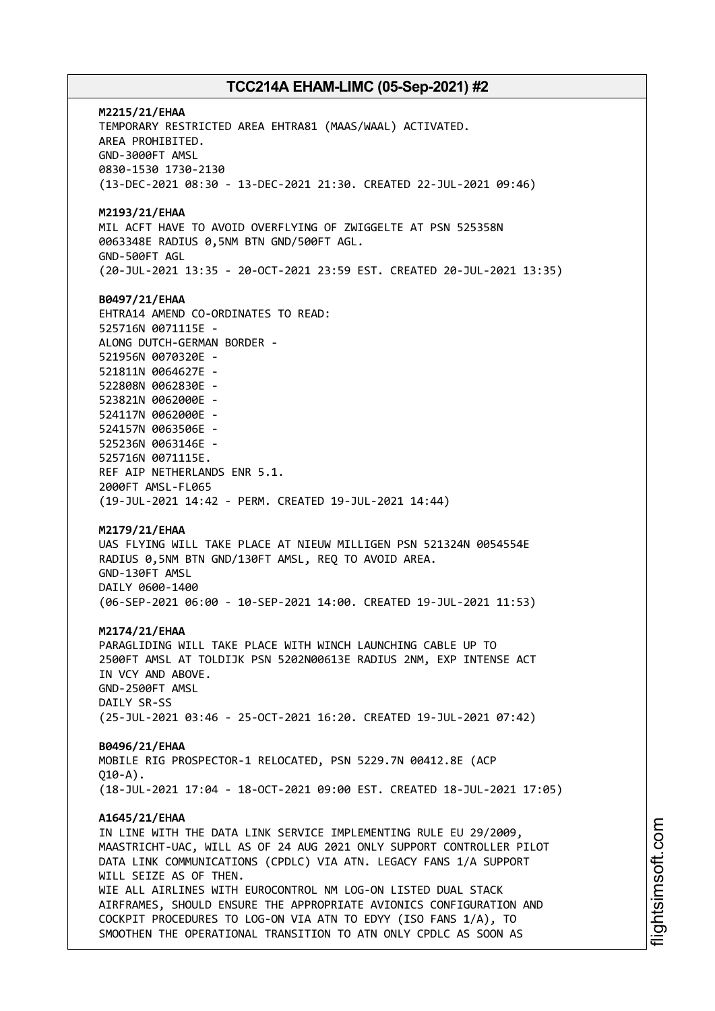**M2215/21/EHAA** TEMPORARY RESTRICTED AREA EHTRA81 (MAAS/WAAL) ACTIVATED. AREA PROHIBITED. GND-3000FT AMSL 0830-1530 1730-2130 (13-DEC-2021 08:30 - 13-DEC-2021 21:30. CREATED 22-JUL-2021 09:46) **M2193/21/EHAA** MIL ACFT HAVE TO AVOID OVERFLYING OF ZWIGGELTE AT PSN 525358N 0063348E RADIUS 0,5NM BTN GND/500FT AGL. GND-500FT AGL (20-JUL-2021 13:35 - 20-OCT-2021 23:59 EST. CREATED 20-JUL-2021 13:35) **B0497/21/EHAA** EHTRA14 AMEND CO-ORDINATES TO READ: 525716N 0071115E - ALONG DUTCH-GERMAN BORDER - 521956N 0070320E - 521811N 0064627E - 522808N 0062830E - 523821N 0062000E - 524117N 0062000E - 524157N 0063506E - 525236N 0063146E - 525716N 0071115E. REF AIP NETHERLANDS ENR 5.1. 2000FT AMSL-FL065 (19-JUL-2021 14:42 - PERM. CREATED 19-JUL-2021 14:44) **M2179/21/EHAA** UAS FLYING WILL TAKE PLACE AT NIEUW MILLIGEN PSN 521324N 0054554E RADIUS 0,5NM BTN GND/130FT AMSL, REQ TO AVOID AREA. GND-130FT AMSL DAILY 0600-1400 (06-SEP-2021 06:00 - 10-SEP-2021 14:00. CREATED 19-JUL-2021 11:53) **M2174/21/EHAA** PARAGLIDING WILL TAKE PLACE WITH WINCH LAUNCHING CABLE UP TO 2500FT AMSL AT TOLDIJK PSN 5202N00613E RADIUS 2NM, EXP INTENSE ACT IN VCY AND ABOVE. GND-2500FT AMSL DAILY SR-SS (25-JUL-2021 03:46 - 25-OCT-2021 16:20. CREATED 19-JUL-2021 07:42) **B0496/21/EHAA** MOBILE RIG PROSPECTOR-1 RELOCATED, PSN 5229.7N 00412.8E (ACP  $(10-4)$ (18-JUL-2021 17:04 - 18-OCT-2021 09:00 EST. CREATED 18-JUL-2021 17:05) **A1645/21/EHAA** IN LINE WITH THE DATA LINK SERVICE IMPLEMENTING RULE EU 29/2009, MAASTRICHT-UAC, WILL AS OF 24 AUG 2021 ONLY SUPPORT CONTROLLER PILOT DATA LINK COMMUNICATIONS (CPDLC) VIA ATN. LEGACY FANS 1/A SUPPORT WILL SEIZE AS OF THEN. WIE ALL ATRLINES WITH FUROCONTROL NM LOG-ON LISTED DUAL STACK AIRFRAMES, SHOULD ENSURE THE APPROPRIATE AVIONICS CONFIGURATION AND COCKPIT PROCEDURES TO LOG-ON VIA ATN TO EDYY (ISO FANS 1/A), TO SMOOTHEN THE OPERATIONAL TRANSITION TO ATN ONLY CPDLC AS SOON AS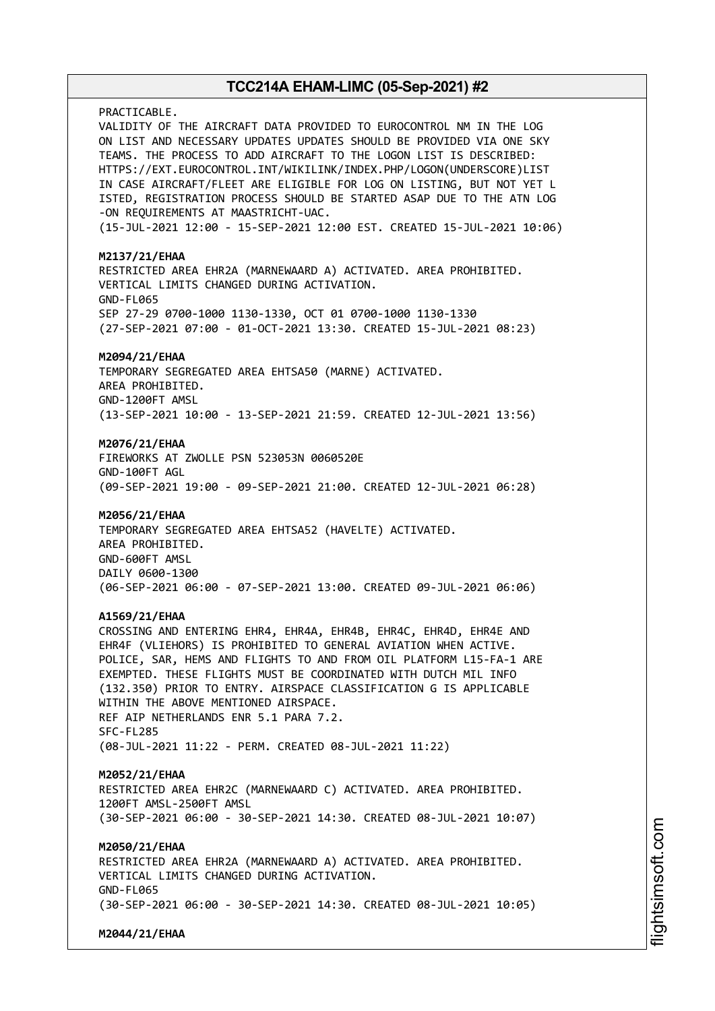PRACTICABLE. VALIDITY OF THE AIRCRAFT DATA PROVIDED TO EUROCONTROL NM IN THE LOG ON LIST AND NECESSARY UPDATES UPDATES SHOULD BE PROVIDED VIA ONE SKY TEAMS. THE PROCESS TO ADD AIRCRAFT TO THE LOGON LIST IS DESCRIBED: HTTPS://EXT.EUROCONTROL.INT/WIKILINK/INDEX.PHP/LOGON(UNDERSCORE)LIST IN CASE AIRCRAFT/FLEET ARE ELIGIBLE FOR LOG ON LISTING, BUT NOT YET L ISTED, REGISTRATION PROCESS SHOULD BE STARTED ASAP DUE TO THE ATN LOG -ON REQUIREMENTS AT MAASTRICHT-UAC. (15-JUL-2021 12:00 - 15-SEP-2021 12:00 EST. CREATED 15-JUL-2021 10:06) **M2137/21/EHAA** RESTRICTED AREA EHR2A (MARNEWAARD A) ACTIVATED. AREA PROHIBITED. VERTICAL LIMITS CHANGED DURING ACTIVATION. GND-FL065 SEP 27-29 0700-1000 1130-1330, OCT 01 0700-1000 1130-1330 (27-SEP-2021 07:00 - 01-OCT-2021 13:30. CREATED 15-JUL-2021 08:23) **M2094/21/EHAA** TEMPORARY SEGREGATED AREA EHTSA50 (MARNE) ACTIVATED. AREA PROHIBITED. GND-1200FT AMSL (13-SEP-2021 10:00 - 13-SEP-2021 21:59. CREATED 12-JUL-2021 13:56) **M2076/21/EHAA** FIREWORKS AT ZWOLLE PSN 523053N 0060520E GND-100FT AGL (09-SEP-2021 19:00 - 09-SEP-2021 21:00. CREATED 12-JUL-2021 06:28) **M2056/21/EHAA** TEMPORARY SEGREGATED AREA EHTSA52 (HAVELTE) ACTIVATED. AREA PROHIBITED. GND-600FT AMSL DAILY 0600-1300 (06-SEP-2021 06:00 - 07-SEP-2021 13:00. CREATED 09-JUL-2021 06:06) **A1569/21/EHAA** CROSSING AND ENTERING EHR4, EHR4A, EHR4B, EHR4C, EHR4D, EHR4E AND EHR4F (VLIEHORS) IS PROHIBITED TO GENERAL AVIATION WHEN ACTIVE. POLICE, SAR, HEMS AND FLIGHTS TO AND FROM OIL PLATFORM L15-FA-1 ARE EXEMPTED. THESE FLIGHTS MUST BE COORDINATED WITH DUTCH MIL INFO (132.350) PRIOR TO ENTRY. AIRSPACE CLASSIFICATION G IS APPLICABLE WITHIN THE ABOVE MENTIONED AIRSPACE. REF AIP NETHERLANDS ENR 5.1 PARA 7.2. SFC-FL285 (08-JUL-2021 11:22 - PERM. CREATED 08-JUL-2021 11:22) **M2052/21/EHAA** RESTRICTED AREA EHR2C (MARNEWAARD C) ACTIVATED. AREA PROHIBITED. 1200FT AMSL-2500FT AMSL (30-SEP-2021 06:00 - 30-SEP-2021 14:30. CREATED 08-JUL-2021 10:07) **M2050/21/EHAA** RESTRICTED AREA EHR2A (MARNEWAARD A) ACTIVATED. AREA PROHIBITED. VERTICAL LIMITS CHANGED DURING ACTIVATION. GND-FL065 (30-SEP-2021 06:00 - 30-SEP-2021 14:30. CREATED 08-JUL-2021 10:05) **M2044/21/EHAA**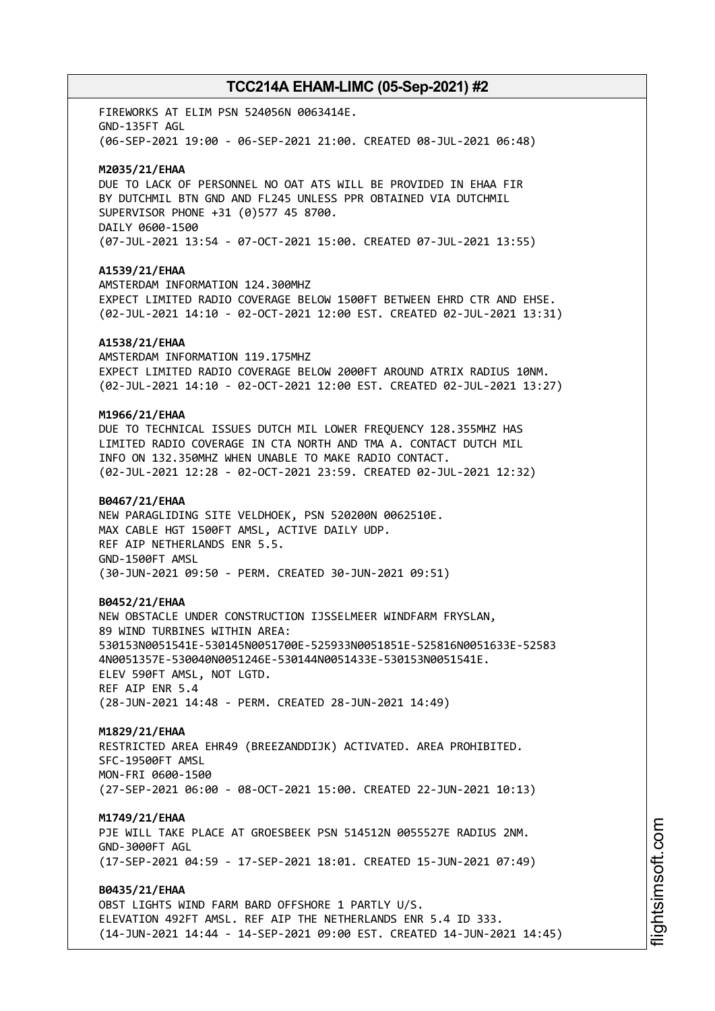FIREWORKS AT ELIM PSN 524056N 0063414E. GND-135FT AGL (06-SEP-2021 19:00 - 06-SEP-2021 21:00. CREATED 08-JUL-2021 06:48)

#### **M2035/21/EHAA**

DUE TO LACK OF PERSONNEL NO OAT ATS WILL BE PROVIDED IN EHAA FIR BY DUTCHMIL BTN GND AND FL245 UNLESS PPR OBTAINED VIA DUTCHMIL SUPERVISOR PHONE +31 (0)577 45 8700. DAILY 0600-1500 (07-JUL-2021 13:54 - 07-OCT-2021 15:00. CREATED 07-JUL-2021 13:55)

### **A1539/21/EHAA**

AMSTERDAM INFORMATION 124.300MHZ EXPECT LIMITED RADIO COVERAGE BELOW 1500FT BETWEEN EHRD CTR AND EHSE. (02-JUL-2021 14:10 - 02-OCT-2021 12:00 EST. CREATED 02-JUL-2021 13:31)

### **A1538/21/EHAA**

AMSTERDAM INFORMATION 119.175MHZ EXPECT LIMITED RADIO COVERAGE BELOW 2000FT AROUND ATRIX RADIUS 10NM. (02-JUL-2021 14:10 - 02-OCT-2021 12:00 EST. CREATED 02-JUL-2021 13:27)

### **M1966/21/EHAA**

DUE TO TECHNICAL ISSUES DUTCH MIL LOWER FREQUENCY 128.355MHZ HAS LIMITED RADIO COVERAGE IN CTA NORTH AND TMA A. CONTACT DUTCH MIL INFO ON 132.350MHZ WHEN UNABLE TO MAKE RADIO CONTACT. (02-JUL-2021 12:28 - 02-OCT-2021 23:59. CREATED 02-JUL-2021 12:32)

### **B0467/21/EHAA**

NEW PARAGLIDING SITE VELDHOEK, PSN 520200N 0062510E. MAX CABLE HGT 1500FT AMSL, ACTIVE DAILY UDP. REF AIP NETHERLANDS ENR 5.5. GND-1500FT AMSL (30-JUN-2021 09:50 - PERM. CREATED 30-JUN-2021 09:51)

### **B0452/21/EHAA**

NEW OBSTACLE UNDER CONSTRUCTION IJSSELMEER WINDFARM FRYSLAN, 89 WIND TURBINES WITHIN AREA: 530153N0051541E-530145N0051700E-525933N0051851E-525816N0051633E-52583 4N0051357E-530040N0051246E-530144N0051433E-530153N0051541E. ELEV 590FT AMSL, NOT LGTD. REF AIP ENR 5.4 (28-JUN-2021 14:48 - PERM. CREATED 28-JUN-2021 14:49)

### **M1829/21/EHAA**

RESTRICTED AREA EHR49 (BREEZANDDIJK) ACTIVATED. AREA PROHIBITED. SFC-19500FT AMSL MON-FRI 0600-1500 (27-SEP-2021 06:00 - 08-OCT-2021 15:00. CREATED 22-JUN-2021 10:13)

### **M1749/21/EHAA**

PJE WILL TAKE PLACE AT GROESBEEK PSN 514512N 0055527E RADIUS 2NM. GND-3000FT AGL (17-SEP-2021 04:59 - 17-SEP-2021 18:01. CREATED 15-JUN-2021 07:49)

## **B0435/21/EHAA**

OBST LIGHTS WIND FARM BARD OFFSHORE 1 PARTLY U/S. ELEVATION 492FT AMSL. REF AIP THE NETHERLANDS ENR 5.4 ID 333. (14-JUN-2021 14:44 - 14-SEP-2021 09:00 EST. CREATED 14-JUN-2021 14:45)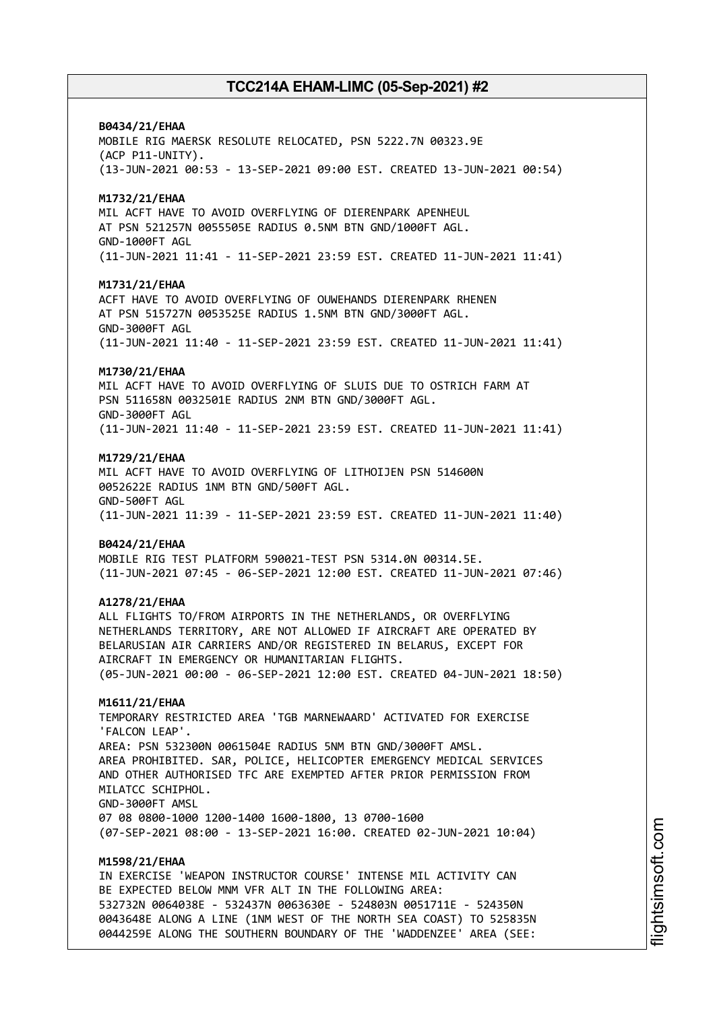### **B0434/21/EHAA**

MOBILE RIG MAERSK RESOLUTE RELOCATED, PSN 5222.7N 00323.9E (ACP P11-UNITY). (13-JUN-2021 00:53 - 13-SEP-2021 09:00 EST. CREATED 13-JUN-2021 00:54)

### **M1732/21/EHAA**

MIL ACFT HAVE TO AVOID OVERFLYING OF DIERENPARK APENHEUL AT PSN 521257N 0055505E RADIUS 0.5NM BTN GND/1000FT AGL. GND-1000FT AGL (11-JUN-2021 11:41 - 11-SEP-2021 23:59 EST. CREATED 11-JUN-2021 11:41)

### **M1731/21/EHAA**

ACFT HAVE TO AVOID OVERFLYING OF OUWEHANDS DIERENPARK RHENEN AT PSN 515727N 0053525E RADIUS 1.5NM BTN GND/3000FT AGL. GND-3000FT AGL (11-JUN-2021 11:40 - 11-SEP-2021 23:59 EST. CREATED 11-JUN-2021 11:41)

### **M1730/21/EHAA**

MIL ACFT HAVE TO AVOID OVERFLYING OF SLUIS DUE TO OSTRICH FARM AT PSN 511658N 0032501E RADIUS 2NM BTN GND/3000FT AGL. GND-3000FT AGL (11-JUN-2021 11:40 - 11-SEP-2021 23:59 EST. CREATED 11-JUN-2021 11:41)

#### **M1729/21/EHAA**

MIL ACFT HAVE TO AVOID OVERFLYING OF LITHOIJEN PSN 514600N 0052622E RADIUS 1NM BTN GND/500FT AGL. GND-500FT AGL (11-JUN-2021 11:39 - 11-SEP-2021 23:59 EST. CREATED 11-JUN-2021 11:40)

#### **B0424/21/EHAA**

MOBILE RIG TEST PLATFORM 590021-TEST PSN 5314.0N 00314.5E. (11-JUN-2021 07:45 - 06-SEP-2021 12:00 EST. CREATED 11-JUN-2021 07:46)

### **A1278/21/EHAA**

ALL FLIGHTS TO/FROM AIRPORTS IN THE NETHERLANDS, OR OVERFLYING NETHERLANDS TERRITORY, ARE NOT ALLOWED IF AIRCRAFT ARE OPERATED BY BELARUSIAN AIR CARRIERS AND/OR REGISTERED IN BELARUS, EXCEPT FOR AIRCRAFT IN EMERGENCY OR HUMANITARIAN FLIGHTS. (05-JUN-2021 00:00 - 06-SEP-2021 12:00 EST. CREATED 04-JUN-2021 18:50)

### **M1611/21/EHAA**

TEMPORARY RESTRICTED AREA 'TGB MARNEWAARD' ACTIVATED FOR EXERCISE 'FALCON LEAP'. AREA: PSN 532300N 0061504E RADIUS 5NM BTN GND/3000FT AMSL. AREA PROHIBITED. SAR, POLICE, HELICOPTER EMERGENCY MEDICAL SERVICES AND OTHER AUTHORISED TFC ARE EXEMPTED AFTER PRIOR PERMISSION FROM MILATCC SCHIPHOL. GND-3000FT AMSL 07 08 0800-1000 1200-1400 1600-1800, 13 0700-1600 (07-SEP-2021 08:00 - 13-SEP-2021 16:00. CREATED 02-JUN-2021 10:04)

### **M1598/21/EHAA**

IN EXERCISE 'WEAPON INSTRUCTOR COURSE' INTENSE MIL ACTIVITY CAN BE EXPECTED BELOW MNM VFR ALT IN THE FOLLOWING AREA: 532732N 0064038E - 532437N 0063630E - 524803N 0051711E - 524350N 0043648E ALONG A LINE (1NM WEST OF THE NORTH SEA COAST) TO 525835N 0044259E ALONG THE SOUTHERN BOUNDARY OF THE 'WADDENZEE' AREA (SEE: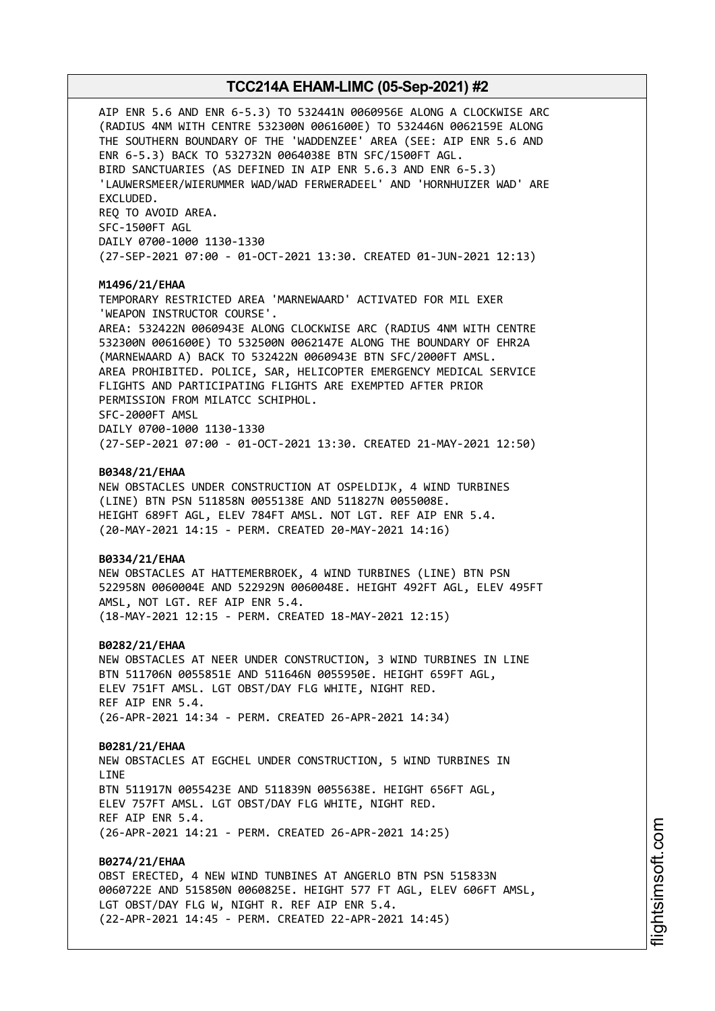AIP ENR 5.6 AND ENR 6-5.3) TO 532441N 0060956E ALONG A CLOCKWISE ARC (RADIUS 4NM WITH CENTRE 532300N 0061600E) TO 532446N 0062159E ALONG THE SOUTHERN BOUNDARY OF THE 'WADDENZEE' AREA (SEE: AIP ENR 5.6 AND ENR 6-5.3) BACK TO 532732N 0064038E BTN SFC/1500FT AGL. BIRD SANCTUARIES (AS DEFINED IN AIP ENR 5.6.3 AND ENR 6-5.3) 'LAUWERSMEER/WIERUMMER WAD/WAD FERWERADEEL' AND 'HORNHUIZER WAD' ARE EXCLUDED. REQ TO AVOID AREA. SFC-1500FT AGL DAILY 0700-1000 1130-1330 (27-SEP-2021 07:00 - 01-OCT-2021 13:30. CREATED 01-JUN-2021 12:13) **M1496/21/EHAA** TEMPORARY RESTRICTED AREA 'MARNEWAARD' ACTIVATED FOR MIL EXER 'WEAPON INSTRUCTOR COURSE'. AREA: 532422N 0060943E ALONG CLOCKWISE ARC (RADIUS 4NM WITH CENTRE 532300N 0061600E) TO 532500N 0062147E ALONG THE BOUNDARY OF EHR2A (MARNEWAARD A) BACK TO 532422N 0060943E BTN SFC/2000FT AMSL. AREA PROHIBITED. POLICE, SAR, HELICOPTER EMERGENCY MEDICAL SERVICE FLIGHTS AND PARTICIPATING FLIGHTS ARE EXEMPTED AFTER PRIOR PERMISSION FROM MILATCC SCHIPHOL. SFC-2000FT AMSL DAILY 0700-1000 1130-1330 (27-SEP-2021 07:00 - 01-OCT-2021 13:30. CREATED 21-MAY-2021 12:50) **B0348/21/EHAA** NEW OBSTACLES UNDER CONSTRUCTION AT OSPELDIJK, 4 WIND TURBINES (LINE) BTN PSN 511858N 0055138E AND 511827N 0055008E. HEIGHT 689FT AGL, ELEV 784FT AMSL. NOT LGT. REF AIP ENR 5.4. (20-MAY-2021 14:15 - PERM. CREATED 20-MAY-2021 14:16) **B0334/21/EHAA** NEW OBSTACLES AT HATTEMERBROEK, 4 WIND TURBINES (LINE) BTN PSN 522958N 0060004E AND 522929N 0060048E. HEIGHT 492FT AGL, ELEV 495FT AMSL, NOT LGT. REF AIP ENR 5.4. (18-MAY-2021 12:15 - PERM. CREATED 18-MAY-2021 12:15) **B0282/21/EHAA** NEW OBSTACLES AT NEER UNDER CONSTRUCTION, 3 WIND TURBINES IN LINE BTN 511706N 0055851E AND 511646N 0055950E. HEIGHT 659FT AGL, ELEV 751FT AMSL. LGT OBST/DAY FLG WHITE, NIGHT RED. REF AIP ENR 5.4. (26-APR-2021 14:34 - PERM. CREATED 26-APR-2021 14:34) **B0281/21/EHAA** NEW OBSTACLES AT EGCHEL UNDER CONSTRUCTION, 5 WIND TURBINES IN **LTNF** BTN 511917N 0055423E AND 511839N 0055638E. HEIGHT 656FT AGL, ELEV 757FT AMSL. LGT OBST/DAY FLG WHITE, NIGHT RED. REF AIP ENR 5.4. (26-APR-2021 14:21 - PERM. CREATED 26-APR-2021 14:25) **B0274/21/EHAA** OBST ERECTED, 4 NEW WIND TUNBINES AT ANGERLO BTN PSN 515833N 0060722E AND 515850N 0060825E. HEIGHT 577 FT AGL, ELEV 606FT AMSL, LGT OBST/DAY FLG W, NIGHT R. REF AIP ENR 5.4. (22-APR-2021 14:45 - PERM. CREATED 22-APR-2021 14:45)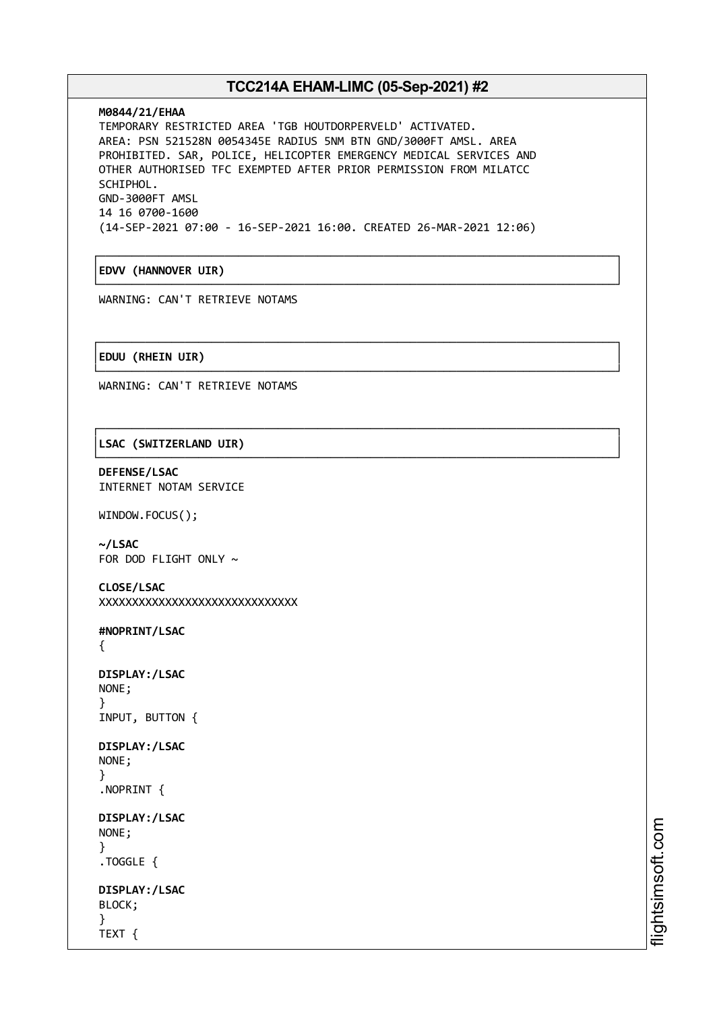┌──────────────────────────────────────────────────────────────────────────────┐

└──────────────────────────────────────────────────────────────────────────────┘

└──────────────────────────────────────────────────────────────────────────────┘

└──────────────────────────────────────────────────────────────────────────────┘

### **M0844/21/EHAA**

TEMPORARY RESTRICTED AREA 'TGB HOUTDORPERVELD' ACTIVATED. AREA: PSN 521528N 0054345E RADIUS 5NM BTN GND/3000FT AMSL. AREA PROHIBITED. SAR, POLICE, HELICOPTER EMERGENCY MEDICAL SERVICES AND OTHER AUTHORISED TFC EXEMPTED AFTER PRIOR PERMISSION FROM MILATCC SCHIPHOL. GND-3000FT AMSL 14 16 0700-1600 (14-SEP-2021 07:00 - 16-SEP-2021 16:00. CREATED 26-MAR-2021 12:06)

│**EDVV (HANNOVER UIR)** │

WARNING: CAN'T RETRIEVE NOTAMS

┌──────────────────────────────────────────────────────────────────────────────┐ │**EDUU (RHEIN UIR)** │

WARNING: CAN'T RETRIEVE NOTAMS

┌──────────────────────────────────────────────────────────────────────────────┐ │**LSAC (SWITZERLAND UIR)** │

**DEFENSE/LSAC** INTERNET NOTAM SERVICE

WINDOW.FOCUS();

**~/LSAC** FOR DOD FLIGHT ONLY  $\sim$ 

```
CLOSE/LSAC
XXXXXXXXXXXXXXXXXXXXXXXXXXXXXX
```
**#NOPRINT/LSAC**

{

```
DISPLAY:/LSAC
NONE;
}
INPUT, BUTTON {
```

```
DISPLAY:/LSAC
NONE;
}
```
.NOPRINT {

```
DISPLAY:/LSAC
NONE;
}
```
.TOGGLE {

```
DISPLAY:/LSAC
BLOCK;
}
TEXT {
```
m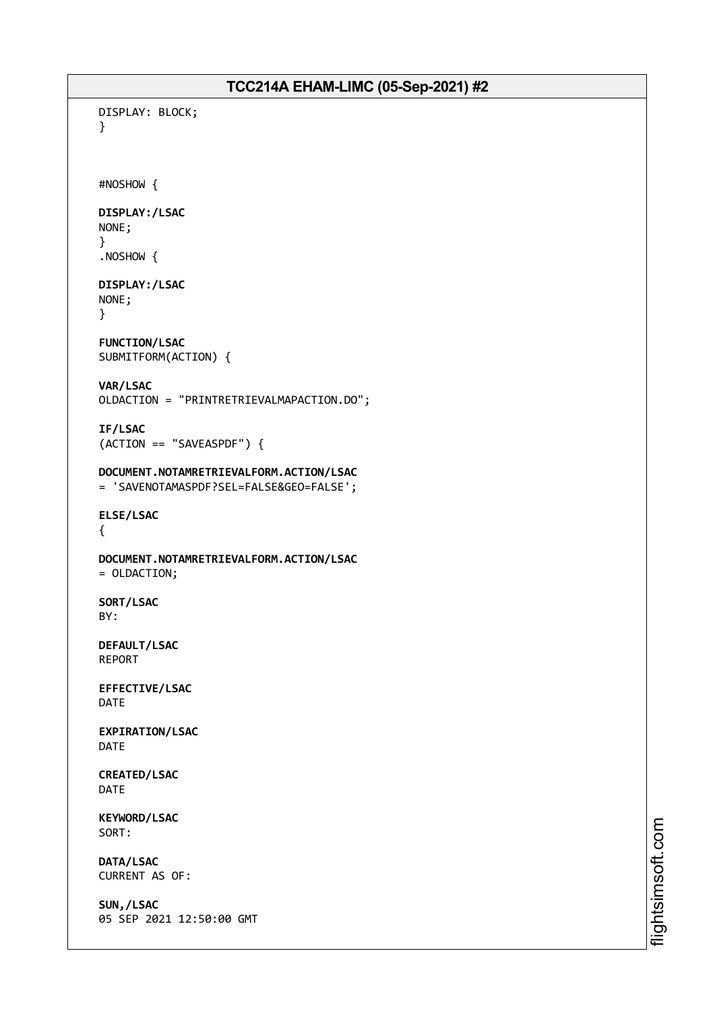```
DISPLAY: BLOCK;
}
#NOSHOW {
DISPLAY:/LSAC
NONE;
}
.NOSHOW {
DISPLAY:/LSAC
NONE;
}
FUNCTION/LSAC
SUBMITFORM(ACTION) {
VAR/LSAC
OLDACTION = "PRINTRETRIEVALMAPACTION.DO";
IF/LSAC
(ACTION == "SAVEASPDF") {
DOCUMENT.NOTAMRETRIEVALFORM.ACTION/LSAC
= 'SAVENOTAMASPDF?SEL=FALSE&GEO=FALSE';
ELSE/LSAC
{
DOCUMENT.NOTAMRETRIEVALFORM.ACTION/LSAC
= OLDACTION;
SORT/LSAC
BY:
DEFAULT/LSAC
REPORT
EFFECTIVE/LSAC
DATE
EXPIRATION/LSAC
DATE
CREATED/LSAC
DATE
KEYWORD/LSAC
SORT:
DATA/LSAC
CURRENT AS OF:
SUN,/LSAC
05 SEP 2021 12:50:00 GMT
```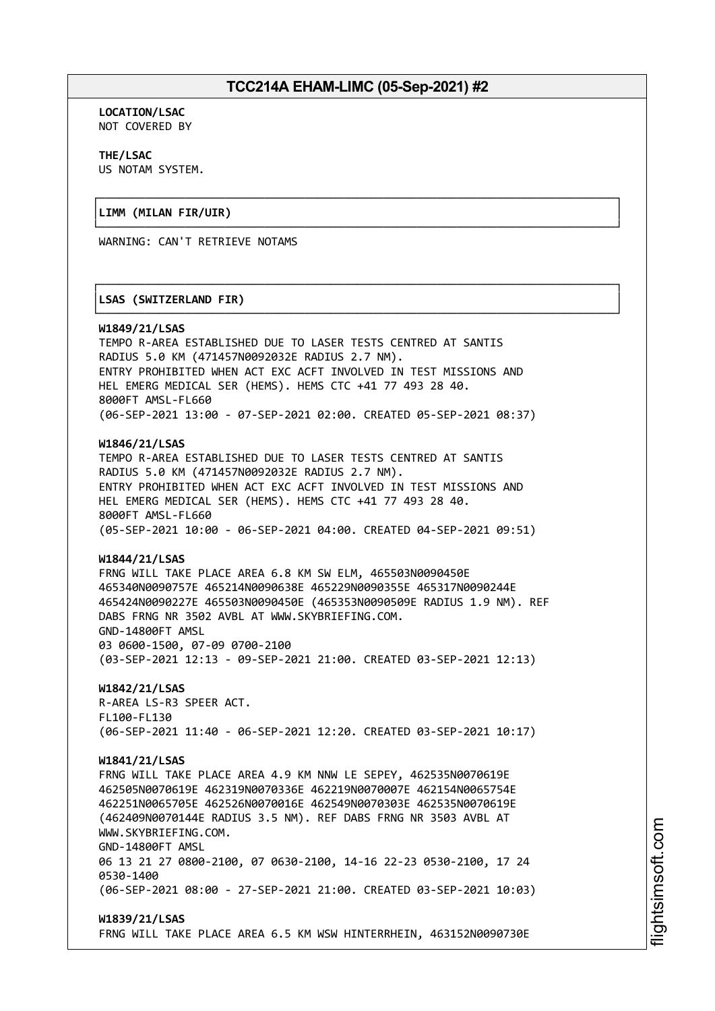└──────────────────────────────────────────────────────────────────────────────┘

┌──────────────────────────────────────────────────────────────────────────────┐

└──────────────────────────────────────────────────────────────────────────────┘

**LOCATION/LSAC** NOT COVERED BY

**THE/LSAC** US NOTAM SYSTEM.

### ┌──────────────────────────────────────────────────────────────────────────────┐ │**LIMM (MILAN FIR/UIR)** │

WARNING: CAN'T RETRIEVE NOTAMS

### │**LSAS (SWITZERLAND FIR)** │

#### **W1849/21/LSAS**

TEMPO R-AREA ESTABLISHED DUE TO LASER TESTS CENTRED AT SANTIS RADIUS 5.0 KM (471457N0092032E RADIUS 2.7 NM). ENTRY PROHIBITED WHEN ACT EXC ACFT INVOLVED IN TEST MISSIONS AND HEL EMERG MEDICAL SER (HEMS). HEMS CTC +41 77 493 28 40. 8000FT AMSL-FL660 (06-SEP-2021 13:00 - 07-SEP-2021 02:00. CREATED 05-SEP-2021 08:37)

### **W1846/21/LSAS**

TEMPO R-AREA ESTABLISHED DUE TO LASER TESTS CENTRED AT SANTIS RADIUS 5.0 KM (471457N0092032E RADIUS 2.7 NM). ENTRY PROHIBITED WHEN ACT EXC ACFT INVOLVED IN TEST MISSIONS AND HEL EMERG MEDICAL SER (HEMS). HEMS CTC +41 77 493 28 40. 8000FT AMSL-FL660 (05-SEP-2021 10:00 - 06-SEP-2021 04:00. CREATED 04-SEP-2021 09:51)

### **W1844/21/LSAS**

FRNG WILL TAKE PLACE AREA 6.8 KM SW ELM, 465503N0090450E 465340N0090757E 465214N0090638E 465229N0090355E 465317N0090244E 465424N0090227E 465503N0090450E (465353N0090509E RADIUS 1.9 NM). REF DABS FRNG NR 3502 AVBL AT WWW.SKYBRIEFING.COM. GND-14800FT AMSL 03 0600-1500, 07-09 0700-2100 (03-SEP-2021 12:13 - 09-SEP-2021 21:00. CREATED 03-SEP-2021 12:13)

### **W1842/21/LSAS** R-AREA LS-R3 SPEER ACT. FL100-FL130 (06-SEP-2021 11:40 - 06-SEP-2021 12:20. CREATED 03-SEP-2021 10:17)

#### **W1841/21/LSAS**

FRNG WILL TAKE PLACE AREA 4.9 KM NNW LE SEPEY, 462535N0070619E 462505N0070619E 462319N0070336E 462219N0070007E 462154N0065754E 462251N0065705E 462526N0070016E 462549N0070303E 462535N0070619E (462409N0070144E RADIUS 3.5 NM). REF DABS FRNG NR 3503 AVBL AT WWW.SKYBRIEFING.COM. GND-14800FT AMSL 06 13 21 27 0800-2100, 07 0630-2100, 14-16 22-23 0530-2100, 17 24 0530-1400 (06-SEP-2021 08:00 - 27-SEP-2021 21:00. CREATED 03-SEP-2021 10:03)

### **W1839/21/LSAS** FRNG WILL TAKE PLACE AREA 6.5 KM WSW HINTERRHEIN, 463152N0090730E

i⊒<br>⊫

htsim soft.c o

m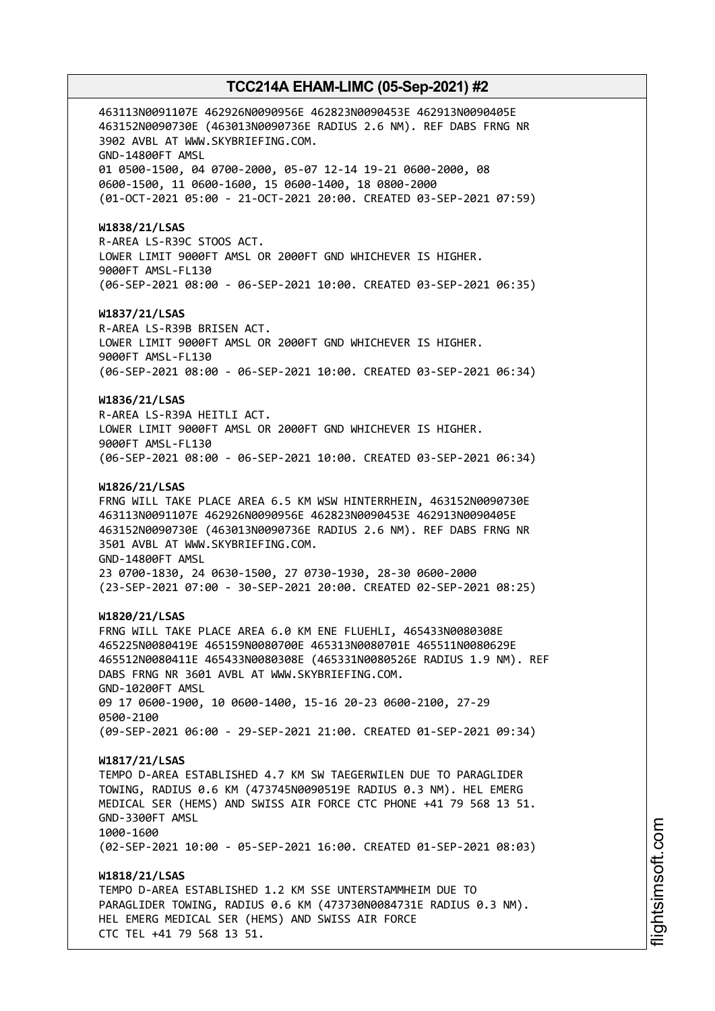463113N0091107E 462926N0090956E 462823N0090453E 462913N0090405E 463152N0090730E (463013N0090736E RADIUS 2.6 NM). REF DABS FRNG NR 3902 AVBL AT WWW.SKYBRIEFING.COM. GND-14800FT AMSL 01 0500-1500, 04 0700-2000, 05-07 12-14 19-21 0600-2000, 08 0600-1500, 11 0600-1600, 15 0600-1400, 18 0800-2000 (01-OCT-2021 05:00 - 21-OCT-2021 20:00. CREATED 03-SEP-2021 07:59) **W1838/21/LSAS** R-AREA LS-R39C STOOS ACT. LOWER LIMIT 9000FT AMSL OR 2000FT GND WHICHEVER IS HIGHER. 9000FT AMSL-FL130 (06-SEP-2021 08:00 - 06-SEP-2021 10:00. CREATED 03-SEP-2021 06:35) **W1837/21/LSAS** R-AREA LS-R39B BRISEN ACT. LOWER LIMIT 9000FT AMSL OR 2000FT GND WHICHEVER IS HIGHER. 9000FT AMSL-FL130 (06-SEP-2021 08:00 - 06-SEP-2021 10:00. CREATED 03-SEP-2021 06:34) **W1836/21/LSAS** R-AREA LS-R39A HEITLI ACT. LOWER LIMIT 9000FT AMSL OR 2000FT GND WHICHEVER IS HIGHER. 9000FT AMSL-FL130 (06-SEP-2021 08:00 - 06-SEP-2021 10:00. CREATED 03-SEP-2021 06:34) **W1826/21/LSAS** FRNG WILL TAKE PLACE AREA 6.5 KM WSW HINTERRHEIN, 463152N0090730E 463113N0091107E 462926N0090956E 462823N0090453E 462913N0090405E 463152N0090730E (463013N0090736E RADIUS 2.6 NM). REF DABS FRNG NR 3501 AVBL AT WWW.SKYBRIEFING.COM. GND-14800FT AMSL 23 0700-1830, 24 0630-1500, 27 0730-1930, 28-30 0600-2000 (23-SEP-2021 07:00 - 30-SEP-2021 20:00. CREATED 02-SEP-2021 08:25) **W1820/21/LSAS** FRNG WILL TAKE PLACE AREA 6.0 KM ENE FLUEHLI, 465433N0080308E 465225N0080419E 465159N0080700E 465313N0080701E 465511N0080629E 465512N0080411E 465433N0080308E (465331N0080526E RADIUS 1.9 NM). REF DABS FRNG NR 3601 AVBL AT WWW.SKYBRIEFING.COM. GND-10200FT AMSL 09 17 0600-1900, 10 0600-1400, 15-16 20-23 0600-2100, 27-29 0500-2100 (09-SEP-2021 06:00 - 29-SEP-2021 21:00. CREATED 01-SEP-2021 09:34) **W1817/21/LSAS** TEMPO D-AREA ESTABLISHED 4.7 KM SW TAEGERWILEN DUE TO PARAGLIDER TOWING, RADIUS 0.6 KM (473745N0090519E RADIUS 0.3 NM). HEL EMERG MEDICAL SER (HEMS) AND SWISS AIR FORCE CTC PHONE +41 79 568 13 51. GND-3300FT AMSL 1000-1600 (02-SEP-2021 10:00 - 05-SEP-2021 16:00. CREATED 01-SEP-2021 08:03) **W1818/21/LSAS** TEMPO D-AREA ESTABLISHED 1.2 KM SSE UNTERSTAMMHEIM DUE TO PARAGLIDER TOWING, RADIUS 0.6 KM (473730N0084731E RADIUS 0.3 NM). HEL EMERG MEDICAL SER (HEMS) AND SWISS AIR FORCE CTC TEL +41 79 568 13 51.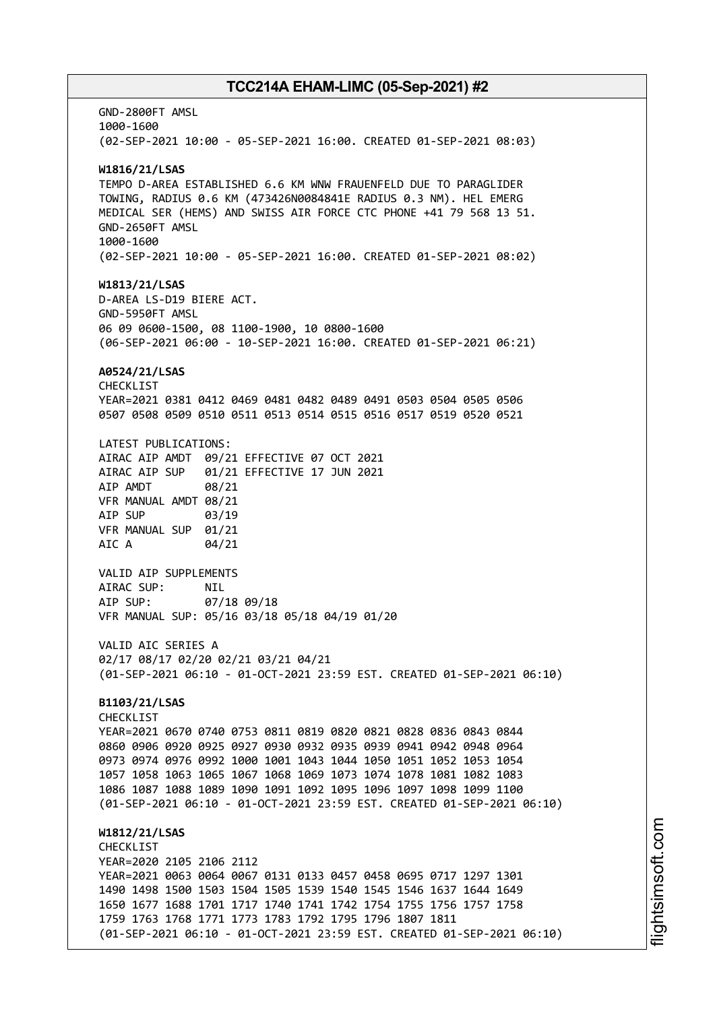GND-2800FT AMSL 1000-1600 (02-SEP-2021 10:00 - 05-SEP-2021 16:00. CREATED 01-SEP-2021 08:03) **W1816/21/LSAS** TEMPO D-AREA ESTABLISHED 6.6 KM WNW FRAUENFELD DUE TO PARAGLIDER TOWING, RADIUS 0.6 KM (473426N0084841E RADIUS 0.3 NM). HEL EMERG MEDICAL SER (HEMS) AND SWISS AIR FORCE CTC PHONE +41 79 568 13 51. GND-2650FT AMSL 1000-1600 (02-SEP-2021 10:00 - 05-SEP-2021 16:00. CREATED 01-SEP-2021 08:02) **W1813/21/LSAS** D-AREA LS-D19 BIERE ACT. GND-5950FT AMSL 06 09 0600-1500, 08 1100-1900, 10 0800-1600 (06-SEP-2021 06:00 - 10-SEP-2021 16:00. CREATED 01-SEP-2021 06:21) **A0524/21/LSAS** CHECKLIST YEAR=2021 0381 0412 0469 0481 0482 0489 0491 0503 0504 0505 0506 0507 0508 0509 0510 0511 0513 0514 0515 0516 0517 0519 0520 0521 LATEST PUBLICATIONS: AIRAC AIP AMDT 09/21 EFFECTIVE 07 OCT 2021 AIRAC AIP SUP 01/21 EFFECTIVE 17 JUN 2021 AIP AMDT 08/21 VFR MANUAL AMDT 08/21 AIP SUP 03/19 VFR MANUAL SUP 01/21 AIC A 04/21 VALID AIP SUPPLEMENTS AIRAC SUP: NIL<br>AIP SUP: 07/ 07/18 09/18 VFR MANUAL SUP: 05/16 03/18 05/18 04/19 01/20 VALID AIC SERIES A 02/17 08/17 02/20 02/21 03/21 04/21 (01-SEP-2021 06:10 - 01-OCT-2021 23:59 EST. CREATED 01-SEP-2021 06:10) **B1103/21/LSAS** CHECKLIST YEAR=2021 0670 0740 0753 0811 0819 0820 0821 0828 0836 0843 0844 0860 0906 0920 0925 0927 0930 0932 0935 0939 0941 0942 0948 0964 0973 0974 0976 0992 1000 1001 1043 1044 1050 1051 1052 1053 1054 1057 1058 1063 1065 1067 1068 1069 1073 1074 1078 1081 1082 1083 1086 1087 1088 1089 1090 1091 1092 1095 1096 1097 1098 1099 1100 (01-SEP-2021 06:10 - 01-OCT-2021 23:59 EST. CREATED 01-SEP-2021 06:10) **W1812/21/LSAS CHECKLIST** YEAR=2020 2105 2106 2112 YEAR=2021 0063 0064 0067 0131 0133 0457 0458 0695 0717 1297 1301 1490 1498 1500 1503 1504 1505 1539 1540 1545 1546 1637 1644 1649 1650 1677 1688 1701 1717 1740 1741 1742 1754 1755 1756 1757 1758 1759 1763 1768 1771 1773 1783 1792 1795 1796 1807 1811 (01-SEP-2021 06:10 - 01-OCT-2021 23:59 EST. CREATED 01-SEP-2021 06:10)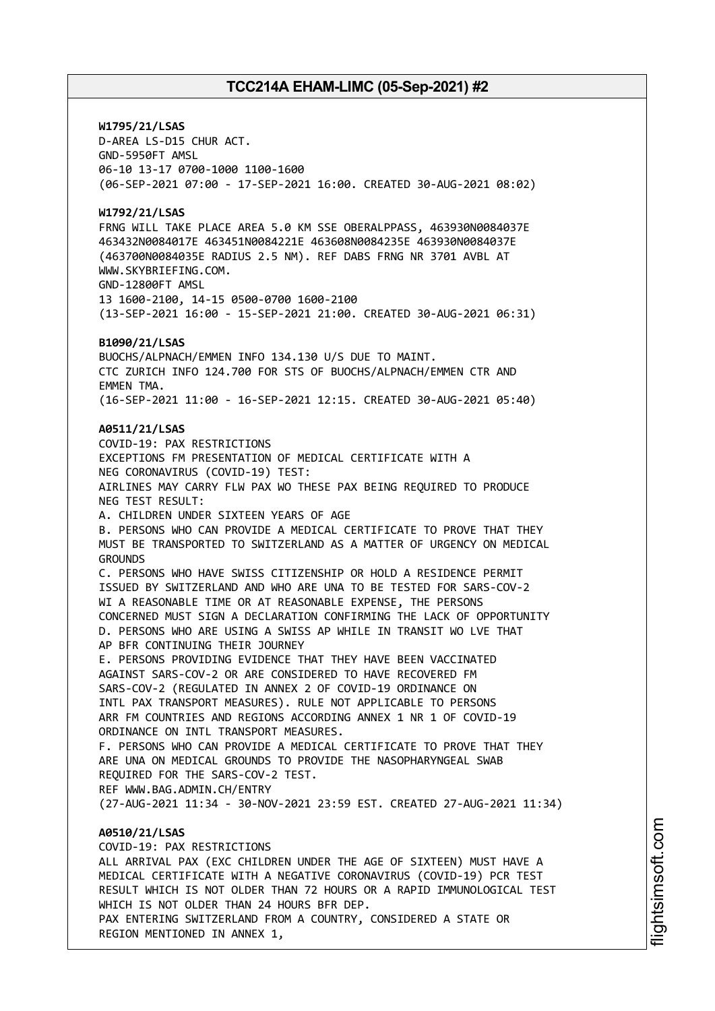**W1795/21/LSAS** D-AREA LS-D15 CHUR ACT. GND-5950FT AMSL 06-10 13-17 0700-1000 1100-1600 (06-SEP-2021 07:00 - 17-SEP-2021 16:00. CREATED 30-AUG-2021 08:02) **W1792/21/LSAS** FRNG WILL TAKE PLACE AREA 5.0 KM SSE OBERALPPASS, 463930N0084037E 463432N0084017E 463451N0084221E 463608N0084235E 463930N0084037E (463700N0084035E RADIUS 2.5 NM). REF DABS FRNG NR 3701 AVBL AT WWW.SKYBRIEFING.COM. GND-12800FT AMSL 13 1600-2100, 14-15 0500-0700 1600-2100 (13-SEP-2021 16:00 - 15-SEP-2021 21:00. CREATED 30-AUG-2021 06:31) **B1090/21/LSAS** BUOCHS/ALPNACH/EMMEN INFO 134.130 U/S DUE TO MAINT. CTC ZURICH INFO 124.700 FOR STS OF BUOCHS/ALPNACH/EMMEN CTR AND EMMEN TMA. (16-SEP-2021 11:00 - 16-SEP-2021 12:15. CREATED 30-AUG-2021 05:40) **A0511/21/LSAS** COVID-19: PAX RESTRICTIONS EXCEPTIONS FM PRESENTATION OF MEDICAL CERTIFICATE WITH A NEG CORONAVIRUS (COVID-19) TEST: AIRLINES MAY CARRY FLW PAX WO THESE PAX BEING REQUIRED TO PRODUCE NEG TEST RESULT: A. CHILDREN UNDER SIXTEEN YEARS OF AGE B. PERSONS WHO CAN PROVIDE A MEDICAL CERTIFICATE TO PROVE THAT THEY MUST BE TRANSPORTED TO SWITZERLAND AS A MATTER OF URGENCY ON MEDICAL **GROUNDS** C. PERSONS WHO HAVE SWISS CITIZENSHIP OR HOLD A RESIDENCE PERMIT ISSUED BY SWITZERLAND AND WHO ARE UNA TO BE TESTED FOR SARS-COV-2 WI A REASONABLE TIME OR AT REASONABLE EXPENSE, THE PERSONS CONCERNED MUST SIGN A DECLARATION CONFIRMING THE LACK OF OPPORTUNITY D. PERSONS WHO ARE USING A SWISS AP WHILE IN TRANSIT WO LVE THAT AP BFR CONTINUING THEIR JOURNEY E. PERSONS PROVIDING EVIDENCE THAT THEY HAVE BEEN VACCINATED AGAINST SARS-COV-2 OR ARE CONSIDERED TO HAVE RECOVERED FM SARS-COV-2 (REGULATED IN ANNEX 2 OF COVID-19 ORDINANCE ON INTL PAX TRANSPORT MEASURES). RULE NOT APPLICABLE TO PERSONS ARR FM COUNTRIES AND REGIONS ACCORDING ANNEX 1 NR 1 OF COVID-19 ORDINANCE ON INTL TRANSPORT MEASURES. F. PERSONS WHO CAN PROVIDE A MEDICAL CERTIFICATE TO PROVE THAT THEY ARE UNA ON MEDICAL GROUNDS TO PROVIDE THE NASOPHARYNGEAL SWAB REQUIRED FOR THE SARS-COV-2 TEST. REF WWW.BAG.ADMIN.CH/ENTRY (27-AUG-2021 11:34 - 30-NOV-2021 23:59 EST. CREATED 27-AUG-2021 11:34) **A0510/21/LSAS** COVID-19: PAX RESTRICTIONS ALL ARRIVAL PAX (EXC CHILDREN UNDER THE AGE OF SIXTEEN) MUST HAVE A MEDICAL CERTIFICATE WITH A NEGATIVE CORONAVIRUS (COVID-19) PCR TEST

RESULT WHICH IS NOT OLDER THAN 72 HOURS OR A RAPID IMMUNOLOGICAL TEST WHICH IS NOT OLDER THAN 24 HOURS BFR DEP. PAX ENTERING SWITZERLAND FROM A COUNTRY, CONSIDERED A STATE OR

REGION MENTIONED IN ANNEX 1,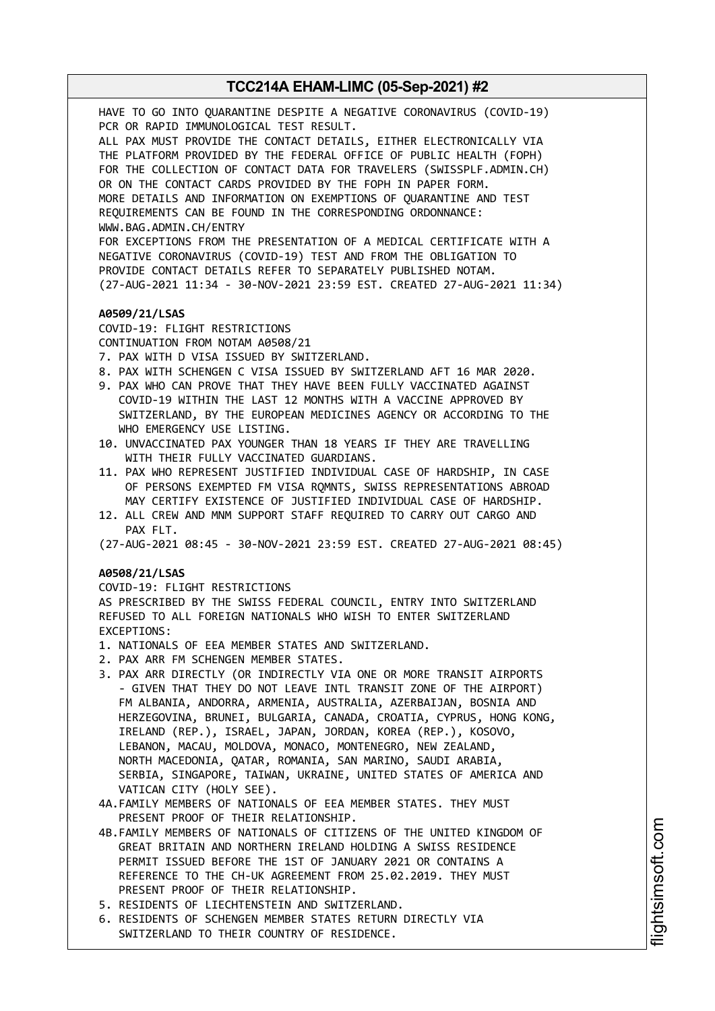HAVE TO GO INTO QUARANTINE DESPITE A NEGATIVE CORONAVIRUS (COVID-19) PCR OR RAPID IMMUNOLOGICAL TEST RESULT. ALL PAX MUST PROVIDE THE CONTACT DETAILS, EITHER ELECTRONICALLY VIA THE PLATFORM PROVIDED BY THE FEDERAL OFFICE OF PUBLIC HEALTH (FOPH) FOR THE COLLECTION OF CONTACT DATA FOR TRAVELERS (SWISSPLF.ADMIN.CH) OR ON THE CONTACT CARDS PROVIDED BY THE FOPH IN PAPER FORM. MORE DETAILS AND INFORMATION ON EXEMPTIONS OF QUARANTINE AND TEST REQUIREMENTS CAN BE FOUND IN THE CORRESPONDING ORDONNANCE: WWW.BAG.ADMIN.CH/ENTRY FOR EXCEPTIONS FROM THE PRESENTATION OF A MEDICAL CERTIFICATE WITH A NEGATIVE CORONAVIRUS (COVID-19) TEST AND FROM THE OBLIGATION TO PROVIDE CONTACT DETAILS REFER TO SEPARATELY PUBLISHED NOTAM. (27-AUG-2021 11:34 - 30-NOV-2021 23:59 EST. CREATED 27-AUG-2021 11:34) **A0509/21/LSAS** COVID-19: FLIGHT RESTRICTIONS CONTINUATION FROM NOTAM A0508/21 7. PAX WITH D VISA ISSUED BY SWITZERLAND. 8. PAX WITH SCHENGEN C VISA ISSUED BY SWITZERLAND AFT 16 MAR 2020. 9. PAX WHO CAN PROVE THAT THEY HAVE BEEN FULLY VACCINATED AGAINST COVID-19 WITHIN THE LAST 12 MONTHS WITH A VACCINE APPROVED BY SWITZERLAND, BY THE EUROPEAN MEDICINES AGENCY OR ACCORDING TO THE WHO EMERGENCY USE LISTING. 10. UNVACCINATED PAX YOUNGER THAN 18 YEARS IF THEY ARE TRAVELLING WITH THEIR FULLY VACCINATED GUARDIANS. 11. PAX WHO REPRESENT JUSTIFIED INDIVIDUAL CASE OF HARDSHIP, IN CASE OF PERSONS EXEMPTED FM VISA RQMNTS, SWISS REPRESENTATIONS ABROAD MAY CERTIFY EXISTENCE OF JUSTIFIED INDIVIDUAL CASE OF HARDSHIP. 12. ALL CREW AND MNM SUPPORT STAFF REQUIRED TO CARRY OUT CARGO AND PAX FLT. (27-AUG-2021 08:45 - 30-NOV-2021 23:59 EST. CREATED 27-AUG-2021 08:45) **A0508/21/LSAS** COVID-19: FLIGHT RESTRICTIONS AS PRESCRIBED BY THE SWISS FEDERAL COUNCIL, ENTRY INTO SWITZERLAND REFUSED TO ALL FOREIGN NATIONALS WHO WISH TO ENTER SWITZERLAND EXCEPTIONS: 1. NATIONALS OF EEA MEMBER STATES AND SWITZERLAND. 2. PAX ARR FM SCHENGEN MEMBER STATES. 3. PAX ARR DIRECTLY (OR INDIRECTLY VIA ONE OR MORE TRANSIT AIRPORTS - GIVEN THAT THEY DO NOT LEAVE INTL TRANSIT ZONE OF THE AIRPORT) FM ALBANIA, ANDORRA, ARMENIA, AUSTRALIA, AZERBAIJAN, BOSNIA AND HERZEGOVINA, BRUNEI, BULGARIA, CANADA, CROATIA, CYPRUS, HONG KONG, IRELAND (REP.), ISRAEL, JAPAN, JORDAN, KOREA (REP.), KOSOVO, LEBANON, MACAU, MOLDOVA, MONACO, MONTENEGRO, NEW ZEALAND, NORTH MACEDONIA, QATAR, ROMANIA, SAN MARINO, SAUDI ARABIA, SERBIA, SINGAPORE, TAIWAN, UKRAINE, UNITED STATES OF AMERICA AND VATICAN CITY (HOLY SEE). 4A.FAMILY MEMBERS OF NATIONALS OF EEA MEMBER STATES. THEY MUST PRESENT PROOF OF THEIR RELATIONSHIP. 4B.FAMILY MEMBERS OF NATIONALS OF CITIZENS OF THE UNITED KINGDOM OF GREAT BRITAIN AND NORTHERN IRELAND HOLDING A SWISS RESIDENCE

- PERMIT ISSUED BEFORE THE 1ST OF JANUARY 2021 OR CONTAINS A REFERENCE TO THE CH-UK AGREEMENT FROM 25.02.2019. THEY MUST PRESENT PROOF OF THEIR RELATIONSHIP.
- 5. RESIDENTS OF LIECHTENSTEIN AND SWITZERLAND.
- 6. RESIDENTS OF SCHENGEN MEMBER STATES RETURN DIRECTLY VIA SWITZERLAND TO THEIR COUNTRY OF RESIDENCE.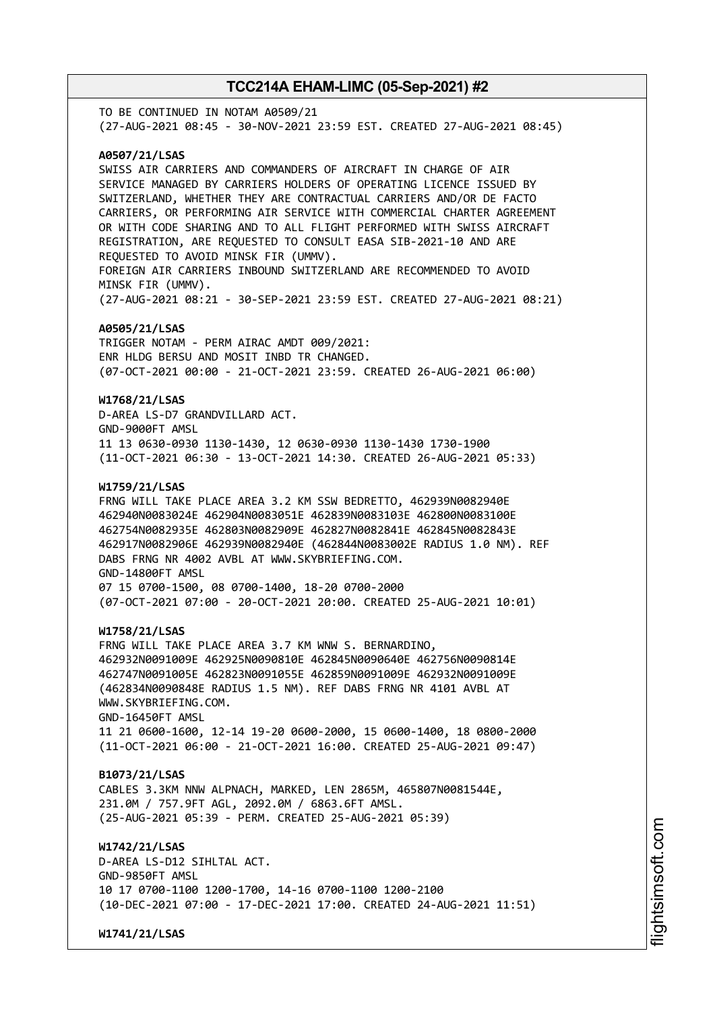TO BE CONTINUED IN NOTAM A0509/21 (27-AUG-2021 08:45 - 30-NOV-2021 23:59 EST. CREATED 27-AUG-2021 08:45) **A0507/21/LSAS** SWISS AIR CARRIERS AND COMMANDERS OF AIRCRAFT IN CHARGE OF AIR SERVICE MANAGED BY CARRIERS HOLDERS OF OPERATING LICENCE ISSUED BY SWITZERLAND, WHETHER THEY ARE CONTRACTUAL CARRIERS AND/OR DE FACTO CARRIERS, OR PERFORMING AIR SERVICE WITH COMMERCIAL CHARTER AGREEMENT OR WITH CODE SHARING AND TO ALL FLIGHT PERFORMED WITH SWISS AIRCRAFT REGISTRATION, ARE REQUESTED TO CONSULT EASA SIB-2021-10 AND ARE REQUESTED TO AVOID MINSK FIR (UMMV). FOREIGN AIR CARRIERS INBOUND SWITZERLAND ARE RECOMMENDED TO AVOID MINSK FIR (UMMV). (27-AUG-2021 08:21 - 30-SEP-2021 23:59 EST. CREATED 27-AUG-2021 08:21) **A0505/21/LSAS** TRIGGER NOTAM - PERM AIRAC AMDT 009/2021: ENR HLDG BERSU AND MOSIT INBD TR CHANGED. (07-OCT-2021 00:00 - 21-OCT-2021 23:59. CREATED 26-AUG-2021 06:00) **W1768/21/LSAS** D-AREA LS-D7 GRANDVILLARD ACT. GND-9000FT AMSL 11 13 0630-0930 1130-1430, 12 0630-0930 1130-1430 1730-1900 (11-OCT-2021 06:30 - 13-OCT-2021 14:30. CREATED 26-AUG-2021 05:33) **W1759/21/LSAS** FRNG WILL TAKE PLACE AREA 3.2 KM SSW BEDRETTO, 462939N0082940E 462940N0083024E 462904N0083051E 462839N0083103E 462800N0083100E 462754N0082935E 462803N0082909E 462827N0082841E 462845N0082843E 462917N0082906E 462939N0082940E (462844N0083002E RADIUS 1.0 NM). REF DABS FRNG NR 4002 AVBL AT WWW.SKYBRIEFING.COM. GND-14800FT AMSL 07 15 0700-1500, 08 0700-1400, 18-20 0700-2000 (07-OCT-2021 07:00 - 20-OCT-2021 20:00. CREATED 25-AUG-2021 10:01) **W1758/21/LSAS** FRNG WILL TAKE PLACE AREA 3.7 KM WNW S. BERNARDINO, 462932N0091009E 462925N0090810E 462845N0090640E 462756N0090814E 462747N0091005E 462823N0091055E 462859N0091009E 462932N0091009E (462834N0090848E RADIUS 1.5 NM). REF DABS FRNG NR 4101 AVBL AT WWW.SKYBRIEFING.COM. GND-16450FT AMSL 11 21 0600-1600, 12-14 19-20 0600-2000, 15 0600-1400, 18 0800-2000 (11-OCT-2021 06:00 - 21-OCT-2021 16:00. CREATED 25-AUG-2021 09:47) **B1073/21/LSAS** CABLES 3.3KM NNW ALPNACH, MARKED, LEN 2865M, 465807N0081544E, 231.0M / 757.9FT AGL, 2092.0M / 6863.6FT AMSL. (25-AUG-2021 05:39 - PERM. CREATED 25-AUG-2021 05:39) **W1742/21/LSAS** D-AREA LS-D12 SIHLTAL ACT. GND-9850FT AMSL 10 17 0700-1100 1200-1700, 14-16 0700-1100 1200-2100 (10-DEC-2021 07:00 - 17-DEC-2021 17:00. CREATED 24-AUG-2021 11:51)

**W1741/21/LSAS**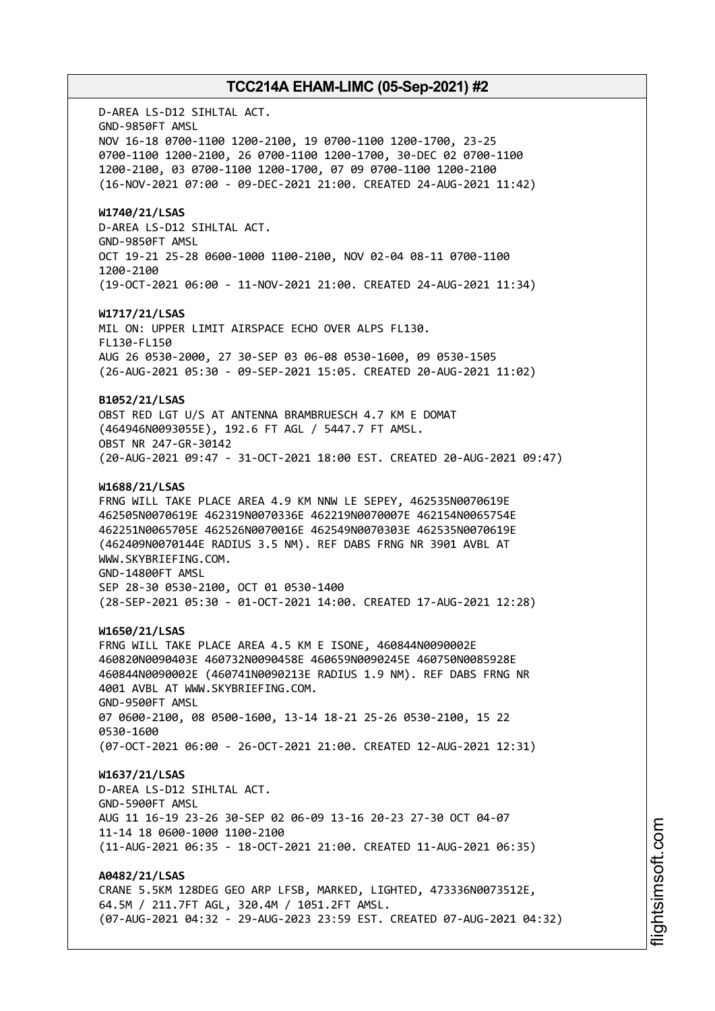D-AREA LS-D12 SIHLTAL ACT. GND-9850FT AMSL NOV 16-18 0700-1100 1200-2100, 19 0700-1100 1200-1700, 23-25 0700-1100 1200-2100, 26 0700-1100 1200-1700, 30-DEC 02 0700-1100 1200-2100, 03 0700-1100 1200-1700, 07 09 0700-1100 1200-2100 (16-NOV-2021 07:00 - 09-DEC-2021 21:00. CREATED 24-AUG-2021 11:42) **W1740/21/LSAS** D-AREA LS-D12 SIHLTAL ACT. GND-9850FT AMSL OCT 19-21 25-28 0600-1000 1100-2100, NOV 02-04 08-11 0700-1100 1200-2100 (19-OCT-2021 06:00 - 11-NOV-2021 21:00. CREATED 24-AUG-2021 11:34) **W1717/21/LSAS** MIL ON: UPPER LIMIT AIRSPACE ECHO OVER ALPS FL130. FL130-FL150 AUG 26 0530-2000, 27 30-SEP 03 06-08 0530-1600, 09 0530-1505 (26-AUG-2021 05:30 - 09-SEP-2021 15:05. CREATED 20-AUG-2021 11:02) **B1052/21/LSAS** OBST RED LGT U/S AT ANTENNA BRAMBRUESCH 4.7 KM E DOMAT (464946N0093055E), 192.6 FT AGL / 5447.7 FT AMSL. OBST NR 247-GR-30142 (20-AUG-2021 09:47 - 31-OCT-2021 18:00 EST. CREATED 20-AUG-2021 09:47) **W1688/21/LSAS** FRNG WILL TAKE PLACE AREA 4.9 KM NNW LE SEPEY, 462535N0070619E 462505N0070619E 462319N0070336E 462219N0070007E 462154N0065754E 462251N0065705E 462526N0070016E 462549N0070303E 462535N0070619E (462409N0070144E RADIUS 3.5 NM). REF DABS FRNG NR 3901 AVBL AT WWW.SKYBRIEFING.COM. GND-14800FT AMSL SEP 28-30 0530-2100, OCT 01 0530-1400 (28-SEP-2021 05:30 - 01-OCT-2021 14:00. CREATED 17-AUG-2021 12:28) **W1650/21/LSAS** FRNG WILL TAKE PLACE AREA 4.5 KM E ISONE, 460844N0090002E 460820N0090403E 460732N0090458E 460659N0090245E 460750N0085928E 460844N0090002E (460741N0090213E RADIUS 1.9 NM). REF DABS FRNG NR 4001 AVBL AT WWW.SKYBRIEFING.COM. GND-9500FT AMSL 07 0600-2100, 08 0500-1600, 13-14 18-21 25-26 0530-2100, 15 22 0530-1600 (07-OCT-2021 06:00 - 26-OCT-2021 21:00. CREATED 12-AUG-2021 12:31) **W1637/21/LSAS** D-AREA LS-D12 SIHLTAL ACT. GND-5900FT AMSL AUG 11 16-19 23-26 30-SEP 02 06-09 13-16 20-23 27-30 OCT 04-07 11-14 18 0600-1000 1100-2100 (11-AUG-2021 06:35 - 18-OCT-2021 21:00. CREATED 11-AUG-2021 06:35) **A0482/21/LSAS** CRANE 5.5KM 128DEG GEO ARP LFSB, MARKED, LIGHTED, 473336N0073512E, 64.5M / 211.7FT AGL, 320.4M / 1051.2FT AMSL.

(07-AUG-2021 04:32 - 29-AUG-2023 23:59 EST. CREATED 07-AUG-2021 04:32)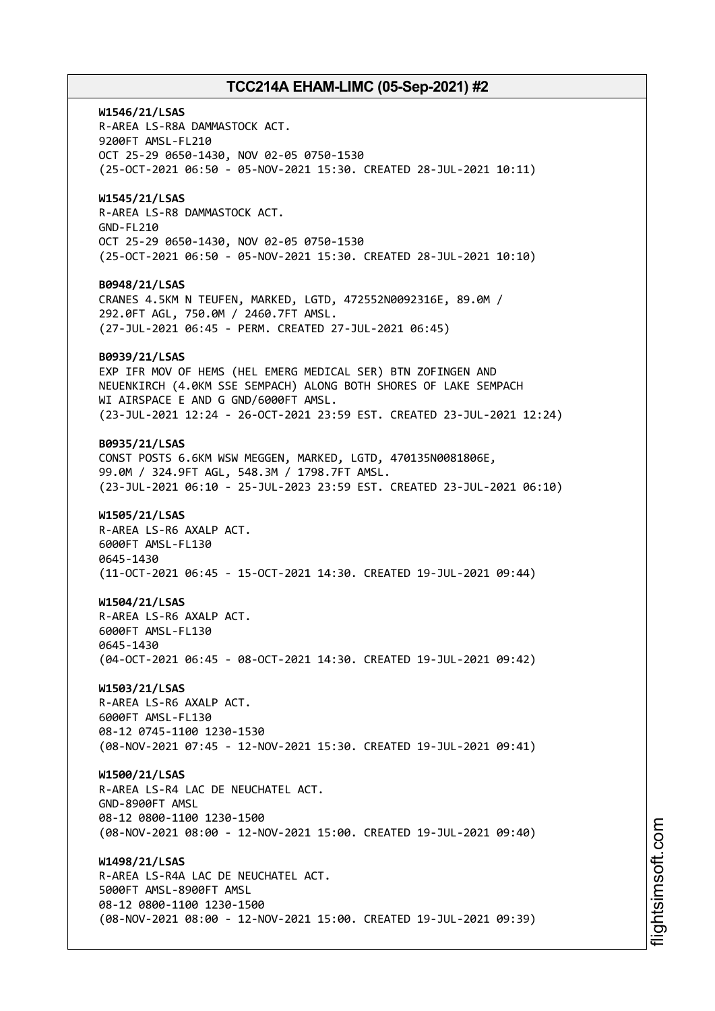**W1546/21/LSAS** R-AREA LS-R8A DAMMASTOCK ACT. 9200FT AMSL-FL210 OCT 25-29 0650-1430, NOV 02-05 0750-1530 (25-OCT-2021 06:50 - 05-NOV-2021 15:30. CREATED 28-JUL-2021 10:11) **W1545/21/LSAS** R-AREA LS-R8 DAMMASTOCK ACT. GND-FL210 OCT 25-29 0650-1430, NOV 02-05 0750-1530 (25-OCT-2021 06:50 - 05-NOV-2021 15:30. CREATED 28-JUL-2021 10:10) **B0948/21/LSAS** CRANES 4.5KM N TEUFEN, MARKED, LGTD, 472552N0092316E, 89.0M / 292.0FT AGL, 750.0M / 2460.7FT AMSL. (27-JUL-2021 06:45 - PERM. CREATED 27-JUL-2021 06:45) **B0939/21/LSAS** EXP IFR MOV OF HEMS (HEL EMERG MEDICAL SER) BTN ZOFINGEN AND NEUENKIRCH (4.0KM SSE SEMPACH) ALONG BOTH SHORES OF LAKE SEMPACH WI AIRSPACE E AND G GND/6000FT AMSL. (23-JUL-2021 12:24 - 26-OCT-2021 23:59 EST. CREATED 23-JUL-2021 12:24) **B0935/21/LSAS** CONST POSTS 6.6KM WSW MEGGEN, MARKED, LGTD, 470135N0081806E, 99.0M / 324.9FT AGL, 548.3M / 1798.7FT AMSL. (23-JUL-2021 06:10 - 25-JUL-2023 23:59 EST. CREATED 23-JUL-2021 06:10) **W1505/21/LSAS** R-AREA LS-R6 AXALP ACT. 6000FT AMSL-FL130 0645-1430 (11-OCT-2021 06:45 - 15-OCT-2021 14:30. CREATED 19-JUL-2021 09:44) **W1504/21/LSAS** R-AREA LS-R6 AXALP ACT. 6000FT AMSL-FL130 0645-1430 (04-OCT-2021 06:45 - 08-OCT-2021 14:30. CREATED 19-JUL-2021 09:42) **W1503/21/LSAS** R-AREA LS-R6 AXALP ACT. 6000FT AMSL-FL130 08-12 0745-1100 1230-1530 (08-NOV-2021 07:45 - 12-NOV-2021 15:30. CREATED 19-JUL-2021 09:41) **W1500/21/LSAS** R-AREA LS-R4 LAC DE NEUCHATEL ACT. GND-8900FT AMSL 08-12 0800-1100 1230-1500 (08-NOV-2021 08:00 - 12-NOV-2021 15:00. CREATED 19-JUL-2021 09:40) **W1498/21/LSAS** R-AREA LS-R4A LAC DE NEUCHATEL ACT. 5000FT AMSL-8900FT AMSL 08-12 0800-1100 1230-1500 (08-NOV-2021 08:00 - 12-NOV-2021 15:00. CREATED 19-JUL-2021 09:39)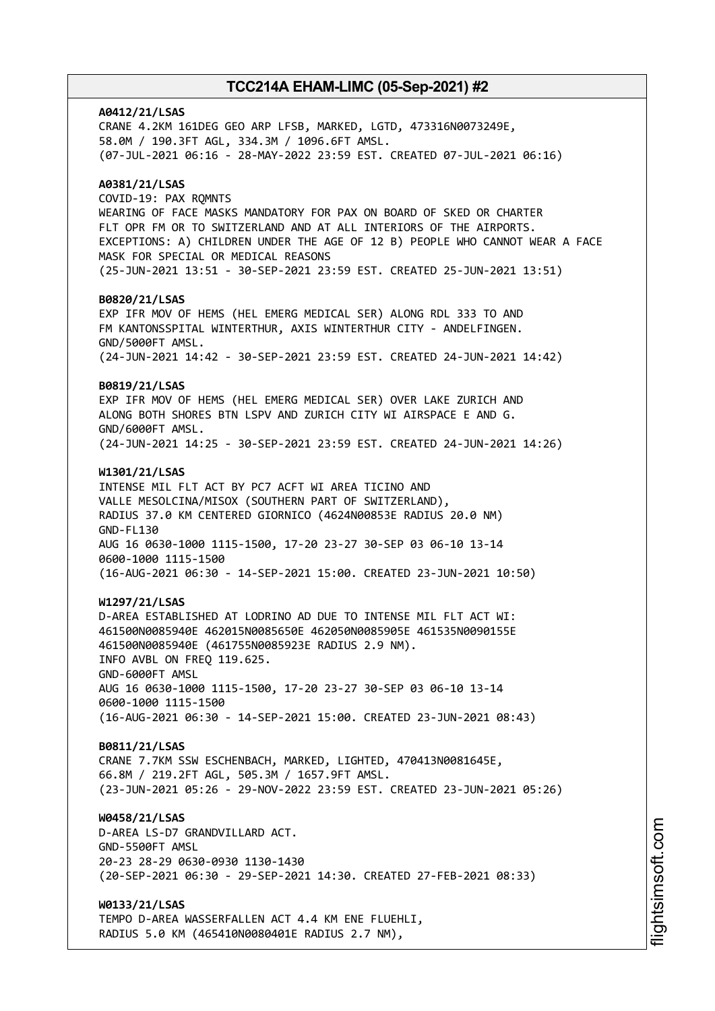**A0412/21/LSAS** CRANE 4.2KM 161DEG GEO ARP LFSB, MARKED, LGTD, 473316N0073249E, 58.0M / 190.3FT AGL, 334.3M / 1096.6FT AMSL. (07-JUL-2021 06:16 - 28-MAY-2022 23:59 EST. CREATED 07-JUL-2021 06:16) **A0381/21/LSAS** COVID-19: PAX RQMNTS WEARING OF FACE MASKS MANDATORY FOR PAX ON BOARD OF SKED OR CHARTER FLT OPR FM OR TO SWITZERLAND AND AT ALL INTERIORS OF THE AIRPORTS. EXCEPTIONS: A) CHILDREN UNDER THE AGE OF 12 B) PEOPLE WHO CANNOT WEAR A FACE MASK FOR SPECIAL OR MEDICAL REASONS (25-JUN-2021 13:51 - 30-SEP-2021 23:59 EST. CREATED 25-JUN-2021 13:51) **B0820/21/LSAS** EXP IFR MOV OF HEMS (HEL EMERG MEDICAL SER) ALONG RDL 333 TO AND FM KANTONSSPITAL WINTERTHUR, AXIS WINTERTHUR CITY - ANDELFINGEN. GND/5000FT AMSL. (24-JUN-2021 14:42 - 30-SEP-2021 23:59 EST. CREATED 24-JUN-2021 14:42) **B0819/21/LSAS** EXP IFR MOV OF HEMS (HEL EMERG MEDICAL SER) OVER LAKE ZURICH AND ALONG BOTH SHORES BTN LSPV AND ZURICH CITY WI AIRSPACE E AND G. GND/6000FT AMSL. (24-JUN-2021 14:25 - 30-SEP-2021 23:59 EST. CREATED 24-JUN-2021 14:26) **W1301/21/LSAS** INTENSE MIL FLT ACT BY PC7 ACFT WI AREA TICINO AND VALLE MESOLCINA/MISOX (SOUTHERN PART OF SWITZERLAND), RADIUS 37.0 KM CENTERED GIORNICO (4624N00853E RADIUS 20.0 NM) GND-FL130 AUG 16 0630-1000 1115-1500, 17-20 23-27 30-SEP 03 06-10 13-14 0600-1000 1115-1500 (16-AUG-2021 06:30 - 14-SEP-2021 15:00. CREATED 23-JUN-2021 10:50) **W1297/21/LSAS** D-AREA ESTABLISHED AT LODRINO AD DUE TO INTENSE MIL FLT ACT WI: 461500N0085940E 462015N0085650E 462050N0085905E 461535N0090155E 461500N0085940E (461755N0085923E RADIUS 2.9 NM). INFO AVBL ON FREQ 119.625. GND-6000FT AMSL AUG 16 0630-1000 1115-1500, 17-20 23-27 30-SEP 03 06-10 13-14 0600-1000 1115-1500 (16-AUG-2021 06:30 - 14-SEP-2021 15:00. CREATED 23-JUN-2021 08:43) **B0811/21/LSAS** CRANE 7.7KM SSW ESCHENBACH, MARKED, LIGHTED, 470413N0081645E, 66.8M / 219.2FT AGL, 505.3M / 1657.9FT AMSL. (23-JUN-2021 05:26 - 29-NOV-2022 23:59 EST. CREATED 23-JUN-2021 05:26) **W0458/21/LSAS** D-AREA LS-D7 GRANDVILLARD ACT. GND-5500FT AMSL 20-23 28-29 0630-0930 1130-1430 (20-SEP-2021 06:30 - 29-SEP-2021 14:30. CREATED 27-FEB-2021 08:33) **W0133/21/LSAS** TEMPO D-AREA WASSERFALLEN ACT 4.4 KM ENE FLUEHLI,

RADIUS 5.0 KM (465410N0080401E RADIUS 2.7 NM),